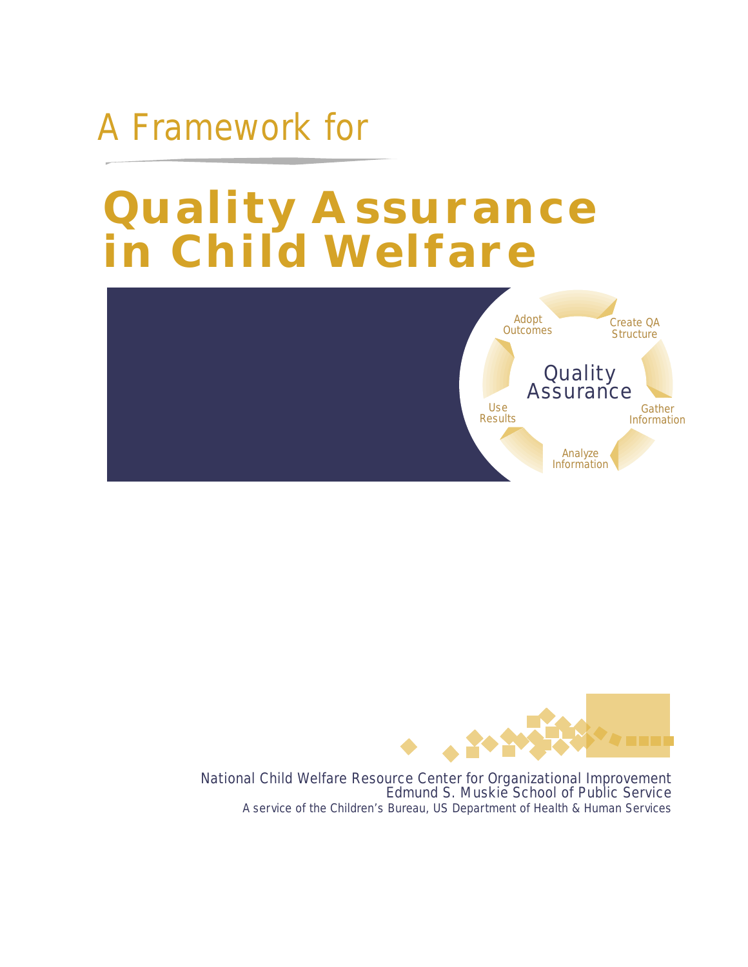# A Framework for

# **Quality Assurance in Child Welfare**





National Child Welfare Resource Center for Organizational Improvement Edmund S. Muskie School of Public Service A service of the Children's Bureau, US Department of Health & Human Services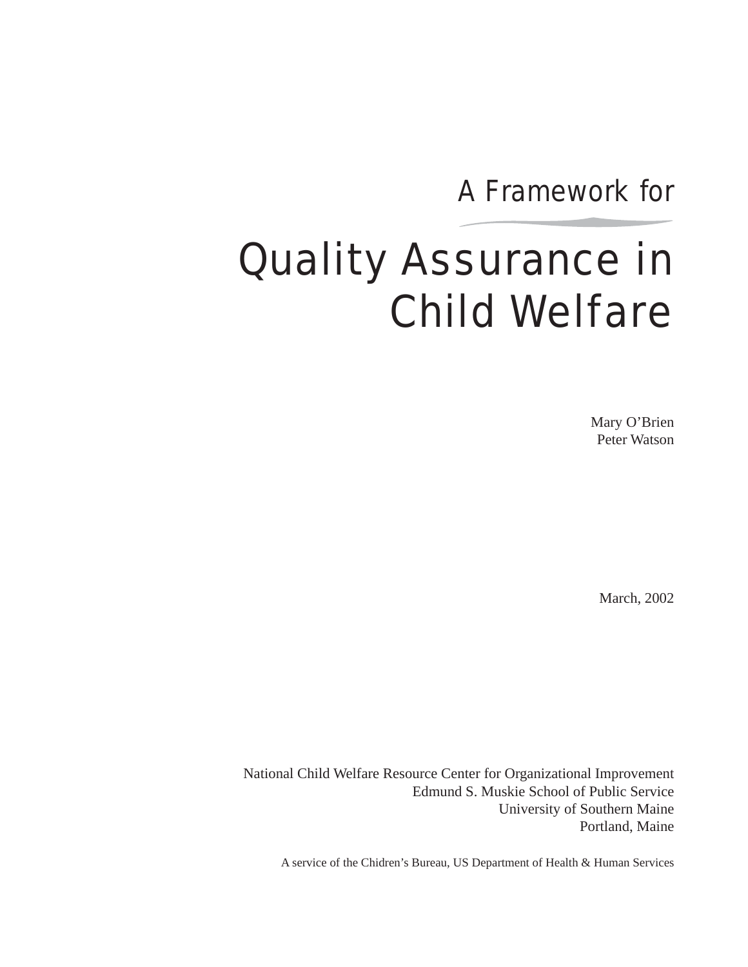A Framework for

# Quality Assurance in Child Welfare

Mary O'Brien Peter Watson

March, 2002

National Child Welfare Resource Center for Organizational Improvement Edmund S. Muskie School of Public Service University of Southern Maine Portland, Maine

A service of the Chidren's Bureau, US Department of Health & Human Services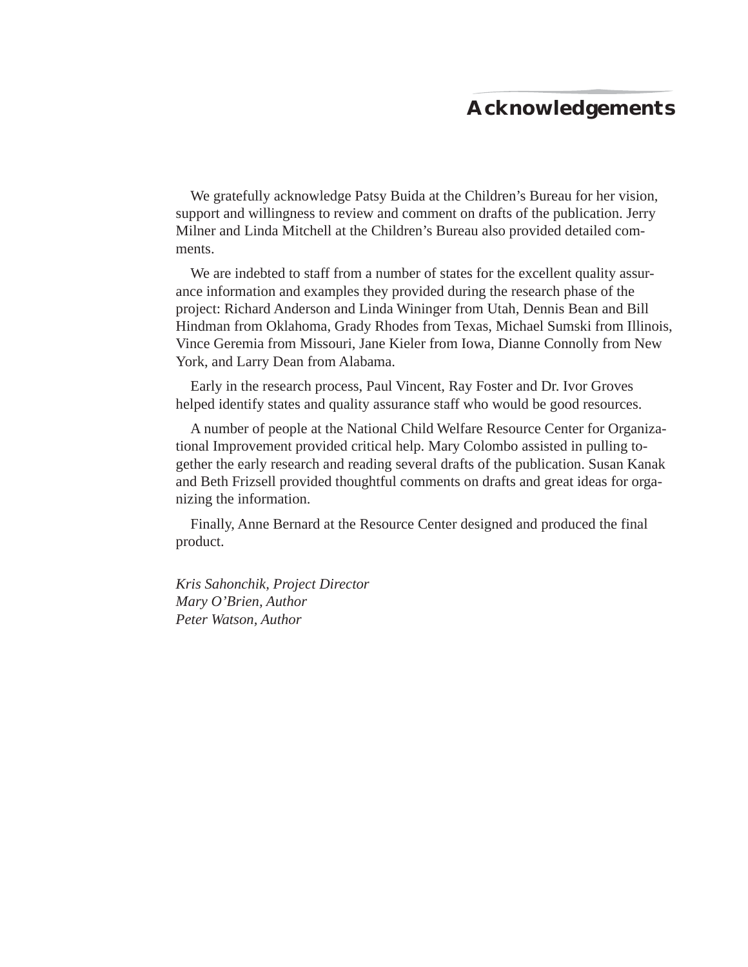# **Acknowledgements**

We gratefully acknowledge Patsy Buida at the Children's Bureau for her vision, support and willingness to review and comment on drafts of the publication. Jerry Milner and Linda Mitchell at the Children's Bureau also provided detailed comments.

We are indebted to staff from a number of states for the excellent quality assurance information and examples they provided during the research phase of the project: Richard Anderson and Linda Wininger from Utah, Dennis Bean and Bill Hindman from Oklahoma, Grady Rhodes from Texas, Michael Sumski from Illinois, Vince Geremia from Missouri, Jane Kieler from Iowa, Dianne Connolly from New York, and Larry Dean from Alabama.

Early in the research process, Paul Vincent, Ray Foster and Dr. Ivor Groves helped identify states and quality assurance staff who would be good resources.

A number of people at the National Child Welfare Resource Center for Organizational Improvement provided critical help. Mary Colombo assisted in pulling together the early research and reading several drafts of the publication. Susan Kanak and Beth Frizsell provided thoughtful comments on drafts and great ideas for organizing the information.

Finally, Anne Bernard at the Resource Center designed and produced the final product.

*Kris Sahonchik, Project Director Mary O'Brien, Author Peter Watson, Author*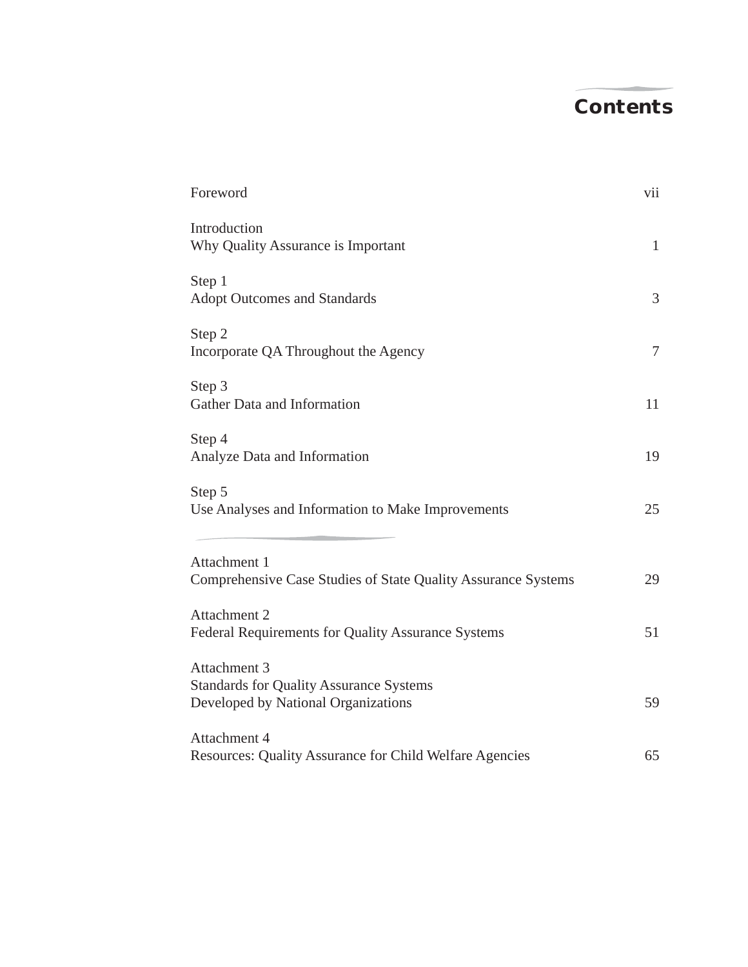# **Contents**

| Foreword<br>Introduction<br>Why Quality Assurance is Important<br>Step 1<br><b>Adopt Outcomes and Standards</b> | vii<br>$\mathbf{1}$<br>3 |                                                                                 |          |
|-----------------------------------------------------------------------------------------------------------------|--------------------------|---------------------------------------------------------------------------------|----------|
|                                                                                                                 |                          | Step 2<br>Incorporate QA Throughout the Agency                                  | $\tau$   |
|                                                                                                                 |                          | Step 3<br>Gather Data and Information<br>Step 4<br>Analyze Data and Information | 11<br>19 |
| Step 5<br>Use Analyses and Information to Make Improvements                                                     | 25                       |                                                                                 |          |
| Attachment 1<br>Comprehensive Case Studies of State Quality Assurance Systems                                   | 29                       |                                                                                 |          |
| Attachment 2<br>Federal Requirements for Quality Assurance Systems                                              | 51                       |                                                                                 |          |
| Attachment 3<br><b>Standards for Quality Assurance Systems</b><br>Developed by National Organizations           | 59                       |                                                                                 |          |
| Attachment 4<br>Resources: Quality Assurance for Child Welfare Agencies                                         | 65                       |                                                                                 |          |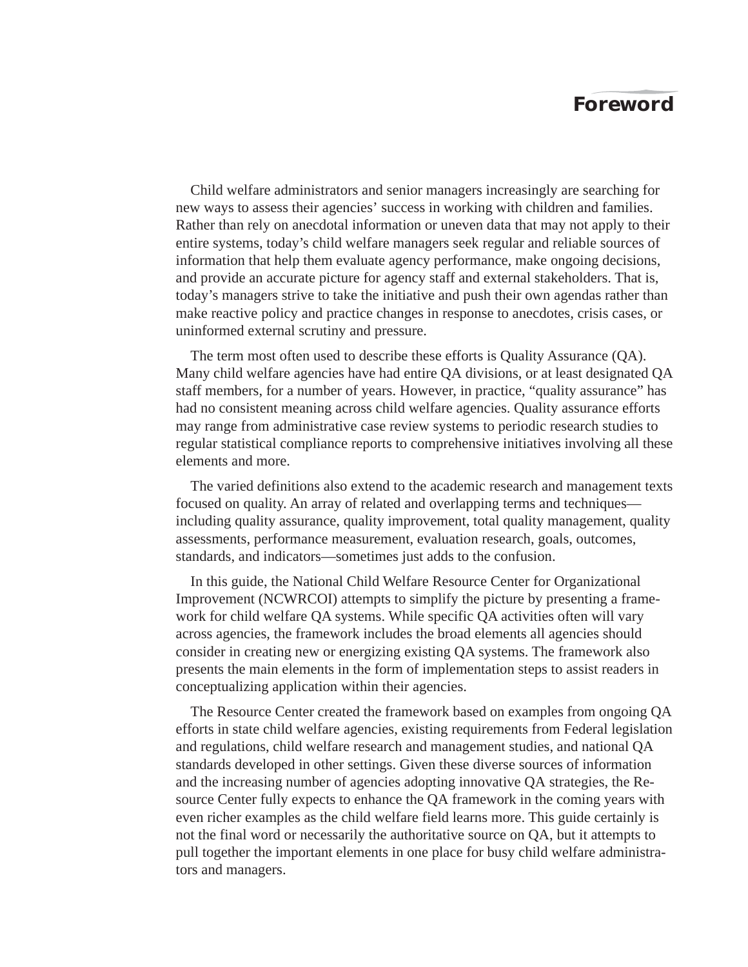# **Foreword**

Child welfare administrators and senior managers increasingly are searching for new ways to assess their agencies' success in working with children and families. Rather than rely on anecdotal information or uneven data that may not apply to their entire systems, today's child welfare managers seek regular and reliable sources of information that help them evaluate agency performance, make ongoing decisions, and provide an accurate picture for agency staff and external stakeholders. That is, today's managers strive to take the initiative and push their own agendas rather than make reactive policy and practice changes in response to anecdotes, crisis cases, or uninformed external scrutiny and pressure.

The term most often used to describe these efforts is Quality Assurance (QA). Many child welfare agencies have had entire QA divisions, or at least designated QA staff members, for a number of years. However, in practice, "quality assurance" has had no consistent meaning across child welfare agencies. Quality assurance efforts may range from administrative case review systems to periodic research studies to regular statistical compliance reports to comprehensive initiatives involving all these elements and more.

The varied definitions also extend to the academic research and management texts focused on quality. An array of related and overlapping terms and techniques including quality assurance, quality improvement, total quality management, quality assessments, performance measurement, evaluation research, goals, outcomes, standards, and indicators—sometimes just adds to the confusion.

In this guide, the National Child Welfare Resource Center for Organizational Improvement (NCWRCOI) attempts to simplify the picture by presenting a framework for child welfare QA systems. While specific QA activities often will vary across agencies, the framework includes the broad elements all agencies should consider in creating new or energizing existing QA systems. The framework also presents the main elements in the form of implementation steps to assist readers in conceptualizing application within their agencies.

The Resource Center created the framework based on examples from ongoing QA efforts in state child welfare agencies, existing requirements from Federal legislation and regulations, child welfare research and management studies, and national QA standards developed in other settings. Given these diverse sources of information and the increasing number of agencies adopting innovative QA strategies, the Resource Center fully expects to enhance the QA framework in the coming years with even richer examples as the child welfare field learns more. This guide certainly is not the final word or necessarily the authoritative source on QA, but it attempts to pull together the important elements in one place for busy child welfare administrators and managers.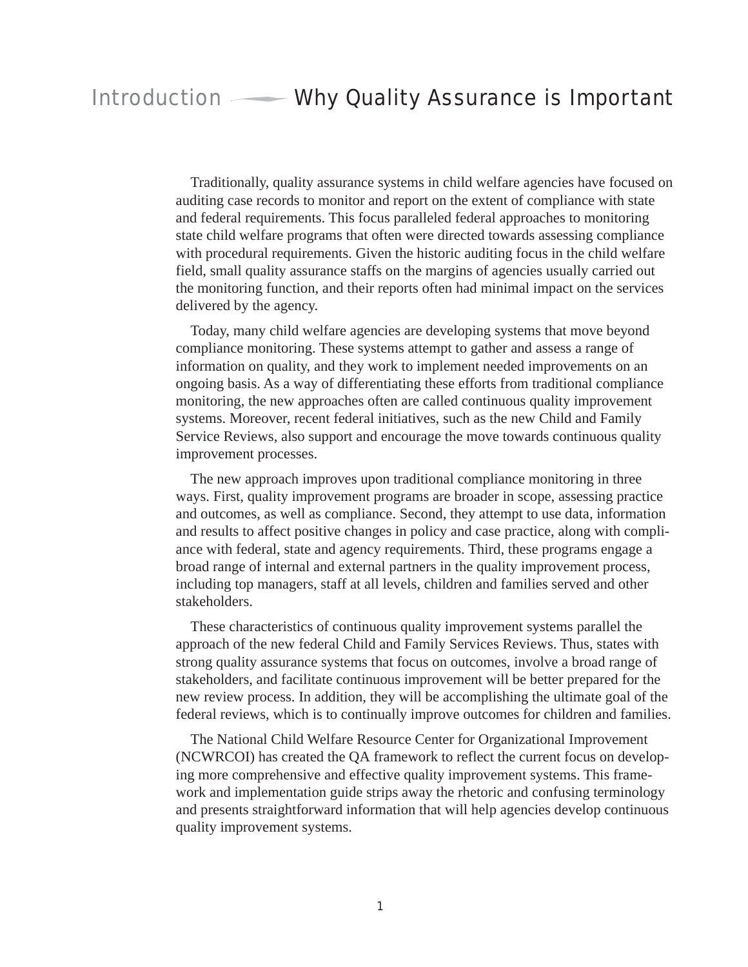# Introduction Why Quality Assurance is Important

Traditionally, quality assurance systems in child welfare agencies have focused on auditing case records to monitor and report on the extent of compliance with state and federal requirements. This focus paralleled federal approaches to monitoring state child welfare programs that often were directed towards assessing compliance with procedural requirements. Given the historic auditing focus in the child welfare field, small quality assurance staffs on the margins of agencies usually carried out the monitoring function, and their reports often had minimal impact on the services delivered by the agency.

Today, many child welfare agencies are developing systems that move beyond compliance monitoring. These systems attempt to gather and assess a range of information on quality, and they work to implement needed improvements on an ongoing basis. As a way of differentiating these efforts from traditional compliance monitoring, the new approaches often are called continuous quality improvement systems. Moreover, recent federal initiatives, such as the new Child and Family Service Reviews, also support and encourage the move towards continuous quality improvement processes.

The new approach improves upon traditional compliance monitoring in three ways. First, quality improvement programs are broader in scope, assessing practice and outcomes, as well as compliance. Second, they attempt to use data, information and results to affect positive changes in policy and case practice, along with compliance with federal, state and agency requirements. Third, these programs engage a broad range of internal and external partners in the quality improvement process, including top managers, staff at all levels, children and families served and other stakeholders.

These characteristics of continuous quality improvement systems parallel the approach of the new federal Child and Family Services Reviews. Thus, states with strong quality assurance systems that focus on outcomes, involve a broad range of stakeholders, and facilitate continuous improvement will be better prepared for the new review process. In addition, they will be accomplishing the ultimate goal of the federal reviews, which is to continually improve outcomes for children and families.

The National Child Welfare Resource Center for Organizational Improvement (NCWRCOI) has created the QA framework to reflect the current focus on developing more comprehensive and effective quality improvement systems. This framework and implementation guide strips away the rhetoric and confusing terminology and presents straightforward information that will help agencies develop continuous quality improvement systems.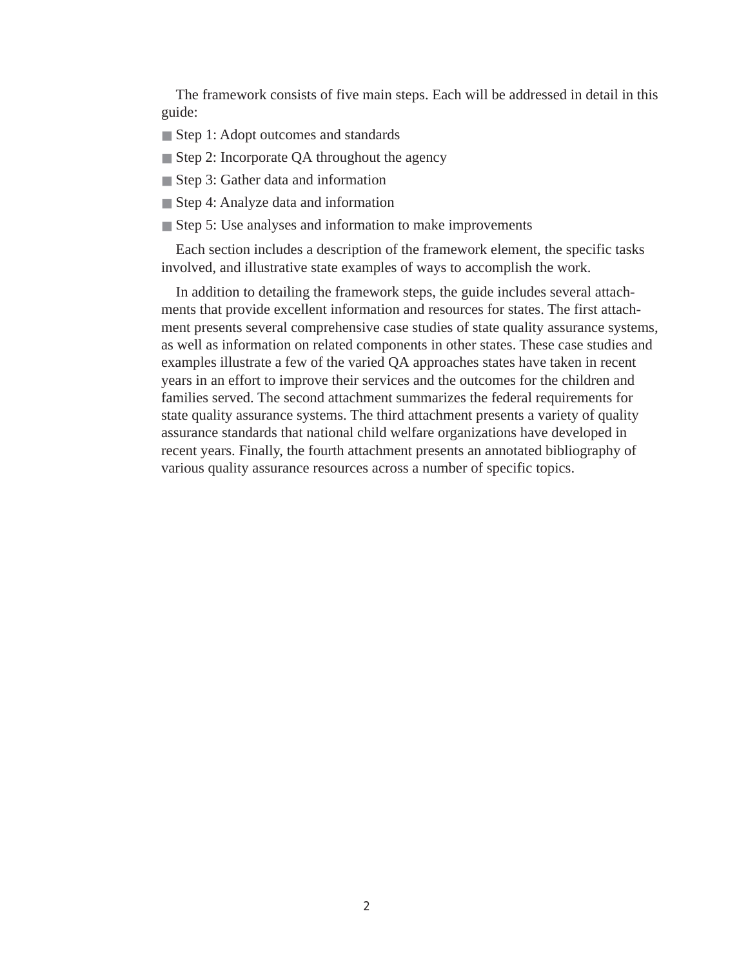The framework consists of five main steps. Each will be addressed in detail in this guide:

- Step 1: Adopt outcomes and standards
- Step 2: Incorporate QA throughout the agency
- Step 3: Gather data and information
- Step 4: Analyze data and information
- Step 5: Use analyses and information to make improvements

Each section includes a description of the framework element, the specific tasks involved, and illustrative state examples of ways to accomplish the work.

In addition to detailing the framework steps, the guide includes several attachments that provide excellent information and resources for states. The first attachment presents several comprehensive case studies of state quality assurance systems, as well as information on related components in other states. These case studies and examples illustrate a few of the varied QA approaches states have taken in recent years in an effort to improve their services and the outcomes for the children and families served. The second attachment summarizes the federal requirements for state quality assurance systems. The third attachment presents a variety of quality assurance standards that national child welfare organizations have developed in recent years. Finally, the fourth attachment presents an annotated bibliography of various quality assurance resources across a number of specific topics.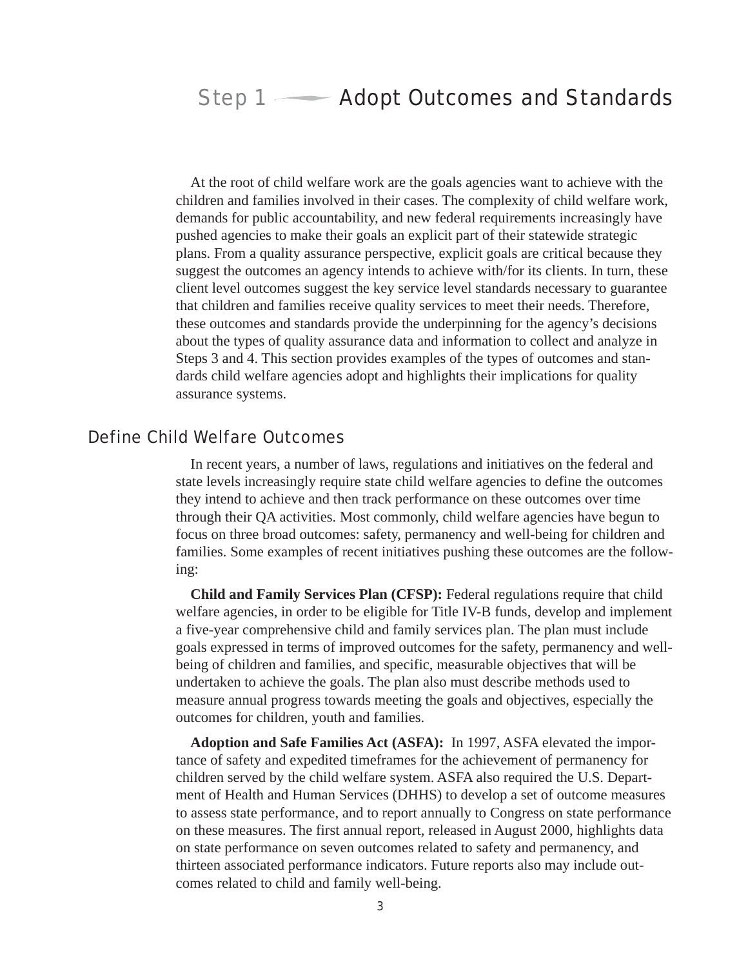# Step 1 — Adopt Outcomes and Standards

At the root of child welfare work are the goals agencies want to achieve with the children and families involved in their cases. The complexity of child welfare work, demands for public accountability, and new federal requirements increasingly have pushed agencies to make their goals an explicit part of their statewide strategic plans. From a quality assurance perspective, explicit goals are critical because they suggest the outcomes an agency intends to achieve with/for its clients. In turn, these client level outcomes suggest the key service level standards necessary to guarantee that children and families receive quality services to meet their needs. Therefore, these outcomes and standards provide the underpinning for the agency's decisions about the types of quality assurance data and information to collect and analyze in Steps 3 and 4. This section provides examples of the types of outcomes and standards child welfare agencies adopt and highlights their implications for quality assurance systems.

## Define Child Welfare Outcomes

In recent years, a number of laws, regulations and initiatives on the federal and state levels increasingly require state child welfare agencies to define the outcomes they intend to achieve and then track performance on these outcomes over time through their QA activities. Most commonly, child welfare agencies have begun to focus on three broad outcomes: safety, permanency and well-being for children and families. Some examples of recent initiatives pushing these outcomes are the following:

**Child and Family Services Plan (CFSP):** Federal regulations require that child welfare agencies, in order to be eligible for Title IV-B funds, develop and implement a five-year comprehensive child and family services plan. The plan must include goals expressed in terms of improved outcomes for the safety, permanency and wellbeing of children and families, and specific, measurable objectives that will be undertaken to achieve the goals. The plan also must describe methods used to measure annual progress towards meeting the goals and objectives, especially the outcomes for children, youth and families.

**Adoption and Safe Families Act (ASFA):** In 1997, ASFA elevated the importance of safety and expedited timeframes for the achievement of permanency for children served by the child welfare system. ASFA also required the U.S. Department of Health and Human Services (DHHS) to develop a set of outcome measures to assess state performance, and to report annually to Congress on state performance on these measures. The first annual report, released in August 2000, highlights data on state performance on seven outcomes related to safety and permanency, and thirteen associated performance indicators. Future reports also may include outcomes related to child and family well-being.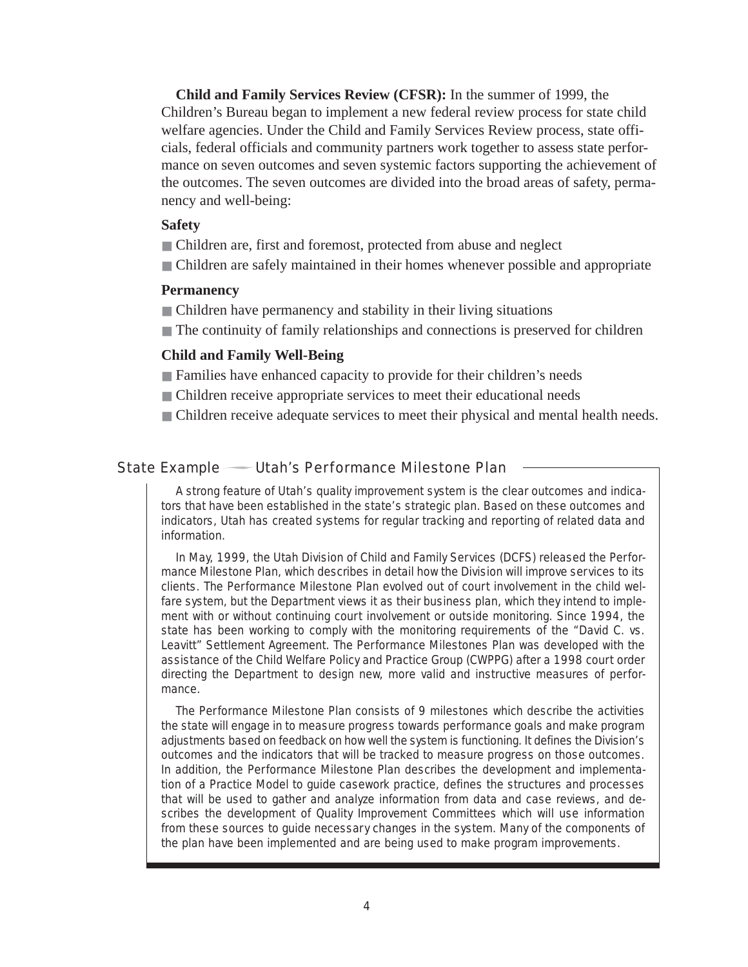**Child and Family Services Review (CFSR):** In the summer of 1999, the Children's Bureau began to implement a new federal review process for state child welfare agencies. Under the Child and Family Services Review process, state officials, federal officials and community partners work together to assess state performance on seven outcomes and seven systemic factors supporting the achievement of the outcomes. The seven outcomes are divided into the broad areas of safety, permanency and well-being:

#### **Safety**

- Children are, first and foremost, protected from abuse and neglect
- Children are safely maintained in their homes whenever possible and appropriate

## **Permanency**

- Children have permanency and stability in their living situations
- The continuity of family relationships and connections is preserved for children

#### **Child and Family Well-Being**

- Families have enhanced capacity to provide for their children's needs
- Children receive appropriate services to meet their educational needs
- Children receive adequate services to meet their physical and mental health needs.

State Example — Utah's Performance Milestone Plan

A strong feature of Utah's quality improvement system is the clear outcomes and indicators that have been established in the state's strategic plan. Based on these outcomes and indicators, Utah has created systems for regular tracking and reporting of related data and information.

In May, 1999, the Utah Division of Child and Family Services (DCFS) released the Performance Milestone Plan, which describes in detail how the Division will improve services to its clients. The Performance Milestone Plan evolved out of court involvement in the child welfare system, but the Department views it as their business plan, which they intend to implement with or without continuing court involvement or outside monitoring. Since 1994, the state has been working to comply with the monitoring requirements of the "David C. vs. Leavitt" Settlement Agreement. The Performance Milestones Plan was developed with the assistance of the Child Welfare Policy and Practice Group (CWPPG) after a 1998 court order directing the Department to design new, more valid and instructive measures of performance.

The Performance Milestone Plan consists of 9 milestones which describe the activities the state will engage in to measure progress towards performance goals and make program adjustments based on feedback on how well the system is functioning. It defines the Division's outcomes and the indicators that will be tracked to measure progress on those outcomes. In addition, the Performance Milestone Plan describes the development and implementation of a Practice Model to guide casework practice, defines the structures and processes that will be used to gather and analyze information from data and case reviews, and describes the development of Quality Improvement Committees which will use information from these sources to guide necessary changes in the system. Many of the components of the plan have been implemented and are being used to make program improvements.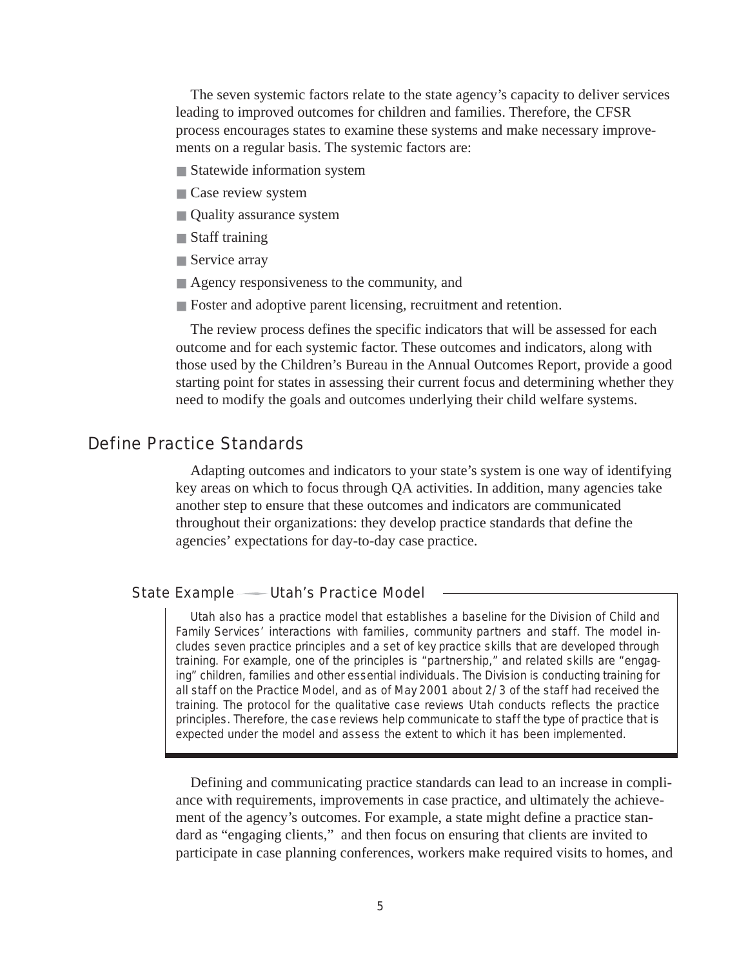The seven systemic factors relate to the state agency's capacity to deliver services leading to improved outcomes for children and families. Therefore, the CFSR process encourages states to examine these systems and make necessary improvements on a regular basis. The systemic factors are:

- Statewide information system
- Case review system
- Quality assurance system
- Staff training
- Service array
- Agency responsiveness to the community, and
- Foster and adoptive parent licensing, recruitment and retention.

The review process defines the specific indicators that will be assessed for each outcome and for each systemic factor. These outcomes and indicators, along with those used by the Children's Bureau in the Annual Outcomes Report, provide a good starting point for states in assessing their current focus and determining whether they need to modify the goals and outcomes underlying their child welfare systems.

## Define Practice Standards

Adapting outcomes and indicators to your state's system is one way of identifying key areas on which to focus through QA activities. In addition, many agencies take another step to ensure that these outcomes and indicators are communicated throughout their organizations: they develop practice standards that define the agencies' expectations for day-to-day case practice.

#### State Example — Utah's Practice Model

Utah also has a practice model that establishes a baseline for the Division of Child and Family Services' interactions with families, community partners and staff. The model includes seven practice principles and a set of key practice skills that are developed through training. For example, one of the principles is "partnership," and related skills are "engaging" children, families and other essential individuals. The Division is conducting training for all staff on the Practice Model, and as of May 2001 about 2/3 of the staff had received the training. The protocol for the qualitative case reviews Utah conducts reflects the practice principles. Therefore, the case reviews help communicate to staff the type of practice that is expected under the model and assess the extent to which it has been implemented.

Defining and communicating practice standards can lead to an increase in compliance with requirements, improvements in case practice, and ultimately the achievement of the agency's outcomes. For example, a state might define a practice standard as "engaging clients," and then focus on ensuring that clients are invited to participate in case planning conferences, workers make required visits to homes, and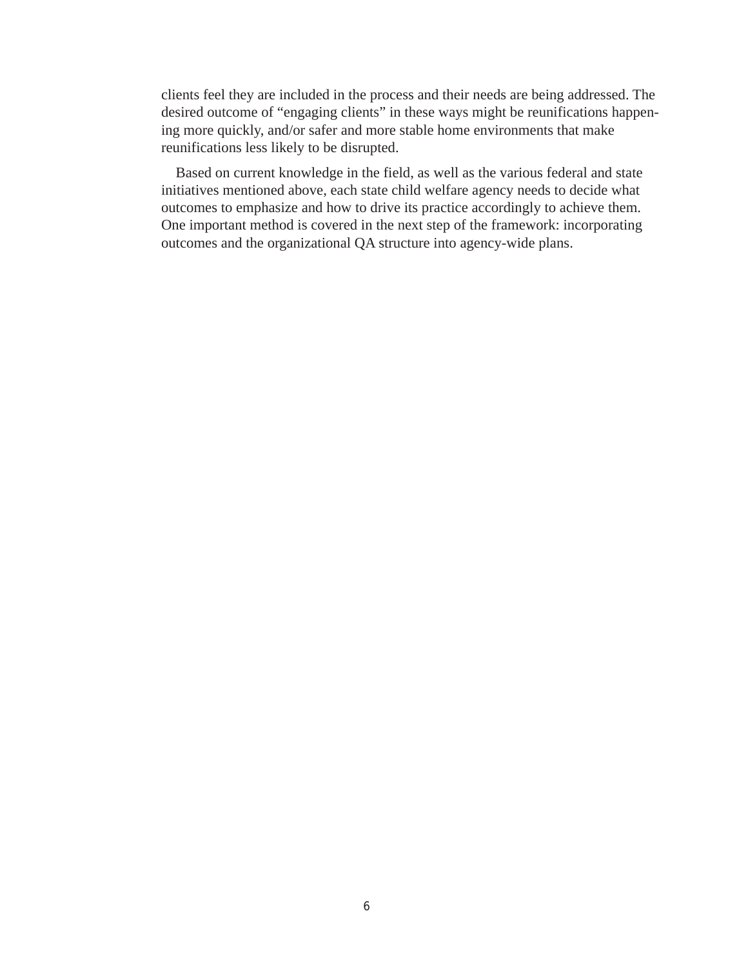clients feel they are included in the process and their needs are being addressed. The desired outcome of "engaging clients" in these ways might be reunifications happening more quickly, and/or safer and more stable home environments that make reunifications less likely to be disrupted.

Based on current knowledge in the field, as well as the various federal and state initiatives mentioned above, each state child welfare agency needs to decide what outcomes to emphasize and how to drive its practice accordingly to achieve them. One important method is covered in the next step of the framework: incorporating outcomes and the organizational QA structure into agency-wide plans.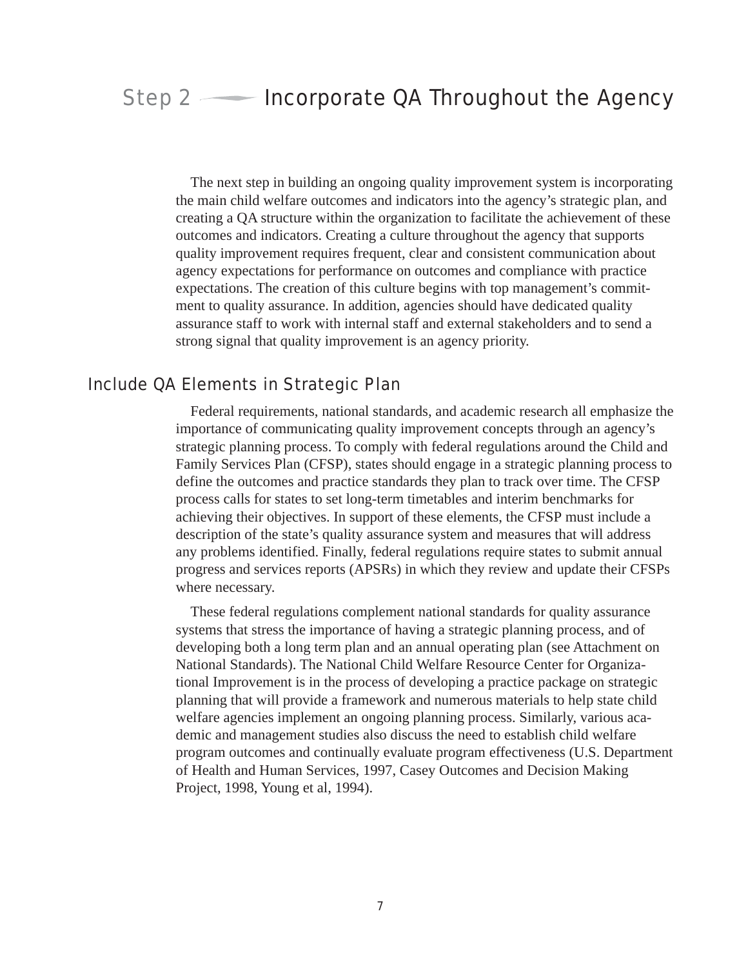# Step  $2 \longrightarrow$  Incorporate QA Throughout the Agency

The next step in building an ongoing quality improvement system is incorporating the main child welfare outcomes and indicators into the agency's strategic plan, and creating a QA structure within the organization to facilitate the achievement of these outcomes and indicators. Creating a culture throughout the agency that supports quality improvement requires frequent, clear and consistent communication about agency expectations for performance on outcomes and compliance with practice expectations. The creation of this culture begins with top management's commitment to quality assurance. In addition, agencies should have dedicated quality assurance staff to work with internal staff and external stakeholders and to send a strong signal that quality improvement is an agency priority.

## Include QA Elements in Strategic Plan

Federal requirements, national standards, and academic research all emphasize the importance of communicating quality improvement concepts through an agency's strategic planning process. To comply with federal regulations around the Child and Family Services Plan (CFSP), states should engage in a strategic planning process to define the outcomes and practice standards they plan to track over time. The CFSP process calls for states to set long-term timetables and interim benchmarks for achieving their objectives. In support of these elements, the CFSP must include a description of the state's quality assurance system and measures that will address any problems identified. Finally, federal regulations require states to submit annual progress and services reports (APSRs) in which they review and update their CFSPs where necessary.

These federal regulations complement national standards for quality assurance systems that stress the importance of having a strategic planning process, and of developing both a long term plan and an annual operating plan (see Attachment on National Standards). The National Child Welfare Resource Center for Organizational Improvement is in the process of developing a practice package on strategic planning that will provide a framework and numerous materials to help state child welfare agencies implement an ongoing planning process. Similarly, various academic and management studies also discuss the need to establish child welfare program outcomes and continually evaluate program effectiveness (U.S. Department of Health and Human Services, 1997, Casey Outcomes and Decision Making Project, 1998, Young et al, 1994).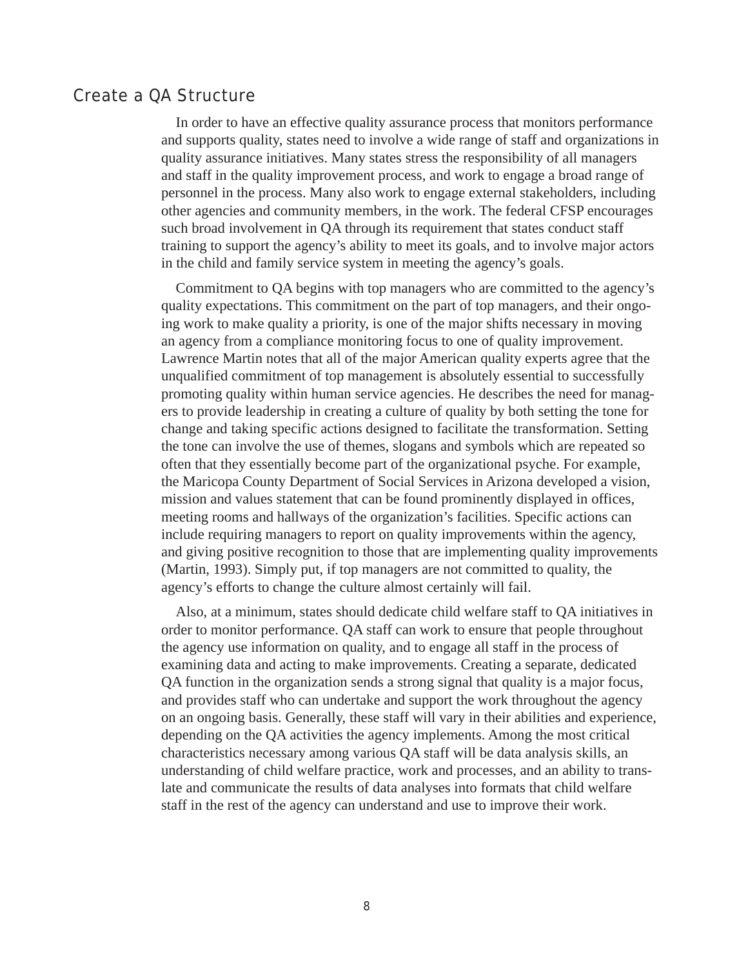## Create a QA Structure

In order to have an effective quality assurance process that monitors performance and supports quality, states need to involve a wide range of staff and organizations in quality assurance initiatives. Many states stress the responsibility of all managers and staff in the quality improvement process, and work to engage a broad range of personnel in the process. Many also work to engage external stakeholders, including other agencies and community members, in the work. The federal CFSP encourages such broad involvement in QA through its requirement that states conduct staff training to support the agency's ability to meet its goals, and to involve major actors in the child and family service system in meeting the agency's goals.

Commitment to QA begins with top managers who are committed to the agency's quality expectations. This commitment on the part of top managers, and their ongoing work to make quality a priority, is one of the major shifts necessary in moving an agency from a compliance monitoring focus to one of quality improvement. Lawrence Martin notes that all of the major American quality experts agree that the unqualified commitment of top management is absolutely essential to successfully promoting quality within human service agencies. He describes the need for managers to provide leadership in creating a culture of quality by both setting the tone for change and taking specific actions designed to facilitate the transformation. Setting the tone can involve the use of themes, slogans and symbols which are repeated so often that they essentially become part of the organizational psyche. For example, the Maricopa County Department of Social Services in Arizona developed a vision, mission and values statement that can be found prominently displayed in offices, meeting rooms and hallways of the organization's facilities. Specific actions can include requiring managers to report on quality improvements within the agency, and giving positive recognition to those that are implementing quality improvements (Martin, 1993). Simply put, if top managers are not committed to quality, the agency's efforts to change the culture almost certainly will fail.

Also, at a minimum, states should dedicate child welfare staff to QA initiatives in order to monitor performance. QA staff can work to ensure that people throughout the agency use information on quality, and to engage all staff in the process of examining data and acting to make improvements. Creating a separate, dedicated QA function in the organization sends a strong signal that quality is a major focus, and provides staff who can undertake and support the work throughout the agency on an ongoing basis. Generally, these staff will vary in their abilities and experience, depending on the QA activities the agency implements. Among the most critical characteristics necessary among various QA staff will be data analysis skills, an understanding of child welfare practice, work and processes, and an ability to translate and communicate the results of data analyses into formats that child welfare staff in the rest of the agency can understand and use to improve their work.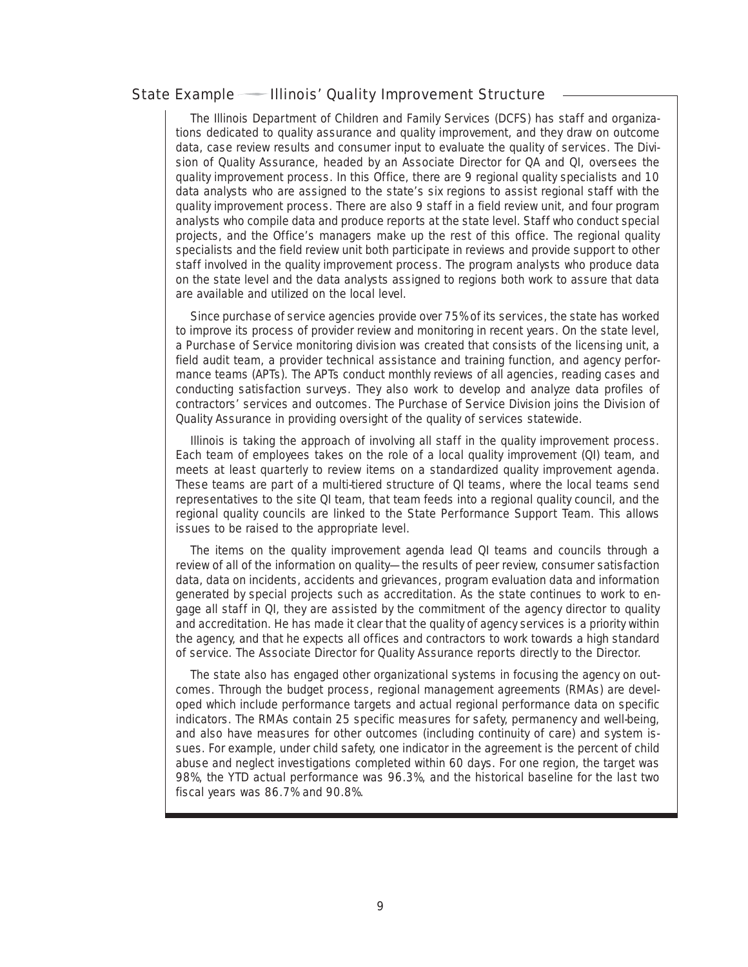#### State Example — Illinois' Quality Improvement Structure

The Illinois Department of Children and Family Services (DCFS) has staff and organizations dedicated to quality assurance and quality improvement, and they draw on outcome data, case review results and consumer input to evaluate the quality of services. The Division of Quality Assurance, headed by an Associate Director for QA and QI, oversees the quality improvement process. In this Office, there are 9 regional quality specialists and 10 data analysts who are assigned to the state's six regions to assist regional staff with the quality improvement process. There are also 9 staff in a field review unit, and four program analysts who compile data and produce reports at the state level. Staff who conduct special projects, and the Office's managers make up the rest of this office. The regional quality specialists and the field review unit both participate in reviews and provide support to other staff involved in the quality improvement process. The program analysts who produce data on the state level and the data analysts assigned to regions both work to assure that data are available and utilized on the local level.

Since purchase of service agencies provide over 75% of its services, the state has worked to improve its process of provider review and monitoring in recent years. On the state level, a Purchase of Service monitoring division was created that consists of the licensing unit, a field audit team, a provider technical assistance and training function, and agency performance teams (APTs). The APTs conduct monthly reviews of all agencies, reading cases and conducting satisfaction surveys. They also work to develop and analyze data profiles of contractors' services and outcomes. The Purchase of Service Division joins the Division of Quality Assurance in providing oversight of the quality of services statewide.

Illinois is taking the approach of involving all staff in the quality improvement process. Each team of employees takes on the role of a local quality improvement (QI) team, and meets at least quarterly to review items on a standardized quality improvement agenda. These teams are part of a multi-tiered structure of QI teams, where the local teams send representatives to the site QI team, that team feeds into a regional quality council, and the regional quality councils are linked to the State Performance Support Team. This allows issues to be raised to the appropriate level.

The items on the quality improvement agenda lead QI teams and councils through a review of all of the information on quality—the results of peer review, consumer satisfaction data, data on incidents, accidents and grievances, program evaluation data and information generated by special projects such as accreditation. As the state continues to work to engage all staff in QI, they are assisted by the commitment of the agency director to quality and accreditation. He has made it clear that the quality of agency services is a priority within the agency, and that he expects all offices and contractors to work towards a high standard of service. The Associate Director for Quality Assurance reports directly to the Director.

The state also has engaged other organizational systems in focusing the agency on outcomes. Through the budget process, regional management agreements (RMAs) are developed which include performance targets and actual regional performance data on specific indicators. The RMAs contain 25 specific measures for safety, permanency and well-being, and also have measures for other outcomes (including continuity of care) and system issues. For example, under child safety, one indicator in the agreement is the percent of child abuse and neglect investigations completed within 60 days. For one region, the target was 98%, the YTD actual performance was 96.3%, and the historical baseline for the last two fiscal years was 86.7% and 90.8%.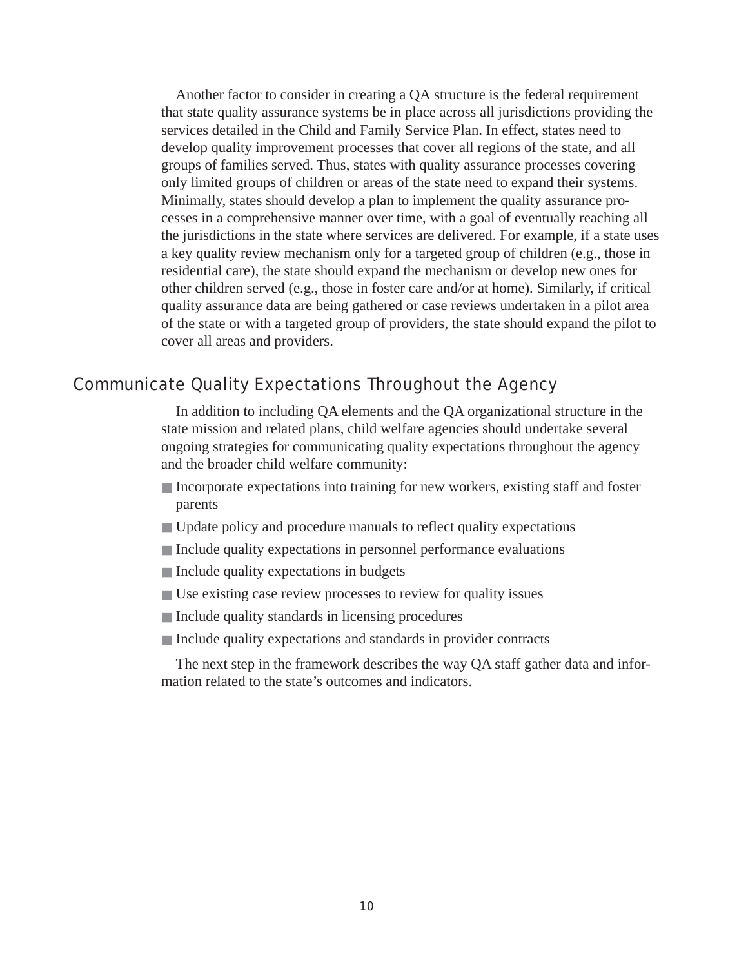Another factor to consider in creating a QA structure is the federal requirement that state quality assurance systems be in place across all jurisdictions providing the services detailed in the Child and Family Service Plan. In effect, states need to develop quality improvement processes that cover all regions of the state, and all groups of families served. Thus, states with quality assurance processes covering only limited groups of children or areas of the state need to expand their systems. Minimally, states should develop a plan to implement the quality assurance processes in a comprehensive manner over time, with a goal of eventually reaching all the jurisdictions in the state where services are delivered. For example, if a state uses a key quality review mechanism only for a targeted group of children (e.g., those in residential care), the state should expand the mechanism or develop new ones for other children served (e.g., those in foster care and/or at home). Similarly, if critical quality assurance data are being gathered or case reviews undertaken in a pilot area of the state or with a targeted group of providers, the state should expand the pilot to cover all areas and providers.

# Communicate Quality Expectations Throughout the Agency

In addition to including QA elements and the QA organizational structure in the state mission and related plans, child welfare agencies should undertake several ongoing strategies for communicating quality expectations throughout the agency and the broader child welfare community:

- Incorporate expectations into training for new workers, existing staff and foster parents
- Update policy and procedure manuals to reflect quality expectations
- Include quality expectations in personnel performance evaluations
- Include quality expectations in budgets
- Use existing case review processes to review for quality issues
- Include quality standards in licensing procedures
- Include quality expectations and standards in provider contracts

The next step in the framework describes the way QA staff gather data and information related to the state's outcomes and indicators.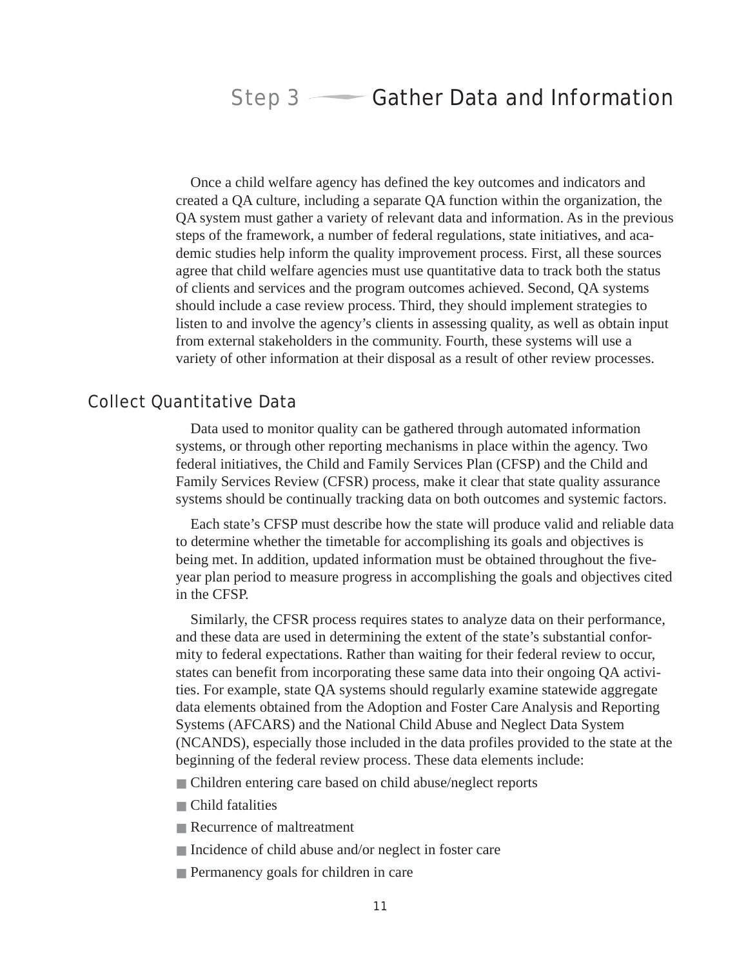# Step  $3 \longrightarrow$  Gather Data and Information

Once a child welfare agency has defined the key outcomes and indicators and created a QA culture, including a separate QA function within the organization, the QA system must gather a variety of relevant data and information. As in the previous steps of the framework, a number of federal regulations, state initiatives, and academic studies help inform the quality improvement process. First, all these sources agree that child welfare agencies must use quantitative data to track both the status of clients and services and the program outcomes achieved. Second, QA systems should include a case review process. Third, they should implement strategies to listen to and involve the agency's clients in assessing quality, as well as obtain input from external stakeholders in the community. Fourth, these systems will use a variety of other information at their disposal as a result of other review processes.

## Collect Quantitative Data

Data used to monitor quality can be gathered through automated information systems, or through other reporting mechanisms in place within the agency. Two federal initiatives, the Child and Family Services Plan (CFSP) and the Child and Family Services Review (CFSR) process, make it clear that state quality assurance systems should be continually tracking data on both outcomes and systemic factors.

Each state's CFSP must describe how the state will produce valid and reliable data to determine whether the timetable for accomplishing its goals and objectives is being met. In addition, updated information must be obtained throughout the fiveyear plan period to measure progress in accomplishing the goals and objectives cited in the CFSP.

Similarly, the CFSR process requires states to analyze data on their performance, and these data are used in determining the extent of the state's substantial conformity to federal expectations. Rather than waiting for their federal review to occur, states can benefit from incorporating these same data into their ongoing QA activities. For example, state QA systems should regularly examine statewide aggregate data elements obtained from the Adoption and Foster Care Analysis and Reporting Systems (AFCARS) and the National Child Abuse and Neglect Data System (NCANDS), especially those included in the data profiles provided to the state at the beginning of the federal review process. These data elements include:

- Children entering care based on child abuse/neglect reports
- Child fatalities
- Recurrence of maltreatment
- Incidence of child abuse and/or neglect in foster care
- Permanency goals for children in care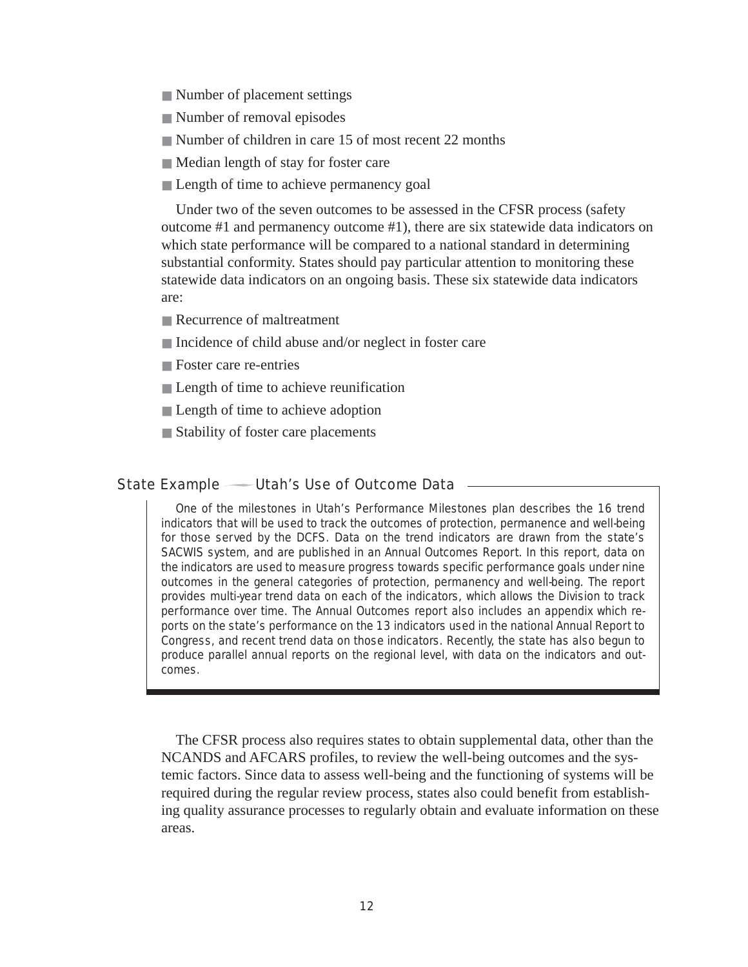- Number of placement settings
- Number of removal episodes
- Number of children in care 15 of most recent 22 months
- Median length of stay for foster care
- Length of time to achieve permanency goal

Under two of the seven outcomes to be assessed in the CFSR process (safety outcome #1 and permanency outcome #1), there are six statewide data indicators on which state performance will be compared to a national standard in determining substantial conformity. States should pay particular attention to monitoring these statewide data indicators on an ongoing basis. These six statewide data indicators are:

- Recurrence of maltreatment
- Incidence of child abuse and/or neglect in foster care
- Foster care re-entries
- Length of time to achieve reunification
- Length of time to achieve adoption
- Stability of foster care placements

#### State Example — Utah's Use of Outcome Data  $-$

One of the milestones in Utah's Performance Milestones plan describes the 16 trend indicators that will be used to track the outcomes of protection, permanence and well-being for those served by the DCFS. Data on the trend indicators are drawn from the state's SACWIS system, and are published in an Annual Outcomes Report. In this report, data on the indicators are used to measure progress towards specific performance goals under nine outcomes in the general categories of protection, permanency and well-being. The report provides multi-year trend data on each of the indicators, which allows the Division to track performance over time. The Annual Outcomes report also includes an appendix which reports on the state's performance on the 13 indicators used in the national Annual Report to Congress, and recent trend data on those indicators. Recently, the state has also begun to produce parallel annual reports on the regional level, with data on the indicators and outcomes.

The CFSR process also requires states to obtain supplemental data, other than the NCANDS and AFCARS profiles, to review the well-being outcomes and the systemic factors. Since data to assess well-being and the functioning of systems will be required during the regular review process, states also could benefit from establishing quality assurance processes to regularly obtain and evaluate information on these areas.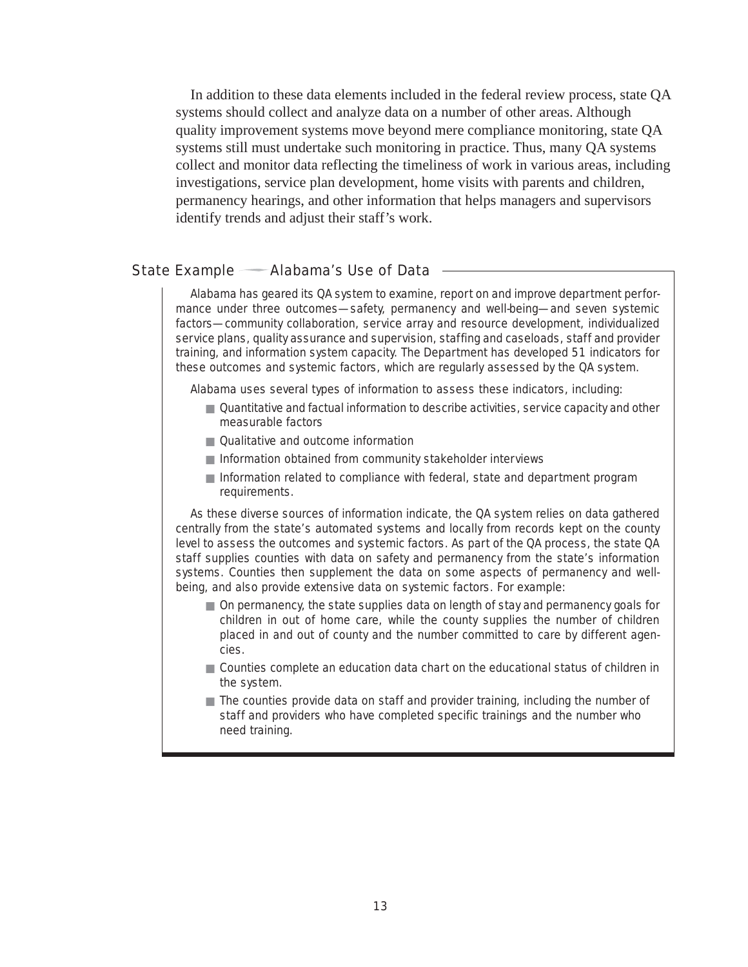In addition to these data elements included in the federal review process, state QA systems should collect and analyze data on a number of other areas. Although quality improvement systems move beyond mere compliance monitoring, state QA systems still must undertake such monitoring in practice. Thus, many QA systems collect and monitor data reflecting the timeliness of work in various areas, including investigations, service plan development, home visits with parents and children, permanency hearings, and other information that helps managers and supervisors identify trends and adjust their staff's work.

#### State Example — Alabama's Use of Data -

Alabama has geared its QA system to examine, report on and improve department performance under three outcomes—safety, permanency and well-being—and seven systemic factors—community collaboration, service array and resource development, individualized service plans, quality assurance and supervision, staffing and caseloads, staff and provider training, and information system capacity. The Department has developed 51 indicators for these outcomes and systemic factors, which are regularly assessed by the QA system.

Alabama uses several types of information to assess these indicators, including:

- Quantitative and factual information to describe activities, service capacity and other measurable factors
- Qualitative and outcome information
- Information obtained from community stakeholder interviews
- Information related to compliance with federal, state and department program requirements.

As these diverse sources of information indicate, the QA system relies on data gathered centrally from the state's automated systems and locally from records kept on the county level to assess the outcomes and systemic factors. As part of the QA process, the state QA staff supplies counties with data on safety and permanency from the state's information systems. Counties then supplement the data on some aspects of permanency and wellbeing, and also provide extensive data on systemic factors. For example:

- On permanency, the state supplies data on length of stay and permanency goals for children in out of home care, while the county supplies the number of children placed in and out of county and the number committed to care by different agencies.
- Counties complete an education data chart on the educational status of children in the system.
- The counties provide data on staff and provider training, including the number of staff and providers who have completed specific trainings and the number who need training.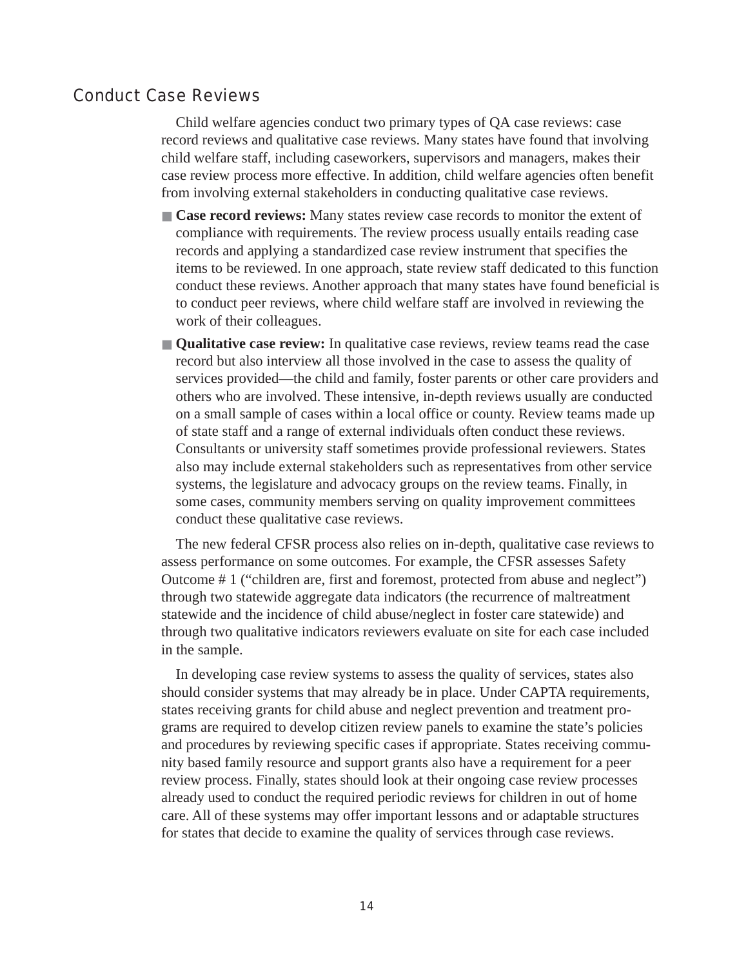## Conduct Case Reviews

Child welfare agencies conduct two primary types of QA case reviews: case record reviews and qualitative case reviews. Many states have found that involving child welfare staff, including caseworkers, supervisors and managers, makes their case review process more effective. In addition, child welfare agencies often benefit from involving external stakeholders in conducting qualitative case reviews.

- **Case record reviews:** Many states review case records to monitor the extent of compliance with requirements. The review process usually entails reading case records and applying a standardized case review instrument that specifies the items to be reviewed. In one approach, state review staff dedicated to this function conduct these reviews. Another approach that many states have found beneficial is to conduct peer reviews, where child welfare staff are involved in reviewing the work of their colleagues.
- **Qualitative case review:** In qualitative case reviews, review teams read the case record but also interview all those involved in the case to assess the quality of services provided—the child and family, foster parents or other care providers and others who are involved. These intensive, in-depth reviews usually are conducted on a small sample of cases within a local office or county. Review teams made up of state staff and a range of external individuals often conduct these reviews. Consultants or university staff sometimes provide professional reviewers. States also may include external stakeholders such as representatives from other service systems, the legislature and advocacy groups on the review teams. Finally, in some cases, community members serving on quality improvement committees conduct these qualitative case reviews.

The new federal CFSR process also relies on in-depth, qualitative case reviews to assess performance on some outcomes. For example, the CFSR assesses Safety Outcome # 1 ("children are, first and foremost, protected from abuse and neglect") through two statewide aggregate data indicators (the recurrence of maltreatment statewide and the incidence of child abuse/neglect in foster care statewide) and through two qualitative indicators reviewers evaluate on site for each case included in the sample.

In developing case review systems to assess the quality of services, states also should consider systems that may already be in place. Under CAPTA requirements, states receiving grants for child abuse and neglect prevention and treatment programs are required to develop citizen review panels to examine the state's policies and procedures by reviewing specific cases if appropriate. States receiving community based family resource and support grants also have a requirement for a peer review process. Finally, states should look at their ongoing case review processes already used to conduct the required periodic reviews for children in out of home care. All of these systems may offer important lessons and or adaptable structures for states that decide to examine the quality of services through case reviews.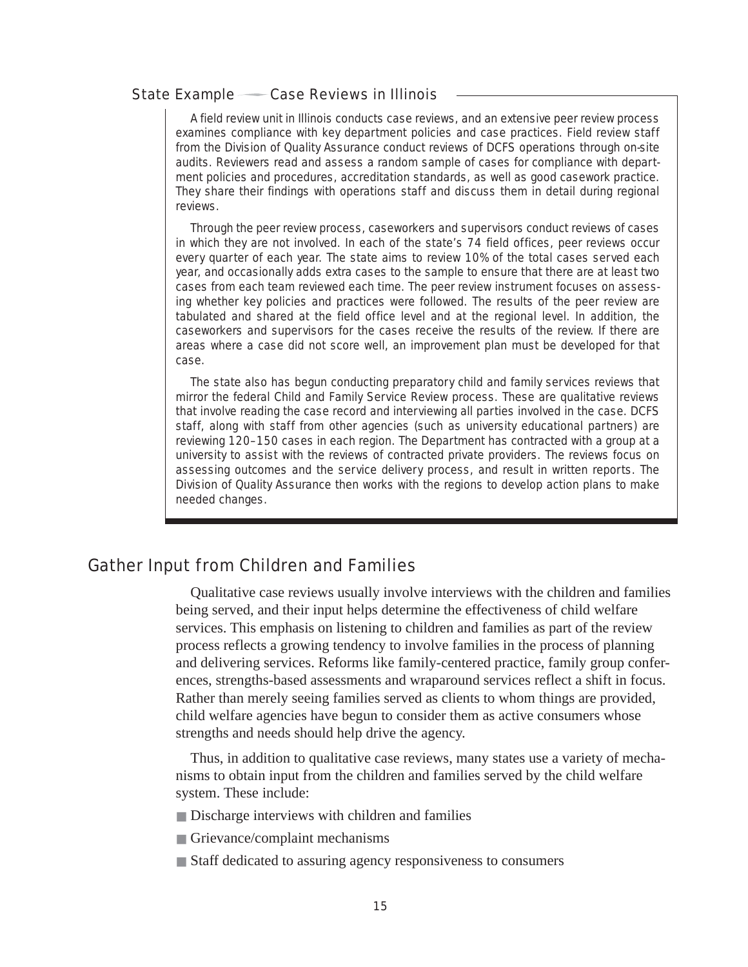#### State Example — Case Reviews in Illinois

A field review unit in Illinois conducts case reviews, and an extensive peer review process examines compliance with key department policies and case practices. Field review staff from the Division of Quality Assurance conduct reviews of DCFS operations through on-site audits. Reviewers read and assess a random sample of cases for compliance with department policies and procedures, accreditation standards, as well as good casework practice. They share their findings with operations staff and discuss them in detail during regional reviews.

Through the peer review process, caseworkers and supervisors conduct reviews of cases in which they are not involved. In each of the state's 74 field offices, peer reviews occur every quarter of each year. The state aims to review 10% of the total cases served each year, and occasionally adds extra cases to the sample to ensure that there are at least two cases from each team reviewed each time. The peer review instrument focuses on assessing whether key policies and practices were followed. The results of the peer review are tabulated and shared at the field office level and at the regional level. In addition, the caseworkers and supervisors for the cases receive the results of the review. If there are areas where a case did not score well, an improvement plan must be developed for that case.

The state also has begun conducting preparatory child and family services reviews that mirror the federal Child and Family Service Review process. These are qualitative reviews that involve reading the case record and interviewing all parties involved in the case. DCFS staff, along with staff from other agencies (such as university educational partners) are reviewing 120–150 cases in each region. The Department has contracted with a group at a university to assist with the reviews of contracted private providers. The reviews focus on assessing outcomes and the service delivery process, and result in written reports. The Division of Quality Assurance then works with the regions to develop action plans to make needed changes.

# Gather Input from Children and Families

Qualitative case reviews usually involve interviews with the children and families being served, and their input helps determine the effectiveness of child welfare services. This emphasis on listening to children and families as part of the review process reflects a growing tendency to involve families in the process of planning and delivering services. Reforms like family-centered practice, family group conferences, strengths-based assessments and wraparound services reflect a shift in focus. Rather than merely seeing families served as clients to whom things are provided, child welfare agencies have begun to consider them as active consumers whose strengths and needs should help drive the agency.

Thus, in addition to qualitative case reviews, many states use a variety of mechanisms to obtain input from the children and families served by the child welfare system. These include:

- Discharge interviews with children and families
- Grievance/complaint mechanisms
- Staff dedicated to assuring agency responsiveness to consumers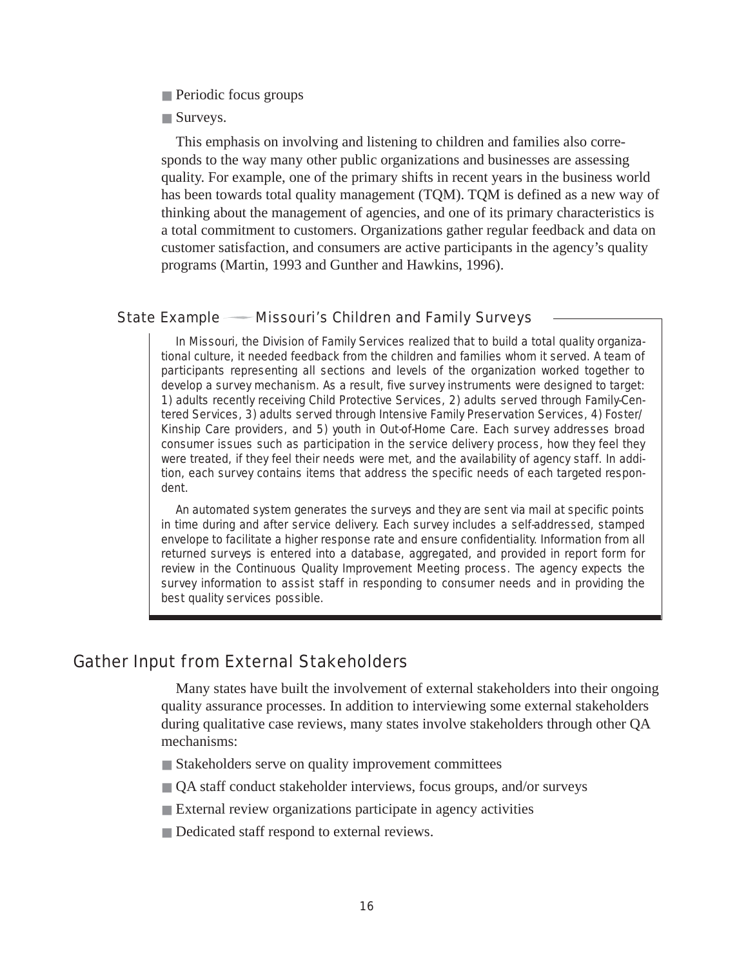- Periodic focus groups
- Surveys.

This emphasis on involving and listening to children and families also corresponds to the way many other public organizations and businesses are assessing quality. For example, one of the primary shifts in recent years in the business world has been towards total quality management (TQM). TQM is defined as a new way of thinking about the management of agencies, and one of its primary characteristics is a total commitment to customers. Organizations gather regular feedback and data on customer satisfaction, and consumers are active participants in the agency's quality programs (Martin, 1993 and Gunther and Hawkins, 1996).

#### State Example - Missouri's Children and Family Surveys

In Missouri, the Division of Family Services realized that to build a total quality organizational culture, it needed feedback from the children and families whom it served. A team of participants representing all sections and levels of the organization worked together to develop a survey mechanism. As a result, five survey instruments were designed to target: 1) adults recently receiving Child Protective Services, 2) adults served through Family-Centered Services, 3) adults served through Intensive Family Preservation Services, 4) Foster/ Kinship Care providers, and 5) youth in Out-of-Home Care. Each survey addresses broad consumer issues such as participation in the service delivery process, how they feel they were treated, if they feel their needs were met, and the availability of agency staff. In addition, each survey contains items that address the specific needs of each targeted respondent.

An automated system generates the surveys and they are sent via mail at specific points in time during and after service delivery. Each survey includes a self-addressed, stamped envelope to facilitate a higher response rate and ensure confidentiality. Information from all returned surveys is entered into a database, aggregated, and provided in report form for review in the Continuous Quality Improvement Meeting process. The agency expects the survey information to assist staff in responding to consumer needs and in providing the best quality services possible.

## Gather Input from External Stakeholders

Many states have built the involvement of external stakeholders into their ongoing quality assurance processes. In addition to interviewing some external stakeholders during qualitative case reviews, many states involve stakeholders through other QA mechanisms:

- Stakeholders serve on quality improvement committees
- QA staff conduct stakeholder interviews, focus groups, and/or surveys
- External review organizations participate in agency activities
- Dedicated staff respond to external reviews.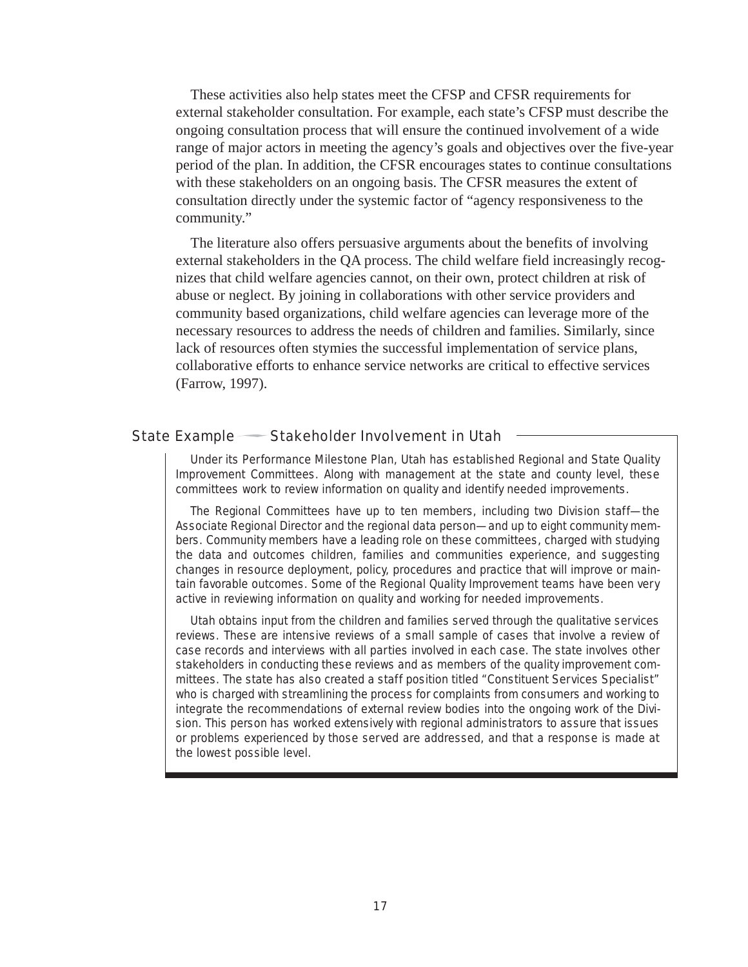These activities also help states meet the CFSP and CFSR requirements for external stakeholder consultation. For example, each state's CFSP must describe the ongoing consultation process that will ensure the continued involvement of a wide range of major actors in meeting the agency's goals and objectives over the five-year period of the plan. In addition, the CFSR encourages states to continue consultations with these stakeholders on an ongoing basis. The CFSR measures the extent of consultation directly under the systemic factor of "agency responsiveness to the community."

The literature also offers persuasive arguments about the benefits of involving external stakeholders in the QA process. The child welfare field increasingly recognizes that child welfare agencies cannot, on their own, protect children at risk of abuse or neglect. By joining in collaborations with other service providers and community based organizations, child welfare agencies can leverage more of the necessary resources to address the needs of children and families. Similarly, since lack of resources often stymies the successful implementation of service plans, collaborative efforts to enhance service networks are critical to effective services (Farrow, 1997).

#### State Example Stakeholder Involvement in Utah

Under its Performance Milestone Plan, Utah has established Regional and State Quality Improvement Committees. Along with management at the state and county level, these committees work to review information on quality and identify needed improvements.

The Regional Committees have up to ten members, including two Division staff—the Associate Regional Director and the regional data person—and up to eight community members. Community members have a leading role on these committees, charged with studying the data and outcomes children, families and communities experience, and suggesting changes in resource deployment, policy, procedures and practice that will improve or maintain favorable outcomes. Some of the Regional Quality Improvement teams have been very active in reviewing information on quality and working for needed improvements.

Utah obtains input from the children and families served through the qualitative services reviews. These are intensive reviews of a small sample of cases that involve a review of case records and interviews with all parties involved in each case. The state involves other stakeholders in conducting these reviews and as members of the quality improvement committees. The state has also created a staff position titled "Constituent Services Specialist" who is charged with streamlining the process for complaints from consumers and working to integrate the recommendations of external review bodies into the ongoing work of the Division. This person has worked extensively with regional administrators to assure that issues or problems experienced by those served are addressed, and that a response is made at the lowest possible level.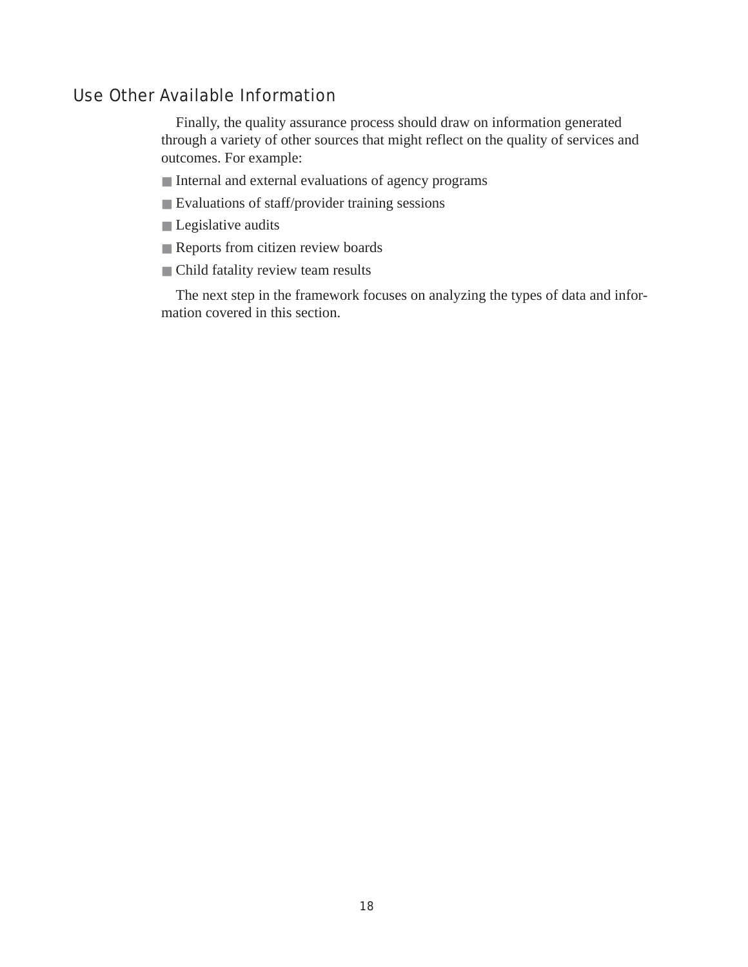# Use Other Available Information

Finally, the quality assurance process should draw on information generated through a variety of other sources that might reflect on the quality of services and outcomes. For example:

- Internal and external evaluations of agency programs
- Evaluations of staff/provider training sessions
- Legislative audits
- Reports from citizen review boards
- Child fatality review team results

The next step in the framework focuses on analyzing the types of data and information covered in this section.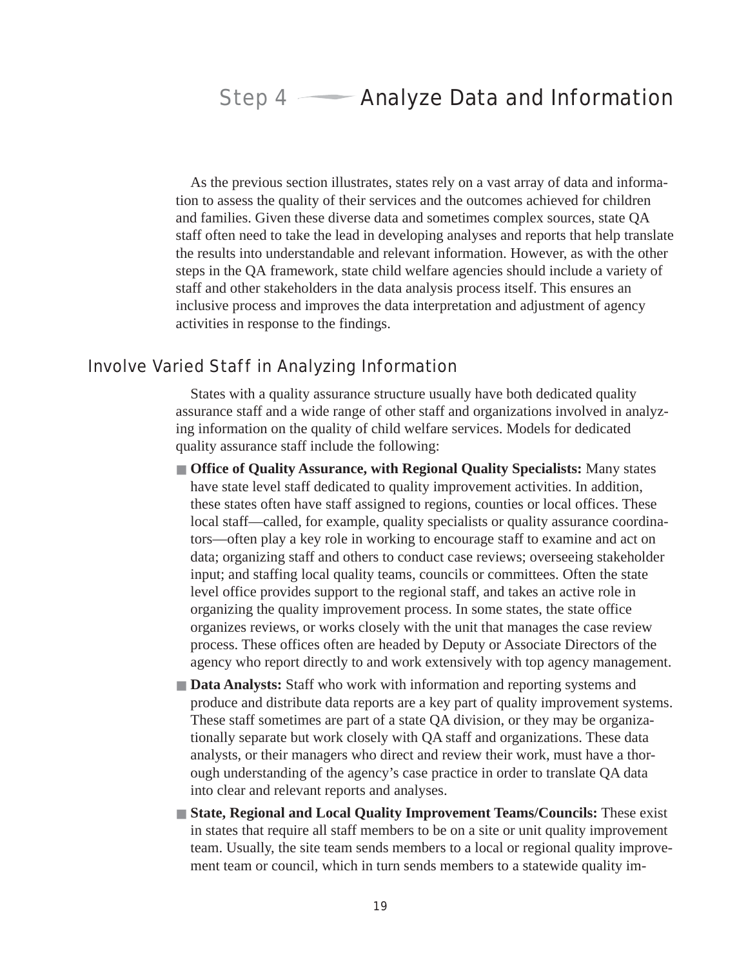# Step 4 **Analyze Data and Information**

As the previous section illustrates, states rely on a vast array of data and information to assess the quality of their services and the outcomes achieved for children and families. Given these diverse data and sometimes complex sources, state QA staff often need to take the lead in developing analyses and reports that help translate the results into understandable and relevant information. However, as with the other steps in the QA framework, state child welfare agencies should include a variety of staff and other stakeholders in the data analysis process itself. This ensures an inclusive process and improves the data interpretation and adjustment of agency activities in response to the findings.

# Involve Varied Staff in Analyzing Information

States with a quality assurance structure usually have both dedicated quality assurance staff and a wide range of other staff and organizations involved in analyzing information on the quality of child welfare services. Models for dedicated quality assurance staff include the following:

- **Office of Quality Assurance, with Regional Quality Specialists:** Many states have state level staff dedicated to quality improvement activities. In addition, these states often have staff assigned to regions, counties or local offices. These local staff—called, for example, quality specialists or quality assurance coordinators—often play a key role in working to encourage staff to examine and act on data; organizing staff and others to conduct case reviews; overseeing stakeholder input; and staffing local quality teams, councils or committees. Often the state level office provides support to the regional staff, and takes an active role in organizing the quality improvement process. In some states, the state office organizes reviews, or works closely with the unit that manages the case review process. These offices often are headed by Deputy or Associate Directors of the agency who report directly to and work extensively with top agency management.
- **Data Analysts:** Staff who work with information and reporting systems and produce and distribute data reports are a key part of quality improvement systems. These staff sometimes are part of a state QA division, or they may be organizationally separate but work closely with QA staff and organizations. These data analysts, or their managers who direct and review their work, must have a thorough understanding of the agency's case practice in order to translate QA data into clear and relevant reports and analyses.
- **State, Regional and Local Quality Improvement Teams/Councils:** These exist in states that require all staff members to be on a site or unit quality improvement team. Usually, the site team sends members to a local or regional quality improvement team or council, which in turn sends members to a statewide quality im-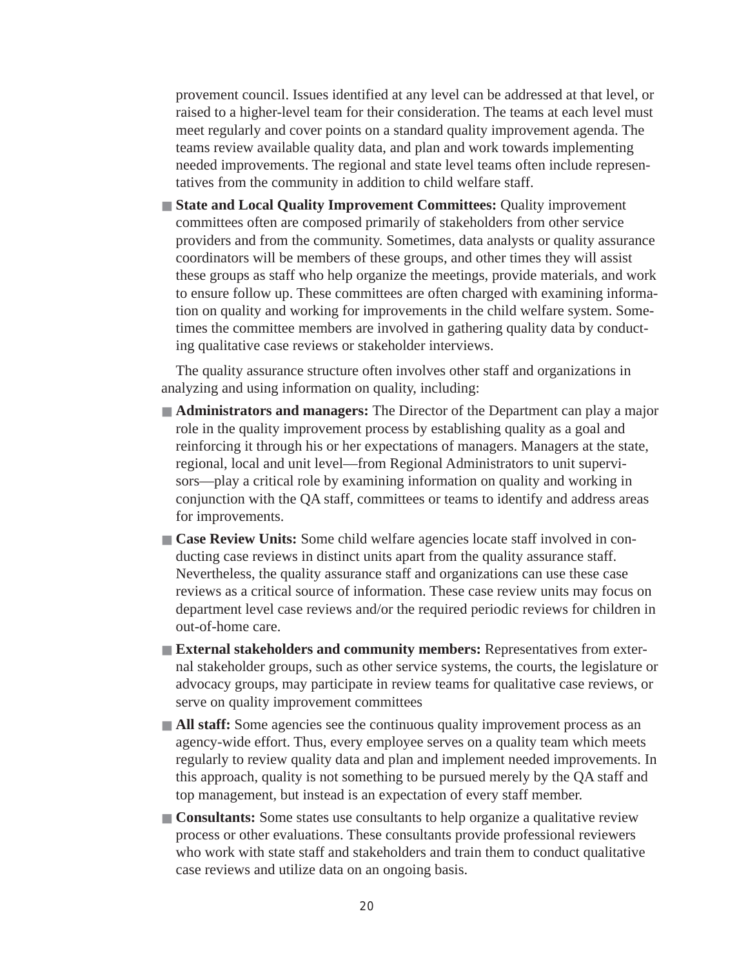provement council. Issues identified at any level can be addressed at that level, or raised to a higher-level team for their consideration. The teams at each level must meet regularly and cover points on a standard quality improvement agenda. The teams review available quality data, and plan and work towards implementing needed improvements. The regional and state level teams often include representatives from the community in addition to child welfare staff.

■ **State and Local Quality Improvement Committees: Quality improvement** committees often are composed primarily of stakeholders from other service providers and from the community. Sometimes, data analysts or quality assurance coordinators will be members of these groups, and other times they will assist these groups as staff who help organize the meetings, provide materials, and work to ensure follow up. These committees are often charged with examining information on quality and working for improvements in the child welfare system. Sometimes the committee members are involved in gathering quality data by conducting qualitative case reviews or stakeholder interviews.

The quality assurance structure often involves other staff and organizations in analyzing and using information on quality, including:

- **Administrators and managers:** The Director of the Department can play a major role in the quality improvement process by establishing quality as a goal and reinforcing it through his or her expectations of managers. Managers at the state, regional, local and unit level—from Regional Administrators to unit supervisors—play a critical role by examining information on quality and working in conjunction with the QA staff, committees or teams to identify and address areas for improvements.
- **Case Review Units:** Some child welfare agencies locate staff involved in conducting case reviews in distinct units apart from the quality assurance staff. Nevertheless, the quality assurance staff and organizations can use these case reviews as a critical source of information. These case review units may focus on department level case reviews and/or the required periodic reviews for children in out-of-home care.
- **External stakeholders and community members: Representatives from exter**nal stakeholder groups, such as other service systems, the courts, the legislature or advocacy groups, may participate in review teams for qualitative case reviews, or serve on quality improvement committees
- **All staff:** Some agencies see the continuous quality improvement process as an agency-wide effort. Thus, every employee serves on a quality team which meets regularly to review quality data and plan and implement needed improvements. In this approach, quality is not something to be pursued merely by the QA staff and top management, but instead is an expectation of every staff member.
- **Consultants:** Some states use consultants to help organize a qualitative review process or other evaluations. These consultants provide professional reviewers who work with state staff and stakeholders and train them to conduct qualitative case reviews and utilize data on an ongoing basis.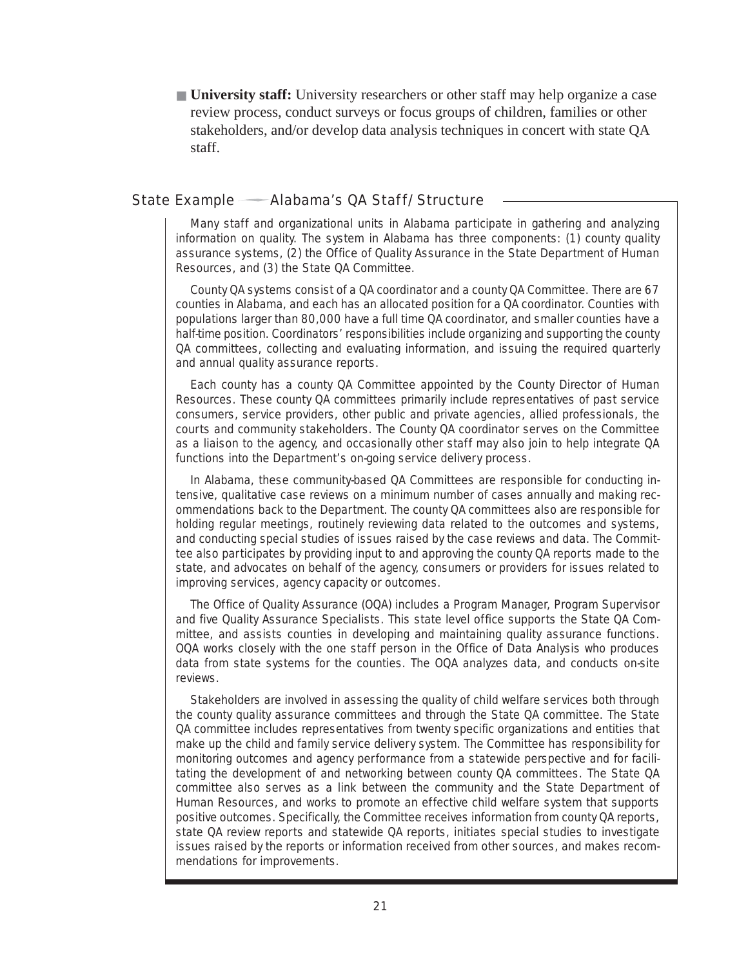■ **University staff:** University researchers or other staff may help organize a case review process, conduct surveys or focus groups of children, families or other stakeholders, and/or develop data analysis techniques in concert with state QA staff.

#### State Example — Alabama's QA Staff/Structure

Many staff and organizational units in Alabama participate in gathering and analyzing information on quality. The system in Alabama has three components: (1) county quality assurance systems, (2) the Office of Quality Assurance in the State Department of Human Resources, and (3) the State QA Committee.

County QA systems consist of a QA coordinator and a county QA Committee. There are 67 counties in Alabama, and each has an allocated position for a QA coordinator. Counties with populations larger than 80,000 have a full time QA coordinator, and smaller counties have a half-time position. Coordinators' responsibilities include organizing and supporting the county QA committees, collecting and evaluating information, and issuing the required quarterly and annual quality assurance reports.

Each county has a county QA Committee appointed by the County Director of Human Resources. These county QA committees primarily include representatives of past service consumers, service providers, other public and private agencies, allied professionals, the courts and community stakeholders. The County QA coordinator serves on the Committee as a liaison to the agency, and occasionally other staff may also join to help integrate QA functions into the Department's on-going service delivery process.

In Alabama, these community-based QA Committees are responsible for conducting intensive, qualitative case reviews on a minimum number of cases annually and making recommendations back to the Department. The county QA committees also are responsible for holding regular meetings, routinely reviewing data related to the outcomes and systems, and conducting special studies of issues raised by the case reviews and data. The Committee also participates by providing input to and approving the county QA reports made to the state, and advocates on behalf of the agency, consumers or providers for issues related to improving services, agency capacity or outcomes.

The Office of Quality Assurance (OQA) includes a Program Manager, Program Supervisor and five Quality Assurance Specialists. This state level office supports the State QA Committee, and assists counties in developing and maintaining quality assurance functions. OQA works closely with the one staff person in the Office of Data Analysis who produces data from state systems for the counties. The OQA analyzes data, and conducts on-site reviews.

Stakeholders are involved in assessing the quality of child welfare services both through the county quality assurance committees and through the State QA committee. The State QA committee includes representatives from twenty specific organizations and entities that make up the child and family service delivery system. The Committee has responsibility for monitoring outcomes and agency performance from a statewide perspective and for facilitating the development of and networking between county QA committees. The State QA committee also serves as a link between the community and the State Department of Human Resources, and works to promote an effective child welfare system that supports positive outcomes. Specifically, the Committee receives information from county QA reports, state QA review reports and statewide QA reports, initiates special studies to investigate issues raised by the reports or information received from other sources, and makes recommendations for improvements.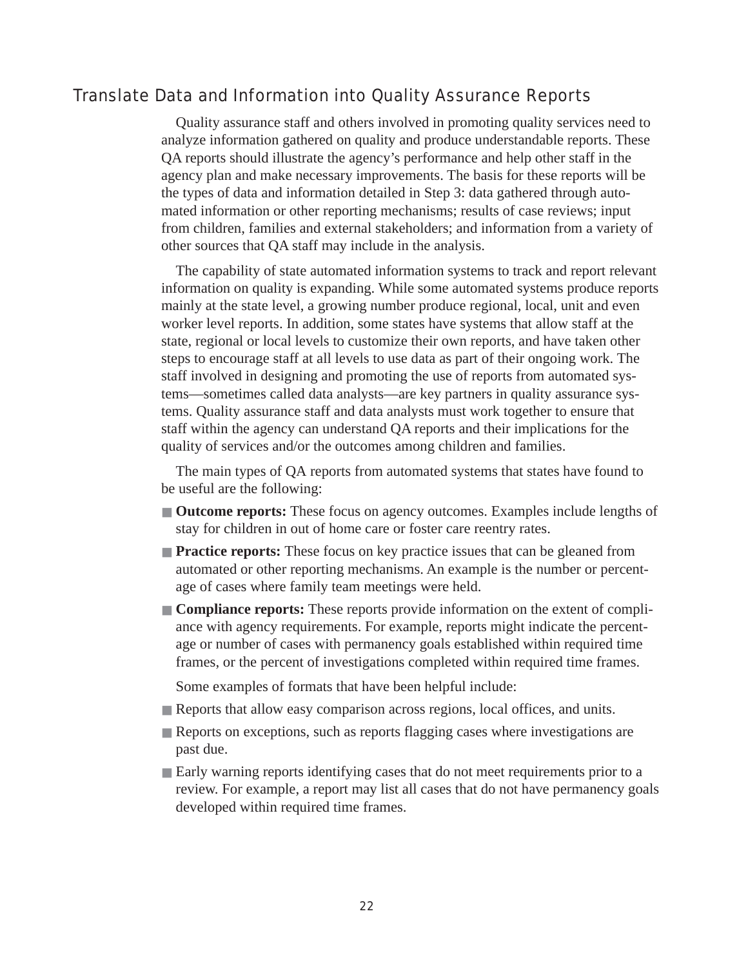# Translate Data and Information into Quality Assurance Reports

Quality assurance staff and others involved in promoting quality services need to analyze information gathered on quality and produce understandable reports. These QA reports should illustrate the agency's performance and help other staff in the agency plan and make necessary improvements. The basis for these reports will be the types of data and information detailed in Step 3: data gathered through automated information or other reporting mechanisms; results of case reviews; input from children, families and external stakeholders; and information from a variety of other sources that QA staff may include in the analysis.

The capability of state automated information systems to track and report relevant information on quality is expanding. While some automated systems produce reports mainly at the state level, a growing number produce regional, local, unit and even worker level reports. In addition, some states have systems that allow staff at the state, regional or local levels to customize their own reports, and have taken other steps to encourage staff at all levels to use data as part of their ongoing work. The staff involved in designing and promoting the use of reports from automated systems—sometimes called data analysts—are key partners in quality assurance systems. Quality assurance staff and data analysts must work together to ensure that staff within the agency can understand QA reports and their implications for the quality of services and/or the outcomes among children and families.

The main types of QA reports from automated systems that states have found to be useful are the following:

- **Outcome reports:** These focus on agency outcomes. Examples include lengths of stay for children in out of home care or foster care reentry rates.
- **Practice reports:** These focus on key practice issues that can be gleaned from automated or other reporting mechanisms. An example is the number or percentage of cases where family team meetings were held.
- **Compliance reports:** These reports provide information on the extent of compliance with agency requirements. For example, reports might indicate the percentage or number of cases with permanency goals established within required time frames, or the percent of investigations completed within required time frames.

Some examples of formats that have been helpful include:

- Reports that allow easy comparison across regions, local offices, and units.
- Reports on exceptions, such as reports flagging cases where investigations are past due.
- Early warning reports identifying cases that do not meet requirements prior to a review. For example, a report may list all cases that do not have permanency goals developed within required time frames.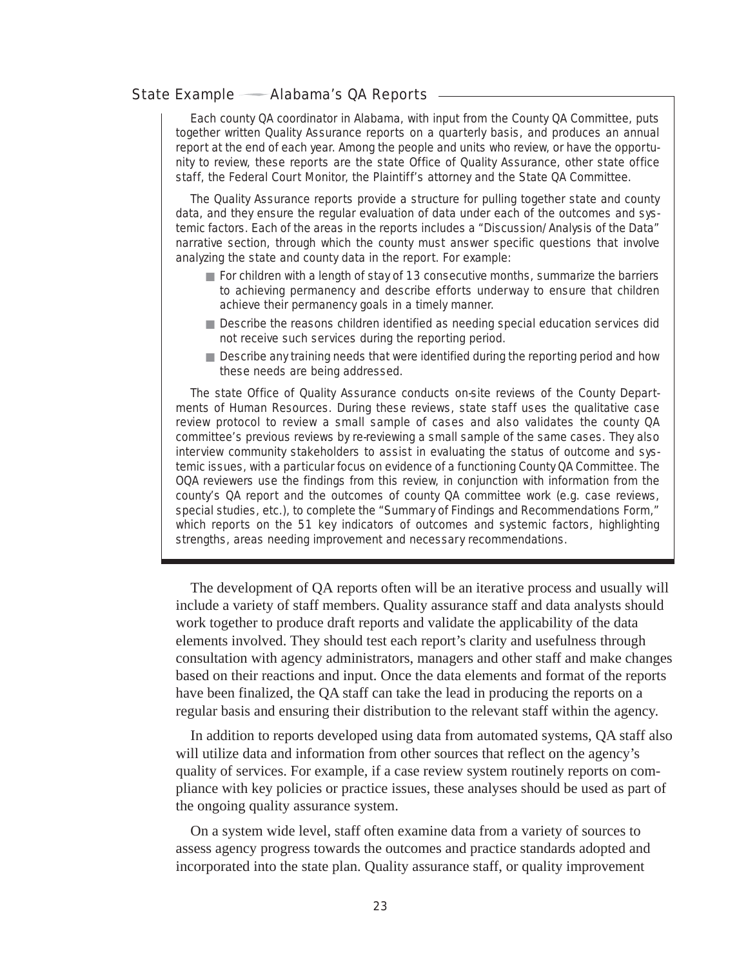#### State Example — Alabama's QA Reports -

Each county QA coordinator in Alabama, with input from the County QA Committee, puts together written Quality Assurance reports on a quarterly basis, and produces an annual report at the end of each year. Among the people and units who review, or have the opportunity to review, these reports are the state Office of Quality Assurance, other state office staff, the Federal Court Monitor, the Plaintiff's attorney and the State QA Committee.

The Quality Assurance reports provide a structure for pulling together state and county data, and they ensure the regular evaluation of data under each of the outcomes and systemic factors. Each of the areas in the reports includes a "Discussion/Analysis of the Data" narrative section, through which the county must answer specific questions that involve analyzing the state and county data in the report. For example:

- For children with a length of stay of 13 consecutive months, summarize the barriers to achieving permanency and describe efforts underway to ensure that children achieve their permanency goals in a timely manner.
- Describe the reasons children identified as needing special education services did not receive such services during the reporting period.
- Describe any training needs that were identified during the reporting period and how these needs are being addressed.

The state Office of Quality Assurance conducts on-site reviews of the County Departments of Human Resources. During these reviews, state staff uses the qualitative case review protocol to review a small sample of cases and also validates the county QA committee's previous reviews by re-reviewing a small sample of the same cases. They also interview community stakeholders to assist in evaluating the status of outcome and systemic issues, with a particular focus on evidence of a functioning County QA Committee. The OQA reviewers use the findings from this review, in conjunction with information from the county's QA report and the outcomes of county QA committee work (e.g. case reviews, special studies, etc.), to complete the "Summary of Findings and Recommendations Form," which reports on the 51 key indicators of outcomes and systemic factors, highlighting strengths, areas needing improvement and necessary recommendations.

The development of QA reports often will be an iterative process and usually will include a variety of staff members. Quality assurance staff and data analysts should work together to produce draft reports and validate the applicability of the data elements involved. They should test each report's clarity and usefulness through consultation with agency administrators, managers and other staff and make changes based on their reactions and input. Once the data elements and format of the reports have been finalized, the QA staff can take the lead in producing the reports on a regular basis and ensuring their distribution to the relevant staff within the agency.

In addition to reports developed using data from automated systems, QA staff also will utilize data and information from other sources that reflect on the agency's quality of services. For example, if a case review system routinely reports on compliance with key policies or practice issues, these analyses should be used as part of the ongoing quality assurance system.

On a system wide level, staff often examine data from a variety of sources to assess agency progress towards the outcomes and practice standards adopted and incorporated into the state plan. Quality assurance staff, or quality improvement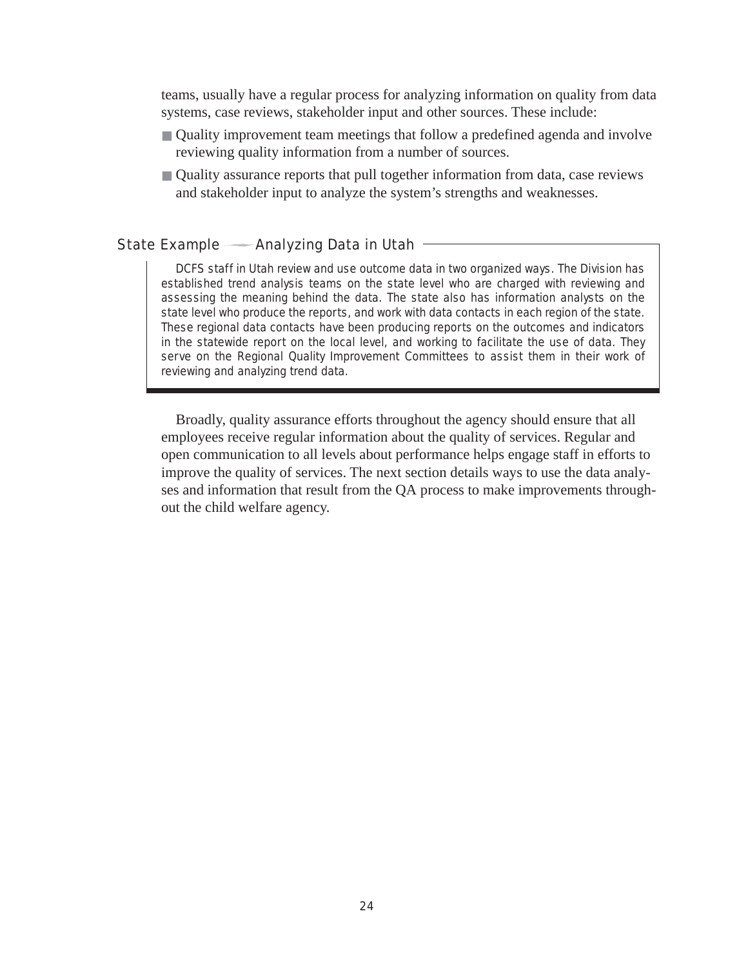teams, usually have a regular process for analyzing information on quality from data systems, case reviews, stakeholder input and other sources. These include:

- Quality improvement team meetings that follow a predefined agenda and involve reviewing quality information from a number of sources.
- Quality assurance reports that pull together information from data, case reviews and stakeholder input to analyze the system's strengths and weaknesses.

### State Example  $\longrightarrow$  Analyzing Data in Utah  $\equiv$

DCFS staff in Utah review and use outcome data in two organized ways. The Division has established trend analysis teams on the state level who are charged with reviewing and assessing the meaning behind the data. The state also has information analysts on the state level who produce the reports, and work with data contacts in each region of the state. These regional data contacts have been producing reports on the outcomes and indicators in the statewide report on the local level, and working to facilitate the use of data. They serve on the Regional Quality Improvement Committees to assist them in their work of reviewing and analyzing trend data.

Broadly, quality assurance efforts throughout the agency should ensure that all employees receive regular information about the quality of services. Regular and open communication to all levels about performance helps engage staff in efforts to improve the quality of services. The next section details ways to use the data analyses and information that result from the QA process to make improvements throughout the child welfare agency.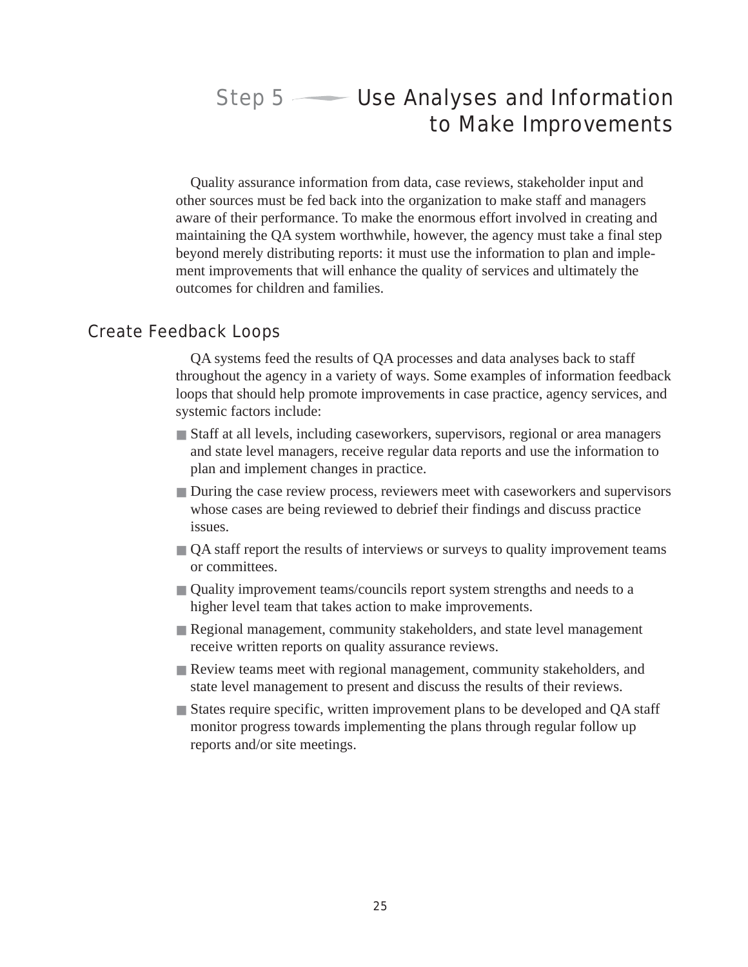# Step  $5 \longrightarrow$  Use Analyses and Information to Make Improvements

Quality assurance information from data, case reviews, stakeholder input and other sources must be fed back into the organization to make staff and managers aware of their performance. To make the enormous effort involved in creating and maintaining the QA system worthwhile, however, the agency must take a final step beyond merely distributing reports: it must use the information to plan and implement improvements that will enhance the quality of services and ultimately the outcomes for children and families.

# Create Feedback Loops

QA systems feed the results of QA processes and data analyses back to staff throughout the agency in a variety of ways. Some examples of information feedback loops that should help promote improvements in case practice, agency services, and systemic factors include:

- Staff at all levels, including caseworkers, supervisors, regional or area managers and state level managers, receive regular data reports and use the information to plan and implement changes in practice.
- During the case review process, reviewers meet with caseworkers and supervisors whose cases are being reviewed to debrief their findings and discuss practice issues.
- QA staff report the results of interviews or surveys to quality improvement teams or committees.
- Quality improvement teams/councils report system strengths and needs to a higher level team that takes action to make improvements.
- Regional management, community stakeholders, and state level management receive written reports on quality assurance reviews.
- Review teams meet with regional management, community stakeholders, and state level management to present and discuss the results of their reviews.
- States require specific, written improvement plans to be developed and QA staff monitor progress towards implementing the plans through regular follow up reports and/or site meetings.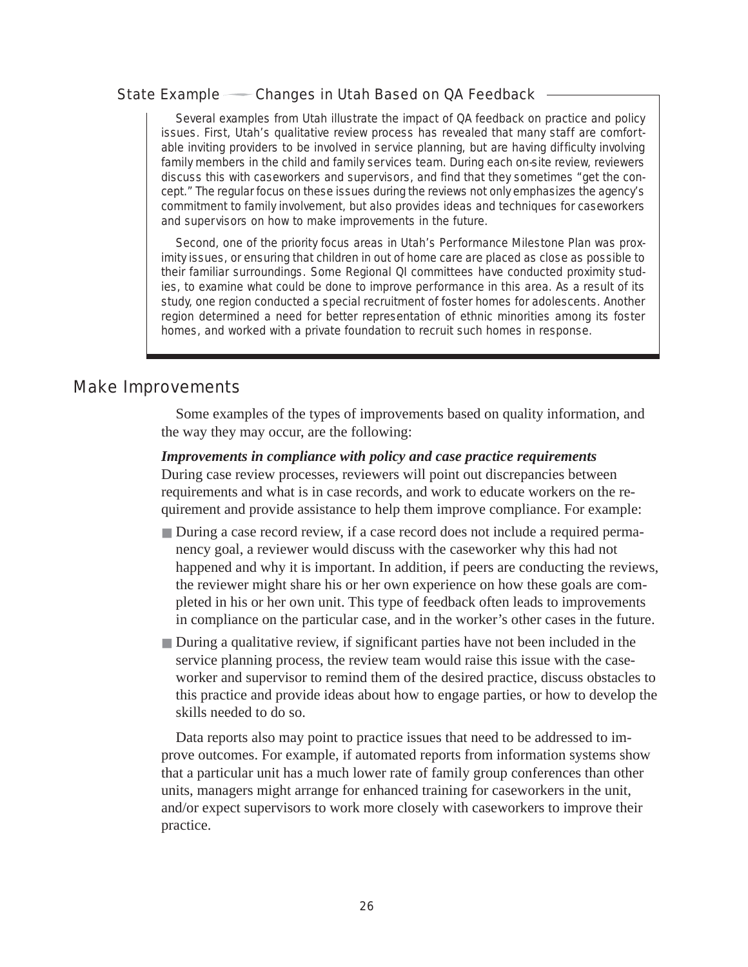#### State Example Changes in Utah Based on QA Feedback

Several examples from Utah illustrate the impact of QA feedback on practice and policy issues. First, Utah's qualitative review process has revealed that many staff are comfortable inviting providers to be involved in service planning, but are having difficulty involving family members in the child and family services team. During each on-site review, reviewers discuss this with caseworkers and supervisors, and find that they sometimes "get the concept." The regular focus on these issues during the reviews not only emphasizes the agency's commitment to family involvement, but also provides ideas and techniques for caseworkers and supervisors on how to make improvements in the future.

Second, one of the priority focus areas in Utah's Performance Milestone Plan was proximity issues, or ensuring that children in out of home care are placed as close as possible to their familiar surroundings. Some Regional QI committees have conducted proximity studies, to examine what could be done to improve performance in this area. As a result of its study, one region conducted a special recruitment of foster homes for adolescents. Another region determined a need for better representation of ethnic minorities among its foster homes, and worked with a private foundation to recruit such homes in response.

## Make Improvements

Some examples of the types of improvements based on quality information, and the way they may occur, are the following:

#### *Improvements in compliance with policy and case practice requirements*

During case review processes, reviewers will point out discrepancies between requirements and what is in case records, and work to educate workers on the requirement and provide assistance to help them improve compliance. For example:

- During a case record review, if a case record does not include a required permanency goal, a reviewer would discuss with the caseworker why this had not happened and why it is important. In addition, if peers are conducting the reviews, the reviewer might share his or her own experience on how these goals are completed in his or her own unit. This type of feedback often leads to improvements in compliance on the particular case, and in the worker's other cases in the future.
- During a qualitative review, if significant parties have not been included in the service planning process, the review team would raise this issue with the caseworker and supervisor to remind them of the desired practice, discuss obstacles to this practice and provide ideas about how to engage parties, or how to develop the skills needed to do so.

Data reports also may point to practice issues that need to be addressed to improve outcomes. For example, if automated reports from information systems show that a particular unit has a much lower rate of family group conferences than other units, managers might arrange for enhanced training for caseworkers in the unit, and/or expect supervisors to work more closely with caseworkers to improve their practice.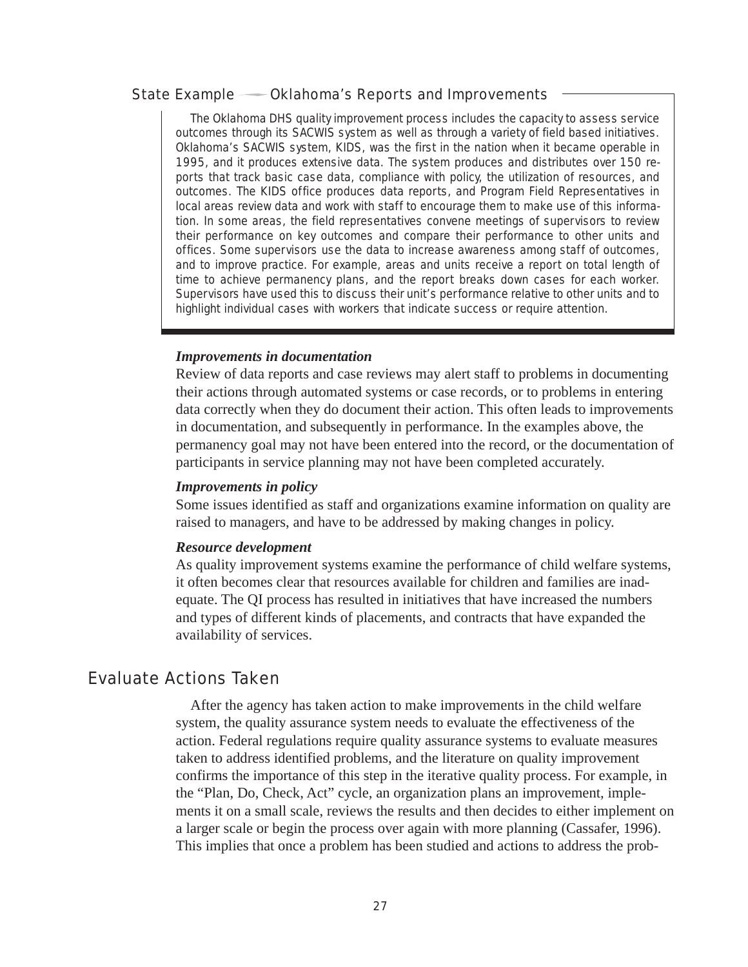#### State Example Oklahoma's Reports and Improvements

The Oklahoma DHS quality improvement process includes the capacity to assess service outcomes through its SACWIS system as well as through a variety of field based initiatives. Oklahoma's SACWIS system, KIDS, was the first in the nation when it became operable in 1995, and it produces extensive data. The system produces and distributes over 150 reports that track basic case data, compliance with policy, the utilization of resources, and outcomes. The KIDS office produces data reports, and Program Field Representatives in local areas review data and work with staff to encourage them to make use of this information. In some areas, the field representatives convene meetings of supervisors to review their performance on key outcomes and compare their performance to other units and offices. Some supervisors use the data to increase awareness among staff of outcomes, and to improve practice. For example, areas and units receive a report on total length of time to achieve permanency plans, and the report breaks down cases for each worker. Supervisors have used this to discuss their unit's performance relative to other units and to highlight individual cases with workers that indicate success or require attention.

#### *Improvements in documentation*

Review of data reports and case reviews may alert staff to problems in documenting their actions through automated systems or case records, or to problems in entering data correctly when they do document their action. This often leads to improvements in documentation, and subsequently in performance. In the examples above, the permanency goal may not have been entered into the record, or the documentation of participants in service planning may not have been completed accurately.

#### *Improvements in policy*

Some issues identified as staff and organizations examine information on quality are raised to managers, and have to be addressed by making changes in policy.

#### *Resource development*

As quality improvement systems examine the performance of child welfare systems, it often becomes clear that resources available for children and families are inadequate. The QI process has resulted in initiatives that have increased the numbers and types of different kinds of placements, and contracts that have expanded the availability of services.

## Evaluate Actions Taken

After the agency has taken action to make improvements in the child welfare system, the quality assurance system needs to evaluate the effectiveness of the action. Federal regulations require quality assurance systems to evaluate measures taken to address identified problems, and the literature on quality improvement confirms the importance of this step in the iterative quality process. For example, in the "Plan, Do, Check, Act" cycle, an organization plans an improvement, implements it on a small scale, reviews the results and then decides to either implement on a larger scale or begin the process over again with more planning (Cassafer, 1996). This implies that once a problem has been studied and actions to address the prob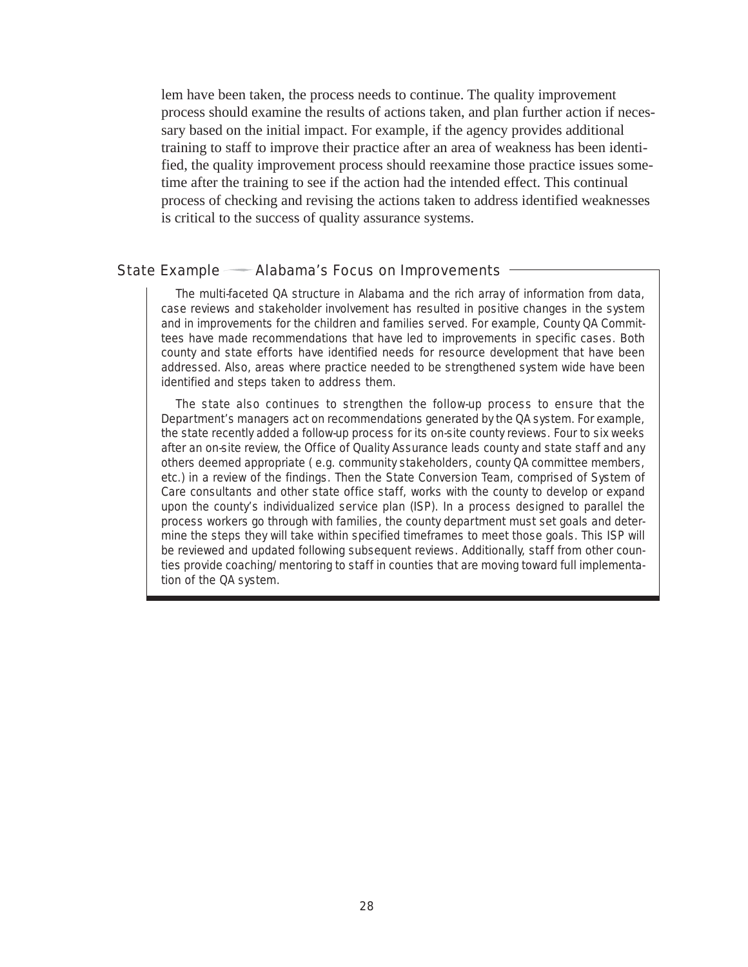lem have been taken, the process needs to continue. The quality improvement process should examine the results of actions taken, and plan further action if necessary based on the initial impact. For example, if the agency provides additional training to staff to improve their practice after an area of weakness has been identified, the quality improvement process should reexamine those practice issues sometime after the training to see if the action had the intended effect. This continual process of checking and revising the actions taken to address identified weaknesses is critical to the success of quality assurance systems.

#### State Example — Alabama's Focus on Improvements

The multi-faceted QA structure in Alabama and the rich array of information from data, case reviews and stakeholder involvement has resulted in positive changes in the system and in improvements for the children and families served. For example, County QA Committees have made recommendations that have led to improvements in specific cases. Both county and state efforts have identified needs for resource development that have been addressed. Also, areas where practice needed to be strengthened system wide have been identified and steps taken to address them.

The state also continues to strengthen the follow-up process to ensure that the Department's managers act on recommendations generated by the QA system. For example, the state recently added a follow-up process for its on-site county reviews. Four to six weeks after an on-site review, the Office of Quality Assurance leads county and state staff and any others deemed appropriate ( e.g. community stakeholders, county QA committee members, etc.) in a review of the findings. Then the State Conversion Team, comprised of System of Care consultants and other state office staff, works with the county to develop or expand upon the county's individualized service plan (ISP). In a process designed to parallel the process workers go through with families, the county department must set goals and determine the steps they will take within specified timeframes to meet those goals. This ISP will be reviewed and updated following subsequent reviews. Additionally, staff from other counties provide coaching/mentoring to staff in counties that are moving toward full implementation of the QA system.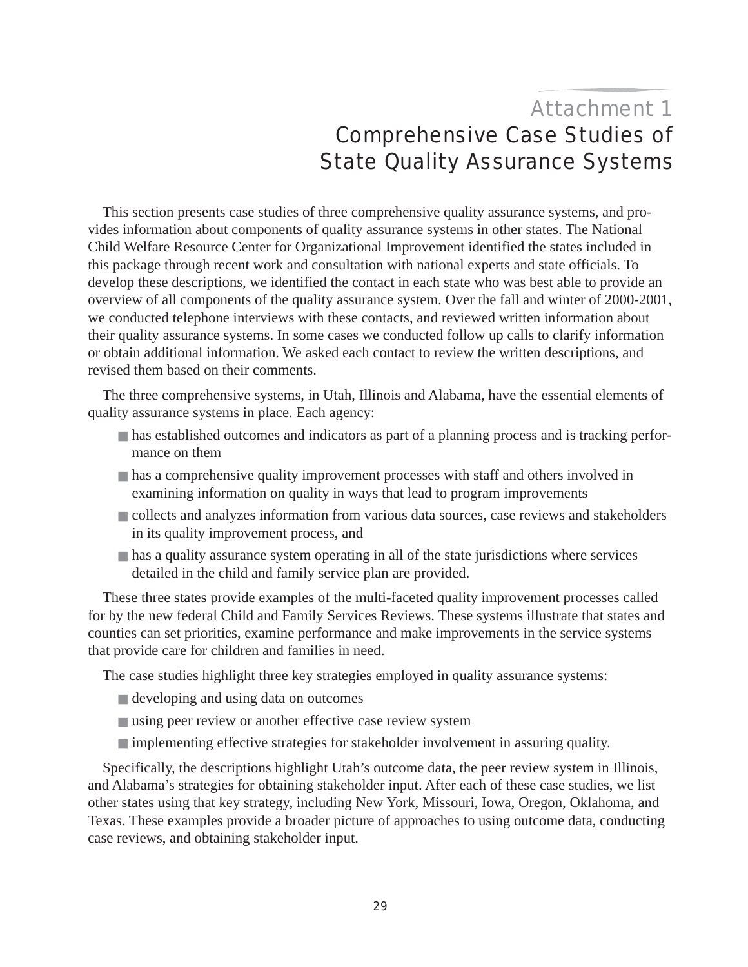# Attachment 1 Comprehensive Case Studies of State Quality Assurance Systems

This section presents case studies of three comprehensive quality assurance systems, and provides information about components of quality assurance systems in other states. The National Child Welfare Resource Center for Organizational Improvement identified the states included in this package through recent work and consultation with national experts and state officials. To develop these descriptions, we identified the contact in each state who was best able to provide an overview of all components of the quality assurance system. Over the fall and winter of 2000-2001, we conducted telephone interviews with these contacts, and reviewed written information about their quality assurance systems. In some cases we conducted follow up calls to clarify information or obtain additional information. We asked each contact to review the written descriptions, and revised them based on their comments.

The three comprehensive systems, in Utah, Illinois and Alabama, have the essential elements of quality assurance systems in place. Each agency:

- has established outcomes and indicators as part of a planning process and is tracking performance on them
- has a comprehensive quality improvement processes with staff and others involved in examining information on quality in ways that lead to program improvements
- collects and analyzes information from various data sources, case reviews and stakeholders in its quality improvement process, and
- has a quality assurance system operating in all of the state jurisdictions where services detailed in the child and family service plan are provided.

These three states provide examples of the multi-faceted quality improvement processes called for by the new federal Child and Family Services Reviews. These systems illustrate that states and counties can set priorities, examine performance and make improvements in the service systems that provide care for children and families in need.

The case studies highlight three key strategies employed in quality assurance systems:

- developing and using data on outcomes
- using peer review or another effective case review system
- implementing effective strategies for stakeholder involvement in assuring quality.

Specifically, the descriptions highlight Utah's outcome data, the peer review system in Illinois, and Alabama's strategies for obtaining stakeholder input. After each of these case studies, we list other states using that key strategy, including New York, Missouri, Iowa, Oregon, Oklahoma, and Texas. These examples provide a broader picture of approaches to using outcome data, conducting case reviews, and obtaining stakeholder input.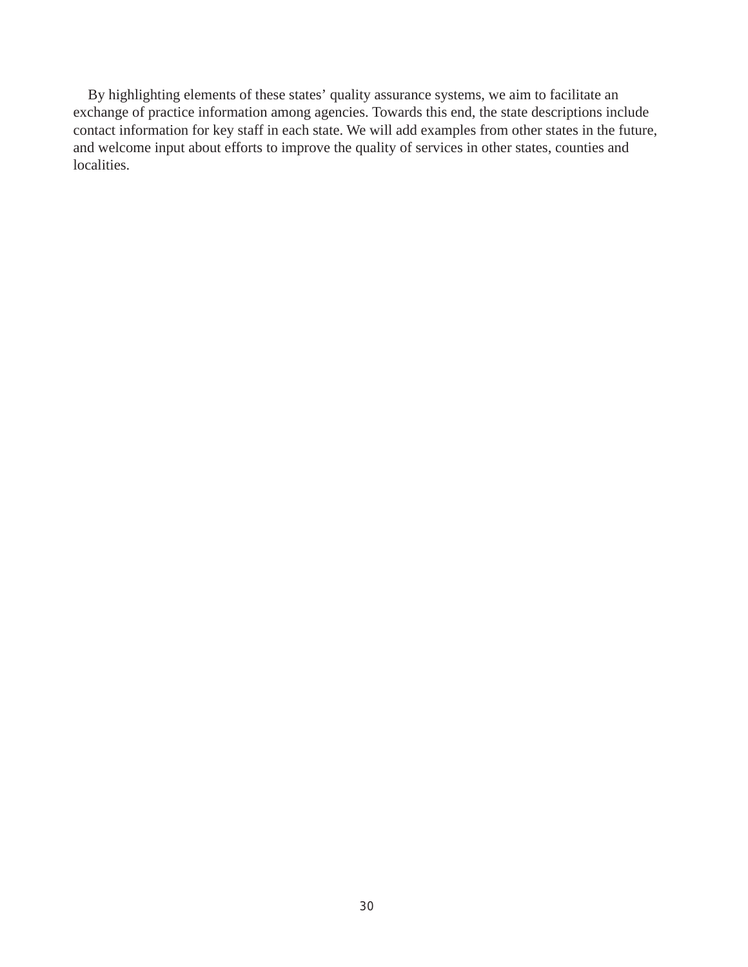By highlighting elements of these states' quality assurance systems, we aim to facilitate an exchange of practice information among agencies. Towards this end, the state descriptions include contact information for key staff in each state. We will add examples from other states in the future, and welcome input about efforts to improve the quality of services in other states, counties and localities.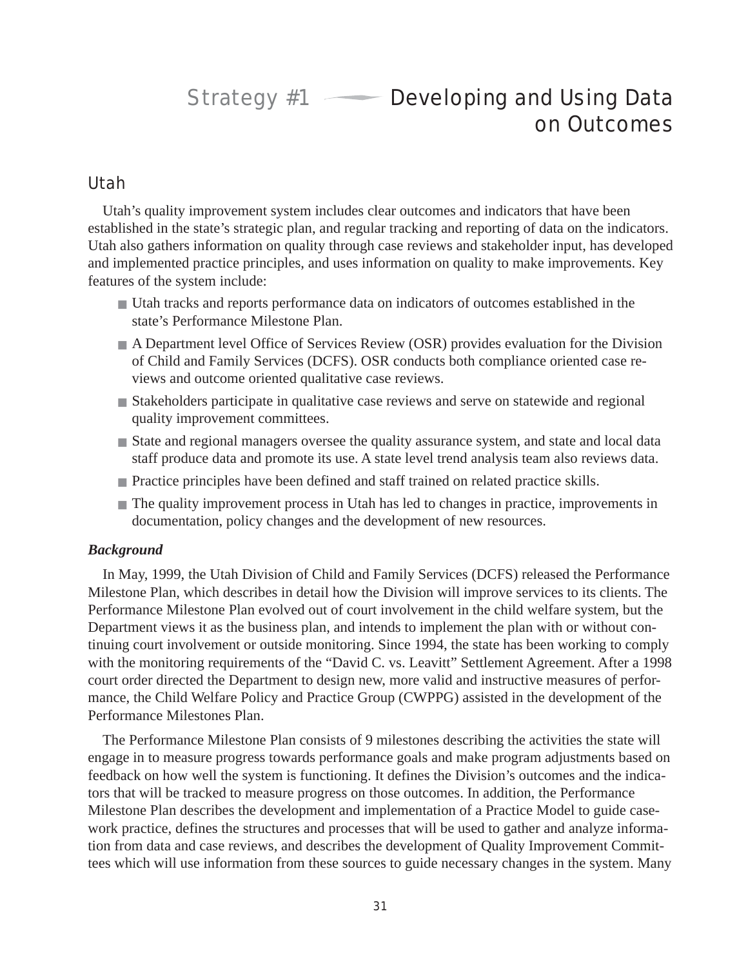# Strategy  $#1$  — Developing and Using Data on Outcomes

## Utah

Utah's quality improvement system includes clear outcomes and indicators that have been established in the state's strategic plan, and regular tracking and reporting of data on the indicators. Utah also gathers information on quality through case reviews and stakeholder input, has developed and implemented practice principles, and uses information on quality to make improvements. Key features of the system include:

- Utah tracks and reports performance data on indicators of outcomes established in the state's Performance Milestone Plan.
- A Department level Office of Services Review (OSR) provides evaluation for the Division of Child and Family Services (DCFS). OSR conducts both compliance oriented case reviews and outcome oriented qualitative case reviews.
- Stakeholders participate in qualitative case reviews and serve on statewide and regional quality improvement committees.
- State and regional managers oversee the quality assurance system, and state and local data staff produce data and promote its use. A state level trend analysis team also reviews data.
- Practice principles have been defined and staff trained on related practice skills.
- The quality improvement process in Utah has led to changes in practice, improvements in documentation, policy changes and the development of new resources.

#### *Background*

In May, 1999, the Utah Division of Child and Family Services (DCFS) released the Performance Milestone Plan, which describes in detail how the Division will improve services to its clients. The Performance Milestone Plan evolved out of court involvement in the child welfare system, but the Department views it as the business plan, and intends to implement the plan with or without continuing court involvement or outside monitoring. Since 1994, the state has been working to comply with the monitoring requirements of the "David C. vs. Leavitt" Settlement Agreement. After a 1998 court order directed the Department to design new, more valid and instructive measures of performance, the Child Welfare Policy and Practice Group (CWPPG) assisted in the development of the Performance Milestones Plan.

The Performance Milestone Plan consists of 9 milestones describing the activities the state will engage in to measure progress towards performance goals and make program adjustments based on feedback on how well the system is functioning. It defines the Division's outcomes and the indicators that will be tracked to measure progress on those outcomes. In addition, the Performance Milestone Plan describes the development and implementation of a Practice Model to guide casework practice, defines the structures and processes that will be used to gather and analyze information from data and case reviews, and describes the development of Quality Improvement Committees which will use information from these sources to guide necessary changes in the system. Many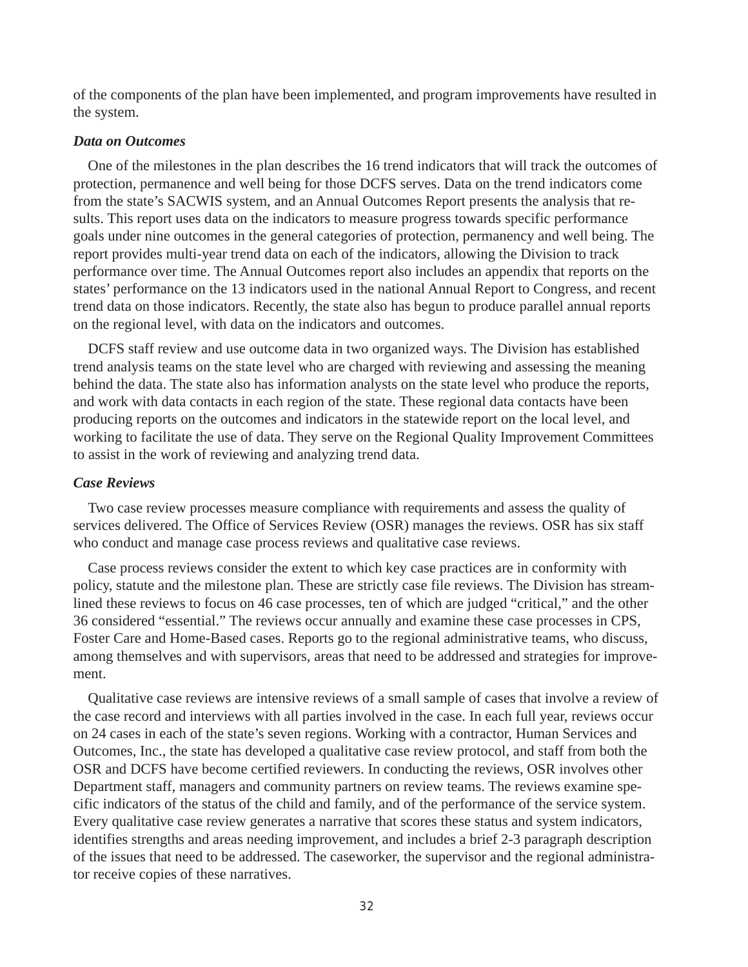of the components of the plan have been implemented, and program improvements have resulted in the system.

#### *Data on Outcomes*

One of the milestones in the plan describes the 16 trend indicators that will track the outcomes of protection, permanence and well being for those DCFS serves. Data on the trend indicators come from the state's SACWIS system, and an Annual Outcomes Report presents the analysis that results. This report uses data on the indicators to measure progress towards specific performance goals under nine outcomes in the general categories of protection, permanency and well being. The report provides multi-year trend data on each of the indicators, allowing the Division to track performance over time. The Annual Outcomes report also includes an appendix that reports on the states' performance on the 13 indicators used in the national Annual Report to Congress, and recent trend data on those indicators. Recently, the state also has begun to produce parallel annual reports on the regional level, with data on the indicators and outcomes.

DCFS staff review and use outcome data in two organized ways. The Division has established trend analysis teams on the state level who are charged with reviewing and assessing the meaning behind the data. The state also has information analysts on the state level who produce the reports, and work with data contacts in each region of the state. These regional data contacts have been producing reports on the outcomes and indicators in the statewide report on the local level, and working to facilitate the use of data. They serve on the Regional Quality Improvement Committees to assist in the work of reviewing and analyzing trend data.

### *Case Reviews*

Two case review processes measure compliance with requirements and assess the quality of services delivered. The Office of Services Review (OSR) manages the reviews. OSR has six staff who conduct and manage case process reviews and qualitative case reviews.

Case process reviews consider the extent to which key case practices are in conformity with policy, statute and the milestone plan. These are strictly case file reviews. The Division has streamlined these reviews to focus on 46 case processes, ten of which are judged "critical," and the other 36 considered "essential." The reviews occur annually and examine these case processes in CPS, Foster Care and Home-Based cases. Reports go to the regional administrative teams, who discuss, among themselves and with supervisors, areas that need to be addressed and strategies for improvement.

Qualitative case reviews are intensive reviews of a small sample of cases that involve a review of the case record and interviews with all parties involved in the case. In each full year, reviews occur on 24 cases in each of the state's seven regions. Working with a contractor, Human Services and Outcomes, Inc., the state has developed a qualitative case review protocol, and staff from both the OSR and DCFS have become certified reviewers. In conducting the reviews, OSR involves other Department staff, managers and community partners on review teams. The reviews examine specific indicators of the status of the child and family, and of the performance of the service system. Every qualitative case review generates a narrative that scores these status and system indicators, identifies strengths and areas needing improvement, and includes a brief 2-3 paragraph description of the issues that need to be addressed. The caseworker, the supervisor and the regional administrator receive copies of these narratives.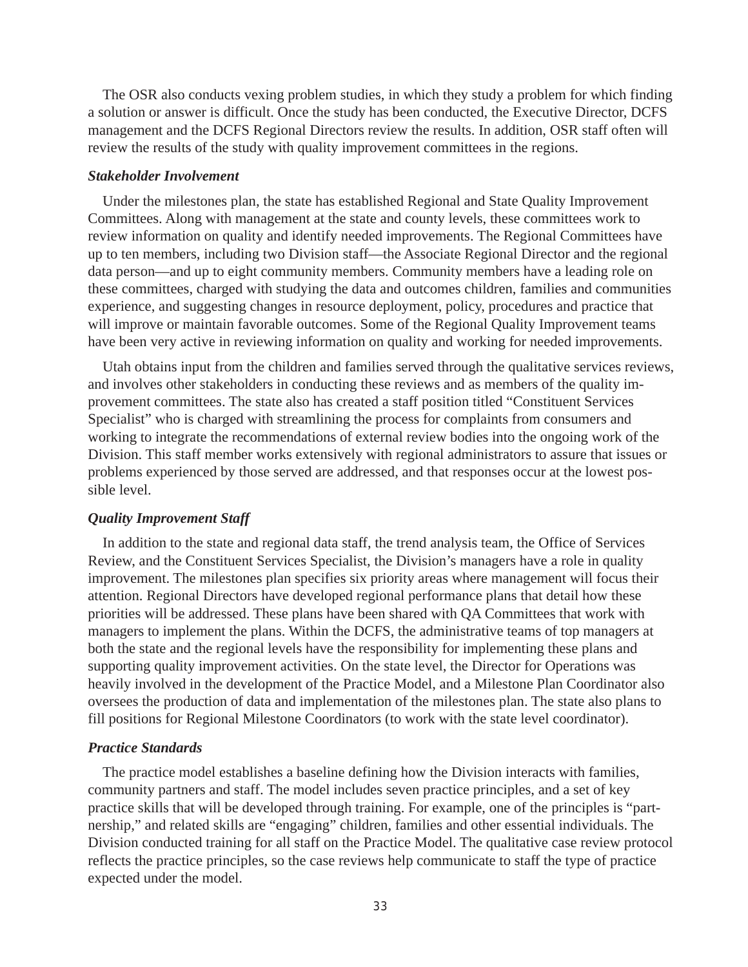The OSR also conducts vexing problem studies, in which they study a problem for which finding a solution or answer is difficult. Once the study has been conducted, the Executive Director, DCFS management and the DCFS Regional Directors review the results. In addition, OSR staff often will review the results of the study with quality improvement committees in the regions.

#### *Stakeholder Involvement*

Under the milestones plan, the state has established Regional and State Quality Improvement Committees. Along with management at the state and county levels, these committees work to review information on quality and identify needed improvements. The Regional Committees have up to ten members, including two Division staff—the Associate Regional Director and the regional data person—and up to eight community members. Community members have a leading role on these committees, charged with studying the data and outcomes children, families and communities experience, and suggesting changes in resource deployment, policy, procedures and practice that will improve or maintain favorable outcomes. Some of the Regional Quality Improvement teams have been very active in reviewing information on quality and working for needed improvements.

Utah obtains input from the children and families served through the qualitative services reviews, and involves other stakeholders in conducting these reviews and as members of the quality improvement committees. The state also has created a staff position titled "Constituent Services Specialist" who is charged with streamlining the process for complaints from consumers and working to integrate the recommendations of external review bodies into the ongoing work of the Division. This staff member works extensively with regional administrators to assure that issues or problems experienced by those served are addressed, and that responses occur at the lowest possible level.

#### *Quality Improvement Staff*

In addition to the state and regional data staff, the trend analysis team, the Office of Services Review, and the Constituent Services Specialist, the Division's managers have a role in quality improvement. The milestones plan specifies six priority areas where management will focus their attention. Regional Directors have developed regional performance plans that detail how these priorities will be addressed. These plans have been shared with QA Committees that work with managers to implement the plans. Within the DCFS, the administrative teams of top managers at both the state and the regional levels have the responsibility for implementing these plans and supporting quality improvement activities. On the state level, the Director for Operations was heavily involved in the development of the Practice Model, and a Milestone Plan Coordinator also oversees the production of data and implementation of the milestones plan. The state also plans to fill positions for Regional Milestone Coordinators (to work with the state level coordinator).

#### *Practice Standards*

The practice model establishes a baseline defining how the Division interacts with families, community partners and staff. The model includes seven practice principles, and a set of key practice skills that will be developed through training. For example, one of the principles is "partnership," and related skills are "engaging" children, families and other essential individuals. The Division conducted training for all staff on the Practice Model. The qualitative case review protocol reflects the practice principles, so the case reviews help communicate to staff the type of practice expected under the model.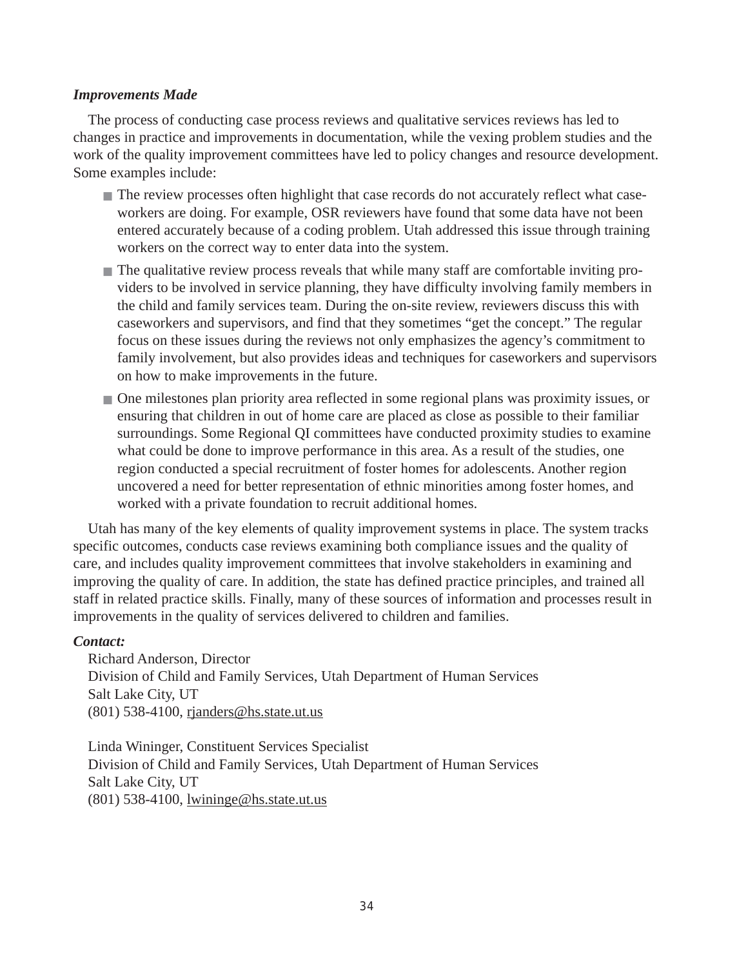### *Improvements Made*

The process of conducting case process reviews and qualitative services reviews has led to changes in practice and improvements in documentation, while the vexing problem studies and the work of the quality improvement committees have led to policy changes and resource development. Some examples include:

- The review processes often highlight that case records do not accurately reflect what caseworkers are doing. For example, OSR reviewers have found that some data have not been entered accurately because of a coding problem. Utah addressed this issue through training workers on the correct way to enter data into the system.
- The qualitative review process reveals that while many staff are comfortable inviting providers to be involved in service planning, they have difficulty involving family members in the child and family services team. During the on-site review, reviewers discuss this with caseworkers and supervisors, and find that they sometimes "get the concept." The regular focus on these issues during the reviews not only emphasizes the agency's commitment to family involvement, but also provides ideas and techniques for caseworkers and supervisors on how to make improvements in the future.
- One milestones plan priority area reflected in some regional plans was proximity issues, or ensuring that children in out of home care are placed as close as possible to their familiar surroundings. Some Regional QI committees have conducted proximity studies to examine what could be done to improve performance in this area. As a result of the studies, one region conducted a special recruitment of foster homes for adolescents. Another region uncovered a need for better representation of ethnic minorities among foster homes, and worked with a private foundation to recruit additional homes.

Utah has many of the key elements of quality improvement systems in place. The system tracks specific outcomes, conducts case reviews examining both compliance issues and the quality of care, and includes quality improvement committees that involve stakeholders in examining and improving the quality of care. In addition, the state has defined practice principles, and trained all staff in related practice skills. Finally, many of these sources of information and processes result in improvements in the quality of services delivered to children and families.

### *Contact:*

Richard Anderson, Director Division of Child and Family Services, Utah Department of Human Services Salt Lake City, UT (801) 538-4100, rjanders@hs.state.ut.us

Linda Wininger, Constituent Services Specialist Division of Child and Family Services, Utah Department of Human Services Salt Lake City, UT (801) 538-4100, lwininge@hs.state.ut.us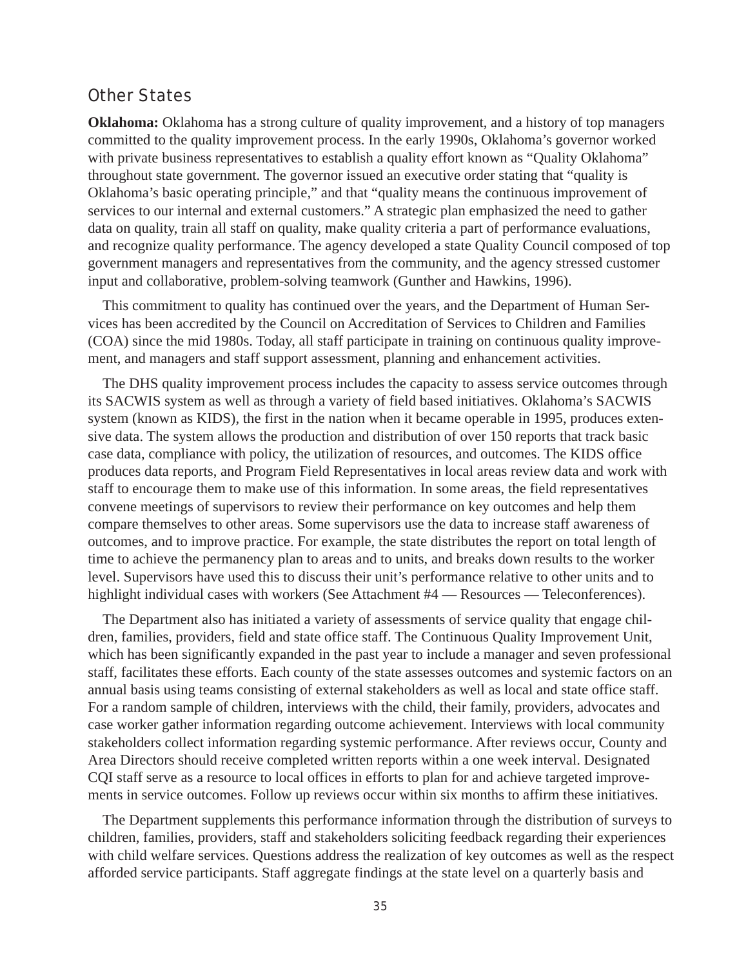## Other States

**Oklahoma:** Oklahoma has a strong culture of quality improvement, and a history of top managers committed to the quality improvement process. In the early 1990s, Oklahoma's governor worked with private business representatives to establish a quality effort known as "Quality Oklahoma" throughout state government. The governor issued an executive order stating that "quality is Oklahoma's basic operating principle," and that "quality means the continuous improvement of services to our internal and external customers." A strategic plan emphasized the need to gather data on quality, train all staff on quality, make quality criteria a part of performance evaluations, and recognize quality performance. The agency developed a state Quality Council composed of top government managers and representatives from the community, and the agency stressed customer input and collaborative, problem-solving teamwork (Gunther and Hawkins, 1996).

This commitment to quality has continued over the years, and the Department of Human Services has been accredited by the Council on Accreditation of Services to Children and Families (COA) since the mid 1980s. Today, all staff participate in training on continuous quality improvement, and managers and staff support assessment, planning and enhancement activities.

The DHS quality improvement process includes the capacity to assess service outcomes through its SACWIS system as well as through a variety of field based initiatives. Oklahoma's SACWIS system (known as KIDS), the first in the nation when it became operable in 1995, produces extensive data. The system allows the production and distribution of over 150 reports that track basic case data, compliance with policy, the utilization of resources, and outcomes. The KIDS office produces data reports, and Program Field Representatives in local areas review data and work with staff to encourage them to make use of this information. In some areas, the field representatives convene meetings of supervisors to review their performance on key outcomes and help them compare themselves to other areas. Some supervisors use the data to increase staff awareness of outcomes, and to improve practice. For example, the state distributes the report on total length of time to achieve the permanency plan to areas and to units, and breaks down results to the worker level. Supervisors have used this to discuss their unit's performance relative to other units and to highlight individual cases with workers (See Attachment #4 — Resources — Teleconferences).

The Department also has initiated a variety of assessments of service quality that engage children, families, providers, field and state office staff. The Continuous Quality Improvement Unit, which has been significantly expanded in the past year to include a manager and seven professional staff, facilitates these efforts. Each county of the state assesses outcomes and systemic factors on an annual basis using teams consisting of external stakeholders as well as local and state office staff. For a random sample of children, interviews with the child, their family, providers, advocates and case worker gather information regarding outcome achievement. Interviews with local community stakeholders collect information regarding systemic performance. After reviews occur, County and Area Directors should receive completed written reports within a one week interval. Designated CQI staff serve as a resource to local offices in efforts to plan for and achieve targeted improvements in service outcomes. Follow up reviews occur within six months to affirm these initiatives.

The Department supplements this performance information through the distribution of surveys to children, families, providers, staff and stakeholders soliciting feedback regarding their experiences with child welfare services. Questions address the realization of key outcomes as well as the respect afforded service participants. Staff aggregate findings at the state level on a quarterly basis and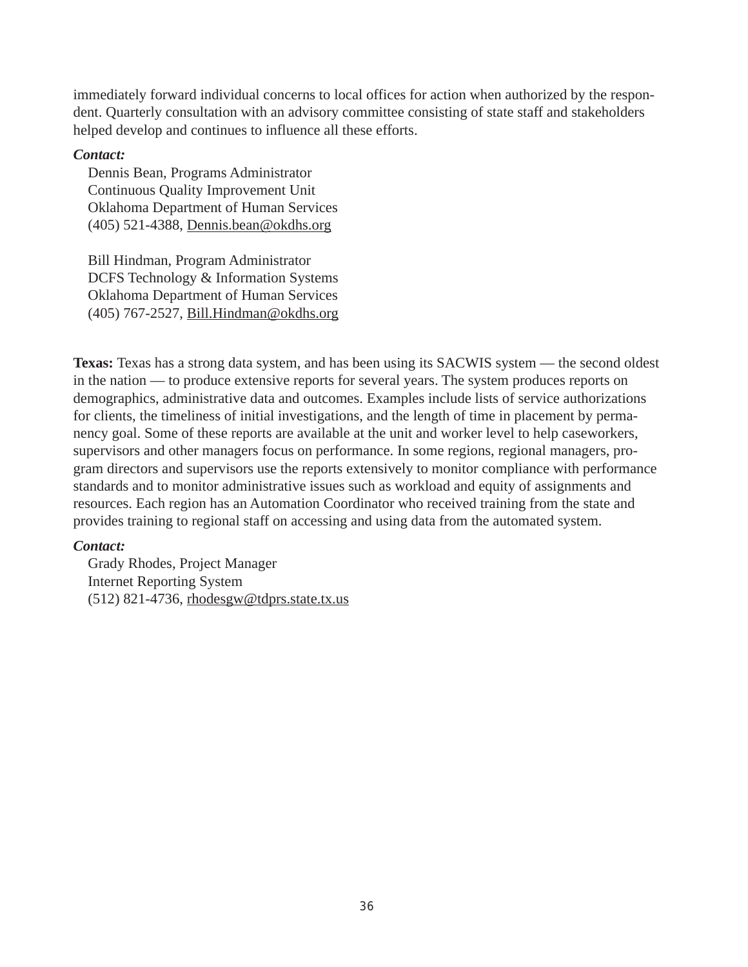immediately forward individual concerns to local offices for action when authorized by the respondent. Quarterly consultation with an advisory committee consisting of state staff and stakeholders helped develop and continues to influence all these efforts.

### *Contact:*

Dennis Bean, Programs Administrator Continuous Quality Improvement Unit Oklahoma Department of Human Services (405) 521-4388, Dennis.bean@okdhs.org

Bill Hindman, Program Administrator DCFS Technology & Information Systems Oklahoma Department of Human Services (405) 767-2527, Bill.Hindman@okdhs.org

**Texas:** Texas has a strong data system, and has been using its SACWIS system — the second oldest in the nation — to produce extensive reports for several years. The system produces reports on demographics, administrative data and outcomes. Examples include lists of service authorizations for clients, the timeliness of initial investigations, and the length of time in placement by permanency goal. Some of these reports are available at the unit and worker level to help caseworkers, supervisors and other managers focus on performance. In some regions, regional managers, program directors and supervisors use the reports extensively to monitor compliance with performance standards and to monitor administrative issues such as workload and equity of assignments and resources. Each region has an Automation Coordinator who received training from the state and provides training to regional staff on accessing and using data from the automated system.

#### *Contact:*

Grady Rhodes, Project Manager Internet Reporting System (512) 821-4736, rhodesgw@tdprs.state.tx.us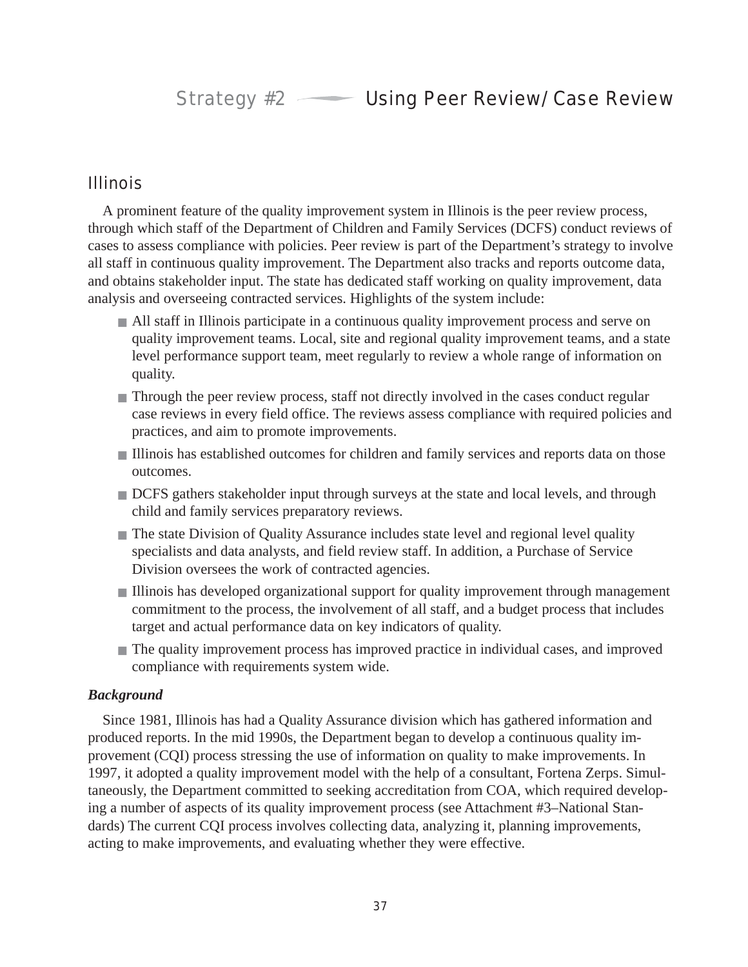## Illinois

A prominent feature of the quality improvement system in Illinois is the peer review process, through which staff of the Department of Children and Family Services (DCFS) conduct reviews of cases to assess compliance with policies. Peer review is part of the Department's strategy to involve all staff in continuous quality improvement. The Department also tracks and reports outcome data, and obtains stakeholder input. The state has dedicated staff working on quality improvement, data analysis and overseeing contracted services. Highlights of the system include:

- All staff in Illinois participate in a continuous quality improvement process and serve on quality improvement teams. Local, site and regional quality improvement teams, and a state level performance support team, meet regularly to review a whole range of information on quality.
- Through the peer review process, staff not directly involved in the cases conduct regular case reviews in every field office. The reviews assess compliance with required policies and practices, and aim to promote improvements.
- Illinois has established outcomes for children and family services and reports data on those outcomes.
- DCFS gathers stakeholder input through surveys at the state and local levels, and through child and family services preparatory reviews.
- The state Division of Quality Assurance includes state level and regional level quality specialists and data analysts, and field review staff. In addition, a Purchase of Service Division oversees the work of contracted agencies.
- Illinois has developed organizational support for quality improvement through management commitment to the process, the involvement of all staff, and a budget process that includes target and actual performance data on key indicators of quality.
- The quality improvement process has improved practice in individual cases, and improved compliance with requirements system wide.

## *Background*

Since 1981, Illinois has had a Quality Assurance division which has gathered information and produced reports. In the mid 1990s, the Department began to develop a continuous quality improvement (CQI) process stressing the use of information on quality to make improvements. In 1997, it adopted a quality improvement model with the help of a consultant, Fortena Zerps. Simultaneously, the Department committed to seeking accreditation from COA, which required developing a number of aspects of its quality improvement process (see Attachment #3–National Standards) The current CQI process involves collecting data, analyzing it, planning improvements, acting to make improvements, and evaluating whether they were effective.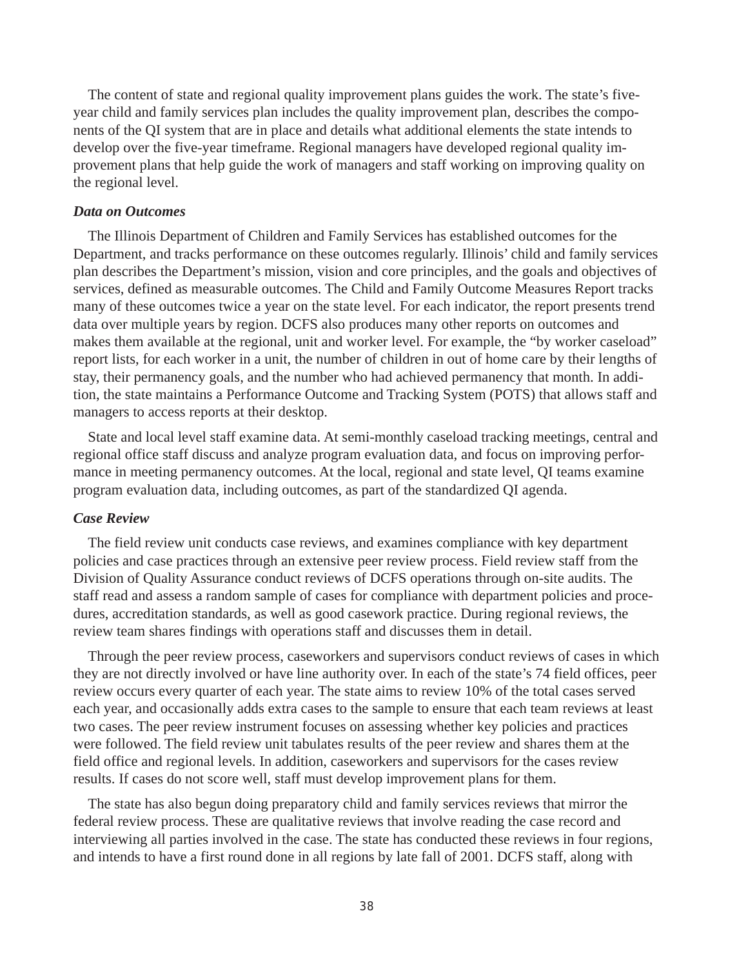The content of state and regional quality improvement plans guides the work. The state's fiveyear child and family services plan includes the quality improvement plan, describes the components of the QI system that are in place and details what additional elements the state intends to develop over the five-year timeframe. Regional managers have developed regional quality improvement plans that help guide the work of managers and staff working on improving quality on the regional level.

#### *Data on Outcomes*

The Illinois Department of Children and Family Services has established outcomes for the Department, and tracks performance on these outcomes regularly. Illinois' child and family services plan describes the Department's mission, vision and core principles, and the goals and objectives of services, defined as measurable outcomes. The Child and Family Outcome Measures Report tracks many of these outcomes twice a year on the state level. For each indicator, the report presents trend data over multiple years by region. DCFS also produces many other reports on outcomes and makes them available at the regional, unit and worker level. For example, the "by worker caseload" report lists, for each worker in a unit, the number of children in out of home care by their lengths of stay, their permanency goals, and the number who had achieved permanency that month. In addition, the state maintains a Performance Outcome and Tracking System (POTS) that allows staff and managers to access reports at their desktop.

State and local level staff examine data. At semi-monthly caseload tracking meetings, central and regional office staff discuss and analyze program evaluation data, and focus on improving performance in meeting permanency outcomes. At the local, regional and state level, QI teams examine program evaluation data, including outcomes, as part of the standardized QI agenda.

#### *Case Review*

The field review unit conducts case reviews, and examines compliance with key department policies and case practices through an extensive peer review process. Field review staff from the Division of Quality Assurance conduct reviews of DCFS operations through on-site audits. The staff read and assess a random sample of cases for compliance with department policies and procedures, accreditation standards, as well as good casework practice. During regional reviews, the review team shares findings with operations staff and discusses them in detail.

Through the peer review process, caseworkers and supervisors conduct reviews of cases in which they are not directly involved or have line authority over. In each of the state's 74 field offices, peer review occurs every quarter of each year. The state aims to review 10% of the total cases served each year, and occasionally adds extra cases to the sample to ensure that each team reviews at least two cases. The peer review instrument focuses on assessing whether key policies and practices were followed. The field review unit tabulates results of the peer review and shares them at the field office and regional levels. In addition, caseworkers and supervisors for the cases review results. If cases do not score well, staff must develop improvement plans for them.

The state has also begun doing preparatory child and family services reviews that mirror the federal review process. These are qualitative reviews that involve reading the case record and interviewing all parties involved in the case. The state has conducted these reviews in four regions, and intends to have a first round done in all regions by late fall of 2001. DCFS staff, along with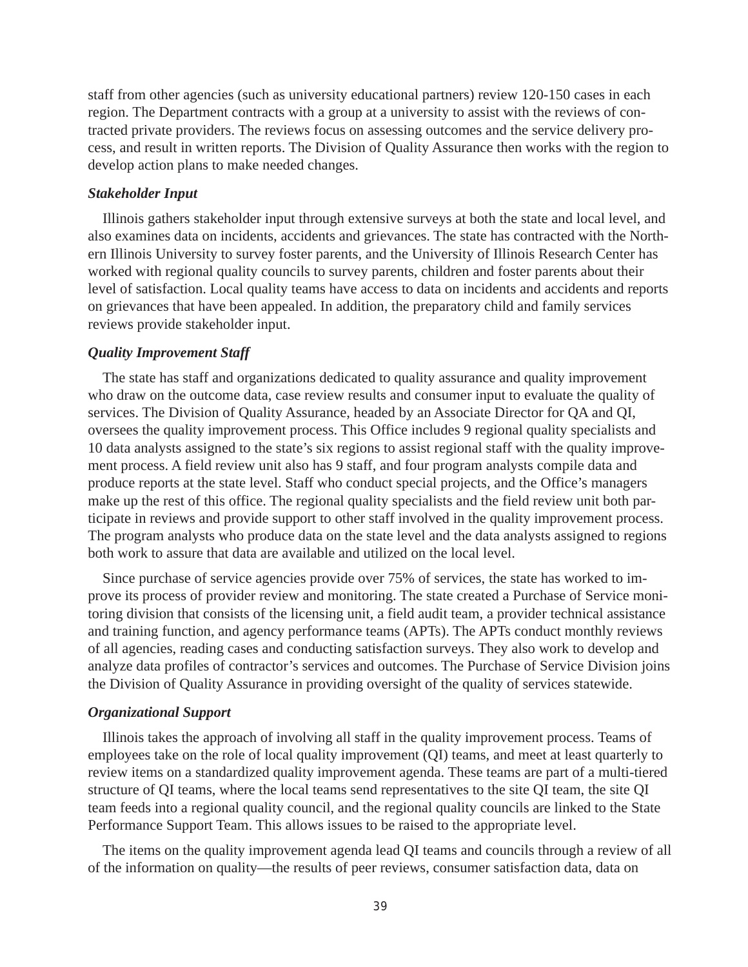staff from other agencies (such as university educational partners) review 120-150 cases in each region. The Department contracts with a group at a university to assist with the reviews of contracted private providers. The reviews focus on assessing outcomes and the service delivery process, and result in written reports. The Division of Quality Assurance then works with the region to develop action plans to make needed changes.

#### *Stakeholder Input*

Illinois gathers stakeholder input through extensive surveys at both the state and local level, and also examines data on incidents, accidents and grievances. The state has contracted with the Northern Illinois University to survey foster parents, and the University of Illinois Research Center has worked with regional quality councils to survey parents, children and foster parents about their level of satisfaction. Local quality teams have access to data on incidents and accidents and reports on grievances that have been appealed. In addition, the preparatory child and family services reviews provide stakeholder input.

#### *Quality Improvement Staff*

The state has staff and organizations dedicated to quality assurance and quality improvement who draw on the outcome data, case review results and consumer input to evaluate the quality of services. The Division of Quality Assurance, headed by an Associate Director for QA and QI, oversees the quality improvement process. This Office includes 9 regional quality specialists and 10 data analysts assigned to the state's six regions to assist regional staff with the quality improvement process. A field review unit also has 9 staff, and four program analysts compile data and produce reports at the state level. Staff who conduct special projects, and the Office's managers make up the rest of this office. The regional quality specialists and the field review unit both participate in reviews and provide support to other staff involved in the quality improvement process. The program analysts who produce data on the state level and the data analysts assigned to regions both work to assure that data are available and utilized on the local level.

Since purchase of service agencies provide over 75% of services, the state has worked to improve its process of provider review and monitoring. The state created a Purchase of Service monitoring division that consists of the licensing unit, a field audit team, a provider technical assistance and training function, and agency performance teams (APTs). The APTs conduct monthly reviews of all agencies, reading cases and conducting satisfaction surveys. They also work to develop and analyze data profiles of contractor's services and outcomes. The Purchase of Service Division joins the Division of Quality Assurance in providing oversight of the quality of services statewide.

#### *Organizational Support*

Illinois takes the approach of involving all staff in the quality improvement process. Teams of employees take on the role of local quality improvement (QI) teams, and meet at least quarterly to review items on a standardized quality improvement agenda. These teams are part of a multi-tiered structure of QI teams, where the local teams send representatives to the site QI team, the site QI team feeds into a regional quality council, and the regional quality councils are linked to the State Performance Support Team. This allows issues to be raised to the appropriate level.

The items on the quality improvement agenda lead QI teams and councils through a review of all of the information on quality—the results of peer reviews, consumer satisfaction data, data on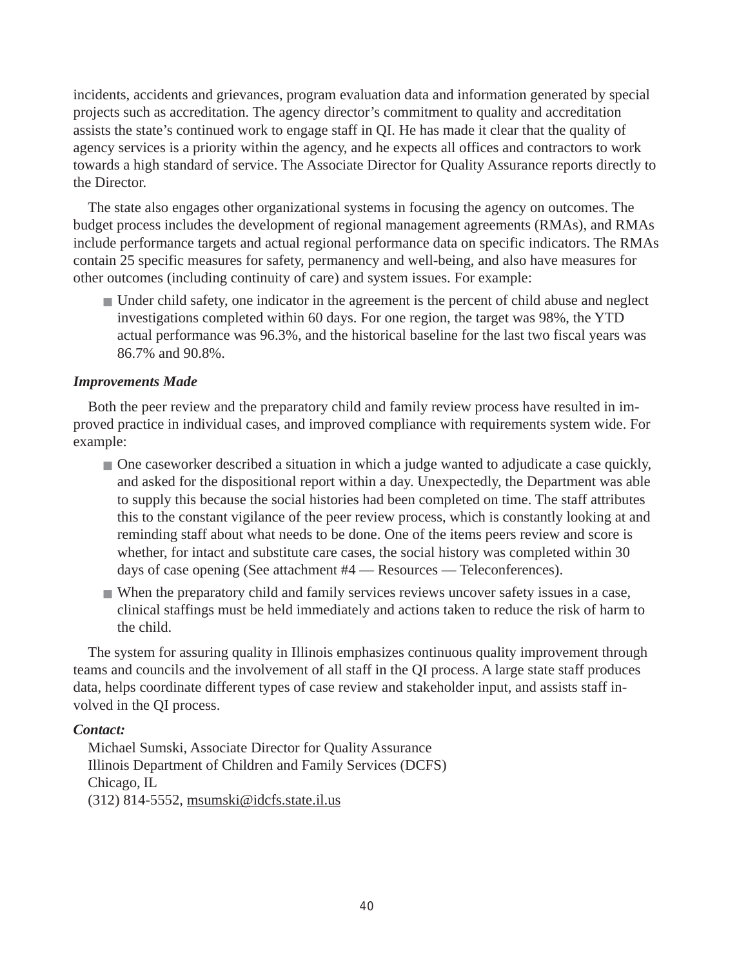incidents, accidents and grievances, program evaluation data and information generated by special projects such as accreditation. The agency director's commitment to quality and accreditation assists the state's continued work to engage staff in QI. He has made it clear that the quality of agency services is a priority within the agency, and he expects all offices and contractors to work towards a high standard of service. The Associate Director for Quality Assurance reports directly to the Director.

The state also engages other organizational systems in focusing the agency on outcomes. The budget process includes the development of regional management agreements (RMAs), and RMAs include performance targets and actual regional performance data on specific indicators. The RMAs contain 25 specific measures for safety, permanency and well-being, and also have measures for other outcomes (including continuity of care) and system issues. For example:

■ Under child safety, one indicator in the agreement is the percent of child abuse and neglect investigations completed within 60 days. For one region, the target was 98%, the YTD actual performance was 96.3%, and the historical baseline for the last two fiscal years was 86.7% and 90.8%.

## *Improvements Made*

Both the peer review and the preparatory child and family review process have resulted in improved practice in individual cases, and improved compliance with requirements system wide. For example:

- One caseworker described a situation in which a judge wanted to adjudicate a case quickly, and asked for the dispositional report within a day. Unexpectedly, the Department was able to supply this because the social histories had been completed on time. The staff attributes this to the constant vigilance of the peer review process, which is constantly looking at and reminding staff about what needs to be done. One of the items peers review and score is whether, for intact and substitute care cases, the social history was completed within 30 days of case opening (See attachment #4 — Resources — Teleconferences).
- When the preparatory child and family services reviews uncover safety issues in a case, clinical staffings must be held immediately and actions taken to reduce the risk of harm to the child.

The system for assuring quality in Illinois emphasizes continuous quality improvement through teams and councils and the involvement of all staff in the QI process. A large state staff produces data, helps coordinate different types of case review and stakeholder input, and assists staff involved in the QI process.

### *Contact:*

Michael Sumski, Associate Director for Quality Assurance Illinois Department of Children and Family Services (DCFS) Chicago, IL  $(312)$  814-5552, msumski@idcfs.state.il.us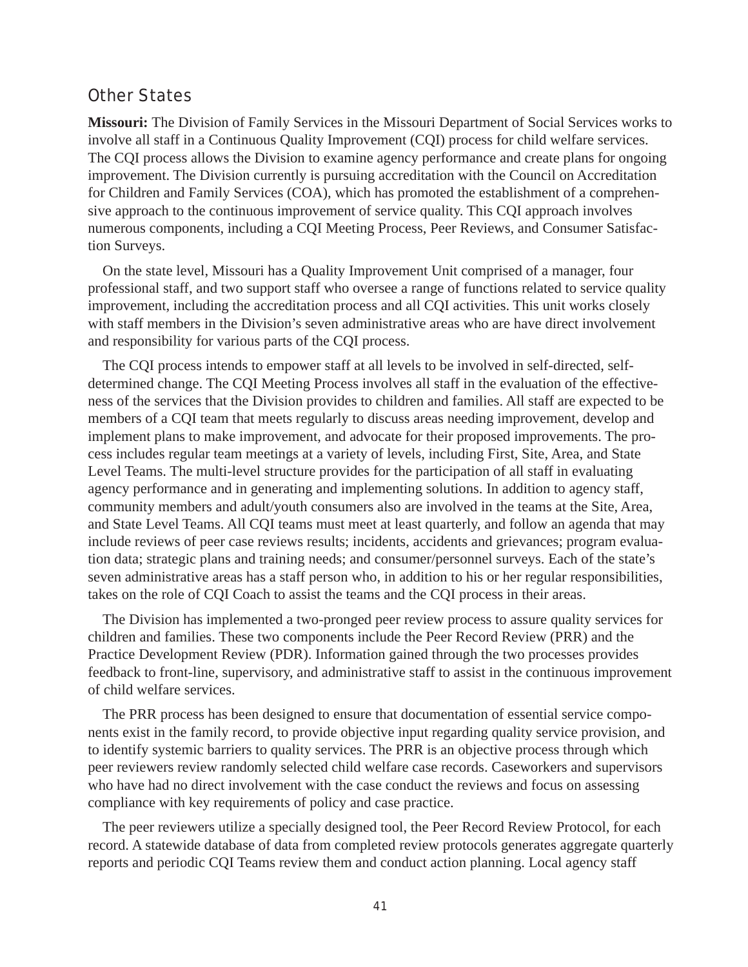## Other States

**Missouri:** The Division of Family Services in the Missouri Department of Social Services works to involve all staff in a Continuous Quality Improvement (CQI) process for child welfare services. The CQI process allows the Division to examine agency performance and create plans for ongoing improvement. The Division currently is pursuing accreditation with the Council on Accreditation for Children and Family Services (COA), which has promoted the establishment of a comprehensive approach to the continuous improvement of service quality. This CQI approach involves numerous components, including a CQI Meeting Process, Peer Reviews, and Consumer Satisfaction Surveys.

On the state level, Missouri has a Quality Improvement Unit comprised of a manager, four professional staff, and two support staff who oversee a range of functions related to service quality improvement, including the accreditation process and all CQI activities. This unit works closely with staff members in the Division's seven administrative areas who are have direct involvement and responsibility for various parts of the CQI process.

The CQI process intends to empower staff at all levels to be involved in self-directed, selfdetermined change. The CQI Meeting Process involves all staff in the evaluation of the effectiveness of the services that the Division provides to children and families. All staff are expected to be members of a CQI team that meets regularly to discuss areas needing improvement, develop and implement plans to make improvement, and advocate for their proposed improvements. The process includes regular team meetings at a variety of levels, including First, Site, Area, and State Level Teams. The multi-level structure provides for the participation of all staff in evaluating agency performance and in generating and implementing solutions. In addition to agency staff, community members and adult/youth consumers also are involved in the teams at the Site, Area, and State Level Teams. All CQI teams must meet at least quarterly, and follow an agenda that may include reviews of peer case reviews results; incidents, accidents and grievances; program evaluation data; strategic plans and training needs; and consumer/personnel surveys. Each of the state's seven administrative areas has a staff person who, in addition to his or her regular responsibilities, takes on the role of CQI Coach to assist the teams and the CQI process in their areas.

The Division has implemented a two-pronged peer review process to assure quality services for children and families. These two components include the Peer Record Review (PRR) and the Practice Development Review (PDR). Information gained through the two processes provides feedback to front-line, supervisory, and administrative staff to assist in the continuous improvement of child welfare services.

The PRR process has been designed to ensure that documentation of essential service components exist in the family record, to provide objective input regarding quality service provision, and to identify systemic barriers to quality services. The PRR is an objective process through which peer reviewers review randomly selected child welfare case records. Caseworkers and supervisors who have had no direct involvement with the case conduct the reviews and focus on assessing compliance with key requirements of policy and case practice.

The peer reviewers utilize a specially designed tool, the Peer Record Review Protocol, for each record. A statewide database of data from completed review protocols generates aggregate quarterly reports and periodic CQI Teams review them and conduct action planning. Local agency staff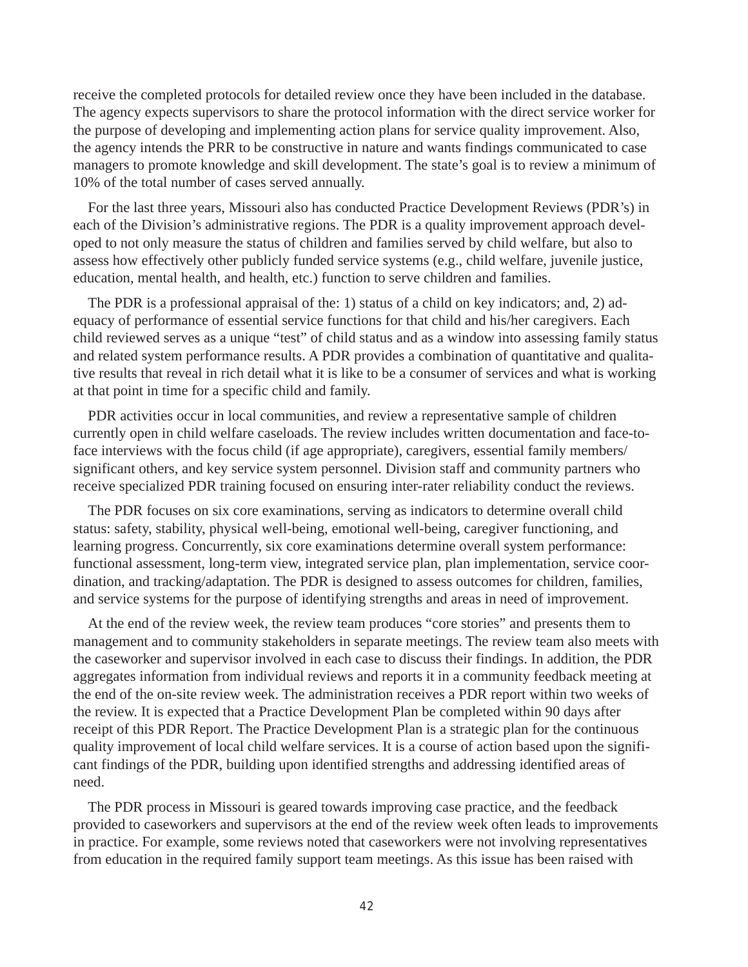receive the completed protocols for detailed review once they have been included in the database. The agency expects supervisors to share the protocol information with the direct service worker for the purpose of developing and implementing action plans for service quality improvement. Also, the agency intends the PRR to be constructive in nature and wants findings communicated to case managers to promote knowledge and skill development. The state's goal is to review a minimum of 10% of the total number of cases served annually.

For the last three years, Missouri also has conducted Practice Development Reviews (PDR's) in each of the Division's administrative regions. The PDR is a quality improvement approach developed to not only measure the status of children and families served by child welfare, but also to assess how effectively other publicly funded service systems (e.g., child welfare, juvenile justice, education, mental health, and health, etc.) function to serve children and families.

The PDR is a professional appraisal of the: 1) status of a child on key indicators; and, 2) adequacy of performance of essential service functions for that child and his/her caregivers. Each child reviewed serves as a unique "test" of child status and as a window into assessing family status and related system performance results. A PDR provides a combination of quantitative and qualitative results that reveal in rich detail what it is like to be a consumer of services and what is working at that point in time for a specific child and family.

PDR activities occur in local communities, and review a representative sample of children currently open in child welfare caseloads. The review includes written documentation and face-toface interviews with the focus child (if age appropriate), caregivers, essential family members/ significant others, and key service system personnel. Division staff and community partners who receive specialized PDR training focused on ensuring inter-rater reliability conduct the reviews.

The PDR focuses on six core examinations, serving as indicators to determine overall child status: safety, stability, physical well-being, emotional well-being, caregiver functioning, and learning progress. Concurrently, six core examinations determine overall system performance: functional assessment, long-term view, integrated service plan, plan implementation, service coordination, and tracking/adaptation. The PDR is designed to assess outcomes for children, families, and service systems for the purpose of identifying strengths and areas in need of improvement.

At the end of the review week, the review team produces "core stories" and presents them to management and to community stakeholders in separate meetings. The review team also meets with the caseworker and supervisor involved in each case to discuss their findings. In addition, the PDR aggregates information from individual reviews and reports it in a community feedback meeting at the end of the on-site review week. The administration receives a PDR report within two weeks of the review. It is expected that a Practice Development Plan be completed within 90 days after receipt of this PDR Report. The Practice Development Plan is a strategic plan for the continuous quality improvement of local child welfare services. It is a course of action based upon the significant findings of the PDR, building upon identified strengths and addressing identified areas of need.

The PDR process in Missouri is geared towards improving case practice, and the feedback provided to caseworkers and supervisors at the end of the review week often leads to improvements in practice. For example, some reviews noted that caseworkers were not involving representatives from education in the required family support team meetings. As this issue has been raised with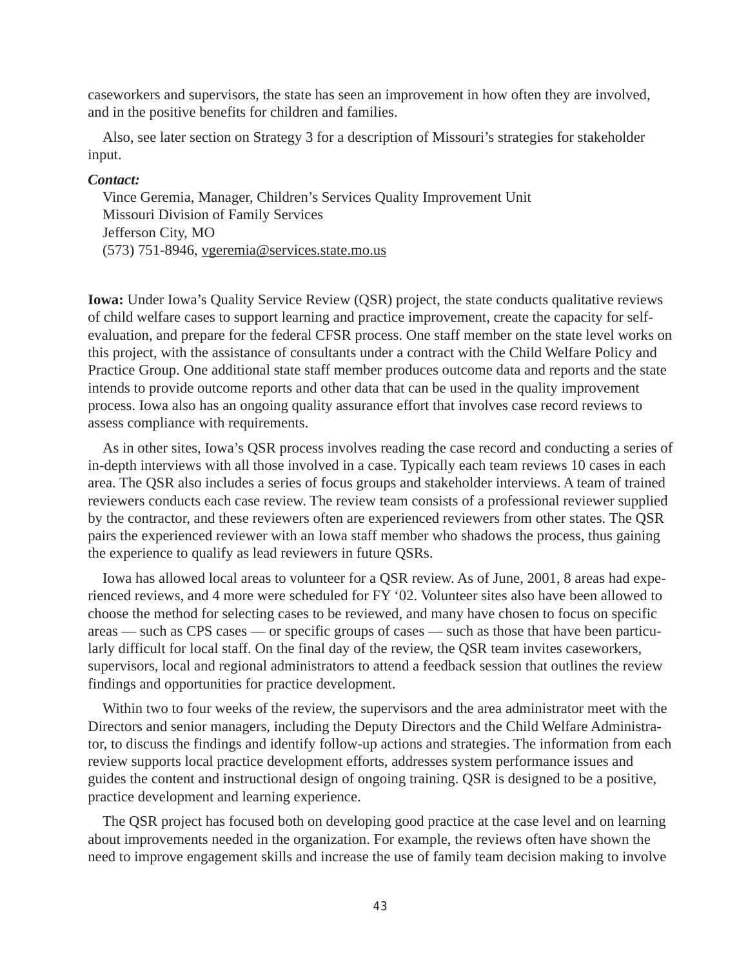caseworkers and supervisors, the state has seen an improvement in how often they are involved, and in the positive benefits for children and families.

Also, see later section on Strategy 3 for a description of Missouri's strategies for stakeholder input.

#### *Contact:*

Vince Geremia, Manager, Children's Services Quality Improvement Unit Missouri Division of Family Services Jefferson City, MO (573) 751-8946, vgeremia@services.state.mo.us

**Iowa:** Under Iowa's Quality Service Review (QSR) project, the state conducts qualitative reviews of child welfare cases to support learning and practice improvement, create the capacity for selfevaluation, and prepare for the federal CFSR process. One staff member on the state level works on this project, with the assistance of consultants under a contract with the Child Welfare Policy and Practice Group. One additional state staff member produces outcome data and reports and the state intends to provide outcome reports and other data that can be used in the quality improvement process. Iowa also has an ongoing quality assurance effort that involves case record reviews to assess compliance with requirements.

As in other sites, Iowa's QSR process involves reading the case record and conducting a series of in-depth interviews with all those involved in a case. Typically each team reviews 10 cases in each area. The QSR also includes a series of focus groups and stakeholder interviews. A team of trained reviewers conducts each case review. The review team consists of a professional reviewer supplied by the contractor, and these reviewers often are experienced reviewers from other states. The QSR pairs the experienced reviewer with an Iowa staff member who shadows the process, thus gaining the experience to qualify as lead reviewers in future QSRs.

Iowa has allowed local areas to volunteer for a QSR review. As of June, 2001, 8 areas had experienced reviews, and 4 more were scheduled for FY '02. Volunteer sites also have been allowed to choose the method for selecting cases to be reviewed, and many have chosen to focus on specific areas — such as CPS cases — or specific groups of cases — such as those that have been particularly difficult for local staff. On the final day of the review, the QSR team invites caseworkers, supervisors, local and regional administrators to attend a feedback session that outlines the review findings and opportunities for practice development.

Within two to four weeks of the review, the supervisors and the area administrator meet with the Directors and senior managers, including the Deputy Directors and the Child Welfare Administrator, to discuss the findings and identify follow-up actions and strategies. The information from each review supports local practice development efforts, addresses system performance issues and guides the content and instructional design of ongoing training. QSR is designed to be a positive, practice development and learning experience.

The QSR project has focused both on developing good practice at the case level and on learning about improvements needed in the organization. For example, the reviews often have shown the need to improve engagement skills and increase the use of family team decision making to involve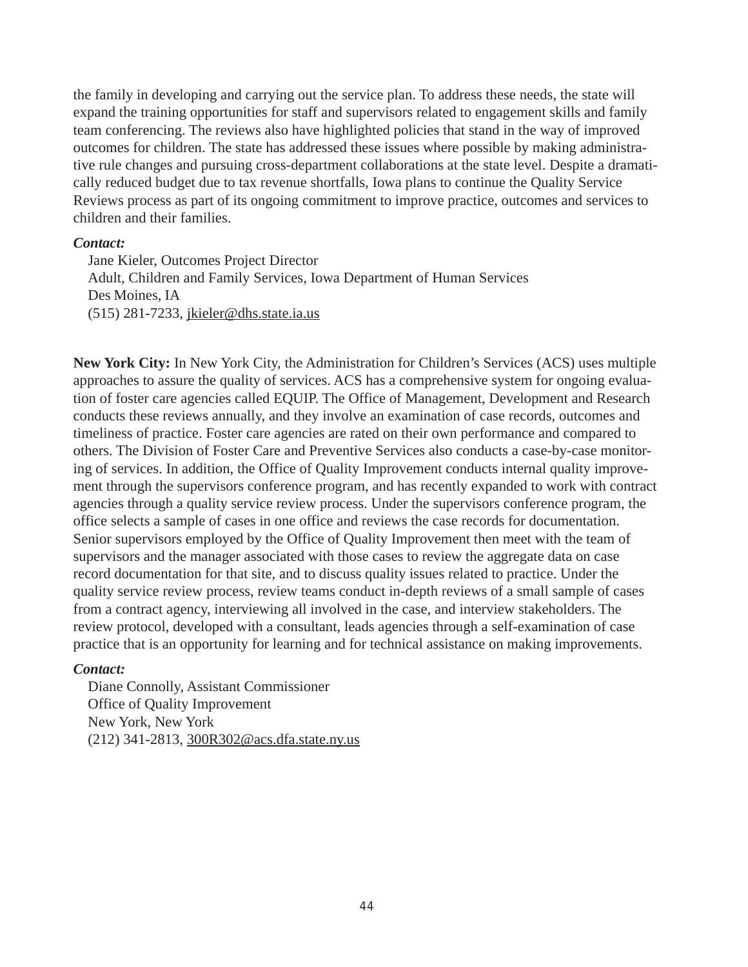the family in developing and carrying out the service plan. To address these needs, the state will expand the training opportunities for staff and supervisors related to engagement skills and family team conferencing. The reviews also have highlighted policies that stand in the way of improved outcomes for children. The state has addressed these issues where possible by making administrative rule changes and pursuing cross-department collaborations at the state level. Despite a dramatically reduced budget due to tax revenue shortfalls, Iowa plans to continue the Quality Service Reviews process as part of its ongoing commitment to improve practice, outcomes and services to children and their families.

#### *Contact:*

Jane Kieler, Outcomes Project Director Adult, Children and Family Services, Iowa Department of Human Services Des Moines, IA (515) 281-7233, jkieler@dhs.state.ia.us

**New York City:** In New York City, the Administration for Children's Services (ACS) uses multiple approaches to assure the quality of services. ACS has a comprehensive system for ongoing evaluation of foster care agencies called EQUIP. The Office of Management, Development and Research conducts these reviews annually, and they involve an examination of case records, outcomes and timeliness of practice. Foster care agencies are rated on their own performance and compared to others. The Division of Foster Care and Preventive Services also conducts a case-by-case monitoring of services. In addition, the Office of Quality Improvement conducts internal quality improvement through the supervisors conference program, and has recently expanded to work with contract agencies through a quality service review process. Under the supervisors conference program, the office selects a sample of cases in one office and reviews the case records for documentation. Senior supervisors employed by the Office of Quality Improvement then meet with the team of supervisors and the manager associated with those cases to review the aggregate data on case record documentation for that site, and to discuss quality issues related to practice. Under the quality service review process, review teams conduct in-depth reviews of a small sample of cases from a contract agency, interviewing all involved in the case, and interview stakeholders. The review protocol, developed with a consultant, leads agencies through a self-examination of case practice that is an opportunity for learning and for technical assistance on making improvements.

### *Contact:*

Diane Connolly, Assistant Commissioner Office of Quality Improvement New York, New York (212) 341-2813, 300R302@acs.dfa.state.ny.us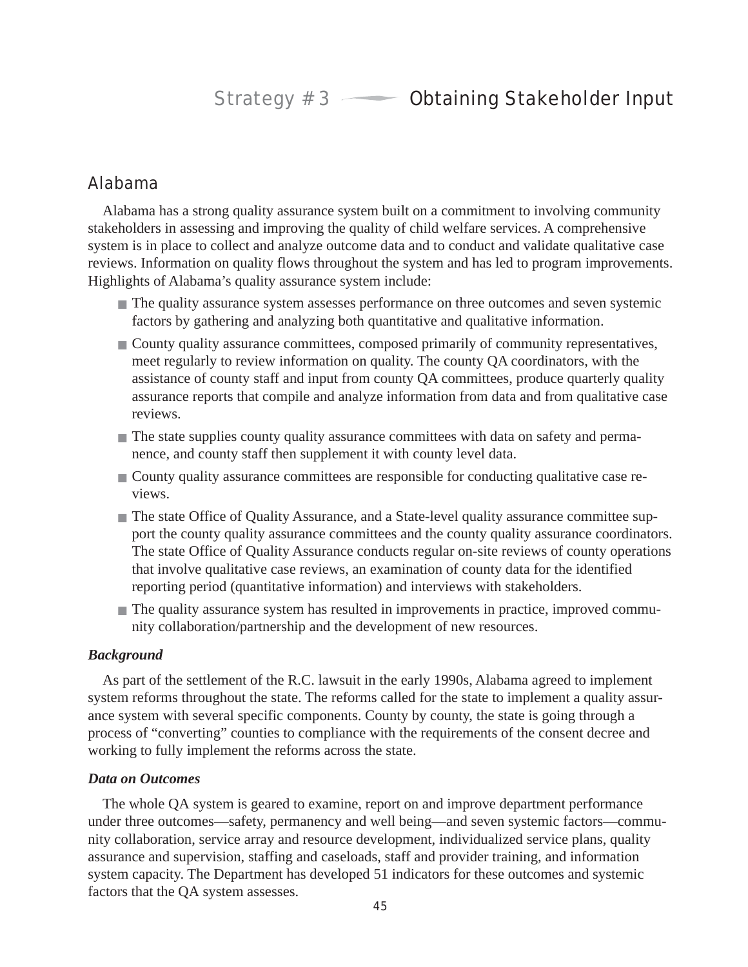## Alabama

Alabama has a strong quality assurance system built on a commitment to involving community stakeholders in assessing and improving the quality of child welfare services. A comprehensive system is in place to collect and analyze outcome data and to conduct and validate qualitative case reviews. Information on quality flows throughout the system and has led to program improvements. Highlights of Alabama's quality assurance system include:

- The quality assurance system assesses performance on three outcomes and seven systemic factors by gathering and analyzing both quantitative and qualitative information.
- County quality assurance committees, composed primarily of community representatives, meet regularly to review information on quality. The county QA coordinators, with the assistance of county staff and input from county QA committees, produce quarterly quality assurance reports that compile and analyze information from data and from qualitative case reviews.
- The state supplies county quality assurance committees with data on safety and permanence, and county staff then supplement it with county level data.
- County quality assurance committees are responsible for conducting qualitative case reviews.
- The state Office of Quality Assurance, and a State-level quality assurance committee support the county quality assurance committees and the county quality assurance coordinators. The state Office of Quality Assurance conducts regular on-site reviews of county operations that involve qualitative case reviews, an examination of county data for the identified reporting period (quantitative information) and interviews with stakeholders.
- The quality assurance system has resulted in improvements in practice, improved community collaboration/partnership and the development of new resources.

### *Background*

As part of the settlement of the R.C. lawsuit in the early 1990s, Alabama agreed to implement system reforms throughout the state. The reforms called for the state to implement a quality assurance system with several specific components. County by county, the state is going through a process of "converting" counties to compliance with the requirements of the consent decree and working to fully implement the reforms across the state.

### *Data on Outcomes*

The whole QA system is geared to examine, report on and improve department performance under three outcomes—safety, permanency and well being—and seven systemic factors—community collaboration, service array and resource development, individualized service plans, quality assurance and supervision, staffing and caseloads, staff and provider training, and information system capacity. The Department has developed 51 indicators for these outcomes and systemic factors that the QA system assesses.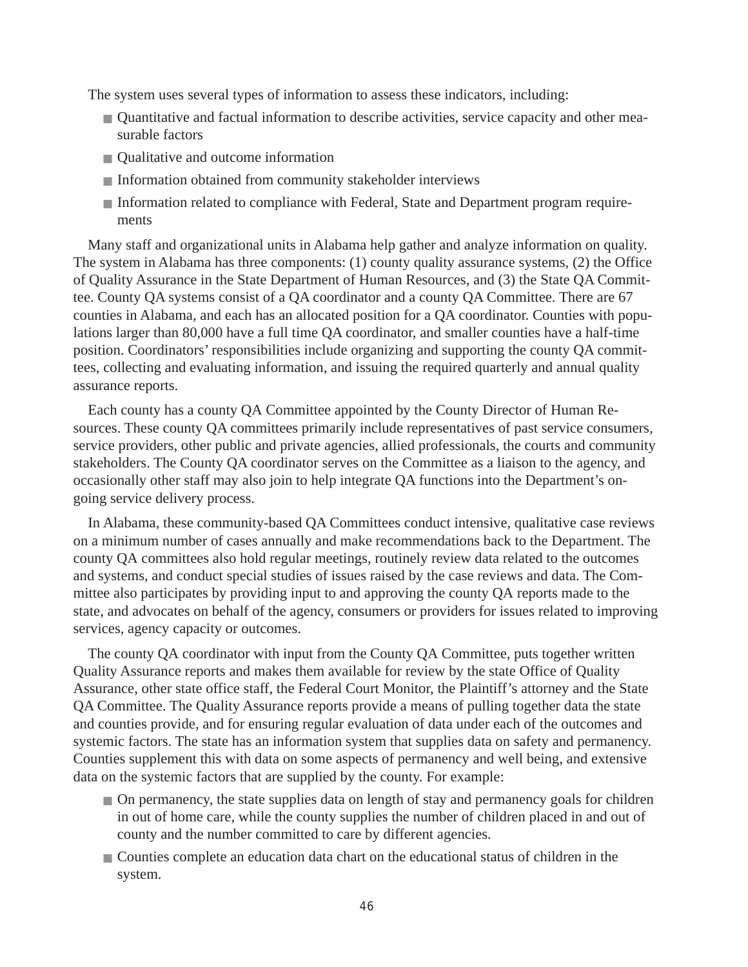The system uses several types of information to assess these indicators, including:

- Quantitative and factual information to describe activities, service capacity and other measurable factors
- Qualitative and outcome information
- Information obtained from community stakeholder interviews
- Information related to compliance with Federal, State and Department program requirements

Many staff and organizational units in Alabama help gather and analyze information on quality. The system in Alabama has three components: (1) county quality assurance systems, (2) the Office of Quality Assurance in the State Department of Human Resources, and (3) the State QA Committee. County QA systems consist of a QA coordinator and a county QA Committee. There are 67 counties in Alabama, and each has an allocated position for a QA coordinator. Counties with populations larger than 80,000 have a full time QA coordinator, and smaller counties have a half-time position. Coordinators' responsibilities include organizing and supporting the county QA committees, collecting and evaluating information, and issuing the required quarterly and annual quality assurance reports.

Each county has a county QA Committee appointed by the County Director of Human Resources. These county QA committees primarily include representatives of past service consumers, service providers, other public and private agencies, allied professionals, the courts and community stakeholders. The County QA coordinator serves on the Committee as a liaison to the agency, and occasionally other staff may also join to help integrate QA functions into the Department's ongoing service delivery process.

In Alabama, these community-based QA Committees conduct intensive, qualitative case reviews on a minimum number of cases annually and make recommendations back to the Department. The county QA committees also hold regular meetings, routinely review data related to the outcomes and systems, and conduct special studies of issues raised by the case reviews and data. The Committee also participates by providing input to and approving the county QA reports made to the state, and advocates on behalf of the agency, consumers or providers for issues related to improving services, agency capacity or outcomes.

The county QA coordinator with input from the County QA Committee, puts together written Quality Assurance reports and makes them available for review by the state Office of Quality Assurance, other state office staff, the Federal Court Monitor, the Plaintiff's attorney and the State QA Committee. The Quality Assurance reports provide a means of pulling together data the state and counties provide, and for ensuring regular evaluation of data under each of the outcomes and systemic factors. The state has an information system that supplies data on safety and permanency. Counties supplement this with data on some aspects of permanency and well being, and extensive data on the systemic factors that are supplied by the county. For example:

- On permanency, the state supplies data on length of stay and permanency goals for children in out of home care, while the county supplies the number of children placed in and out of county and the number committed to care by different agencies.
- Counties complete an education data chart on the educational status of children in the system.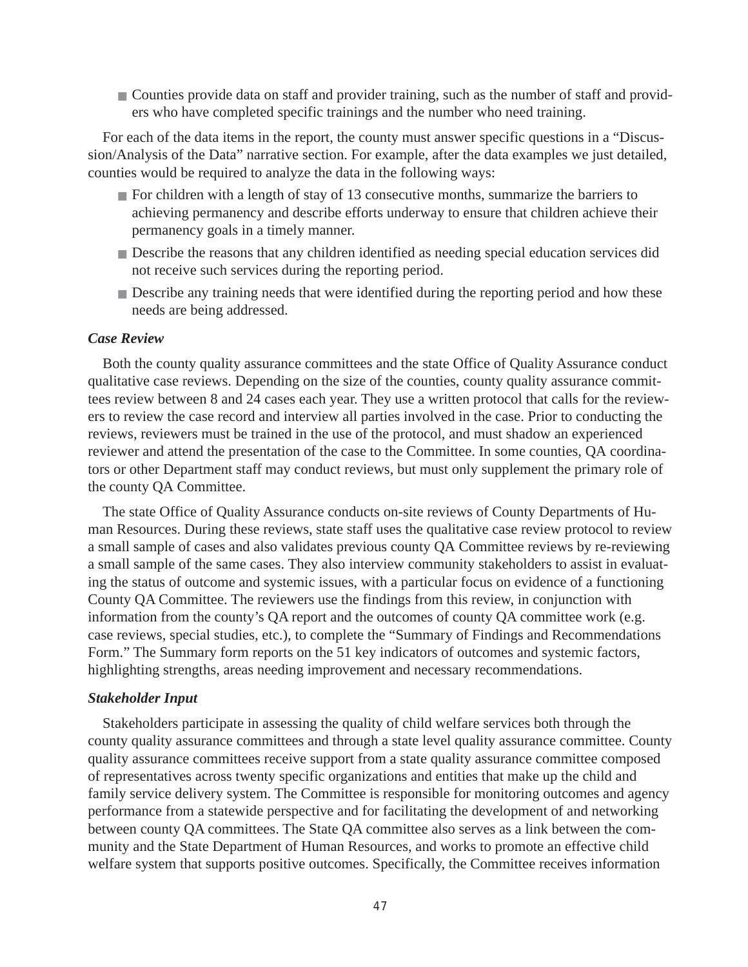■ Counties provide data on staff and provider training, such as the number of staff and providers who have completed specific trainings and the number who need training.

For each of the data items in the report, the county must answer specific questions in a "Discussion/Analysis of the Data" narrative section. For example, after the data examples we just detailed, counties would be required to analyze the data in the following ways:

- For children with a length of stay of 13 consecutive months, summarize the barriers to achieving permanency and describe efforts underway to ensure that children achieve their permanency goals in a timely manner.
- Describe the reasons that any children identified as needing special education services did not receive such services during the reporting period.
- Describe any training needs that were identified during the reporting period and how these needs are being addressed.

#### *Case Review*

Both the county quality assurance committees and the state Office of Quality Assurance conduct qualitative case reviews. Depending on the size of the counties, county quality assurance committees review between 8 and 24 cases each year. They use a written protocol that calls for the reviewers to review the case record and interview all parties involved in the case. Prior to conducting the reviews, reviewers must be trained in the use of the protocol, and must shadow an experienced reviewer and attend the presentation of the case to the Committee. In some counties, QA coordinators or other Department staff may conduct reviews, but must only supplement the primary role of the county QA Committee.

The state Office of Quality Assurance conducts on-site reviews of County Departments of Human Resources. During these reviews, state staff uses the qualitative case review protocol to review a small sample of cases and also validates previous county QA Committee reviews by re-reviewing a small sample of the same cases. They also interview community stakeholders to assist in evaluating the status of outcome and systemic issues, with a particular focus on evidence of a functioning County QA Committee. The reviewers use the findings from this review, in conjunction with information from the county's QA report and the outcomes of county QA committee work (e.g. case reviews, special studies, etc.), to complete the "Summary of Findings and Recommendations Form." The Summary form reports on the 51 key indicators of outcomes and systemic factors, highlighting strengths, areas needing improvement and necessary recommendations.

#### *Stakeholder Input*

Stakeholders participate in assessing the quality of child welfare services both through the county quality assurance committees and through a state level quality assurance committee. County quality assurance committees receive support from a state quality assurance committee composed of representatives across twenty specific organizations and entities that make up the child and family service delivery system. The Committee is responsible for monitoring outcomes and agency performance from a statewide perspective and for facilitating the development of and networking between county QA committees. The State QA committee also serves as a link between the community and the State Department of Human Resources, and works to promote an effective child welfare system that supports positive outcomes. Specifically, the Committee receives information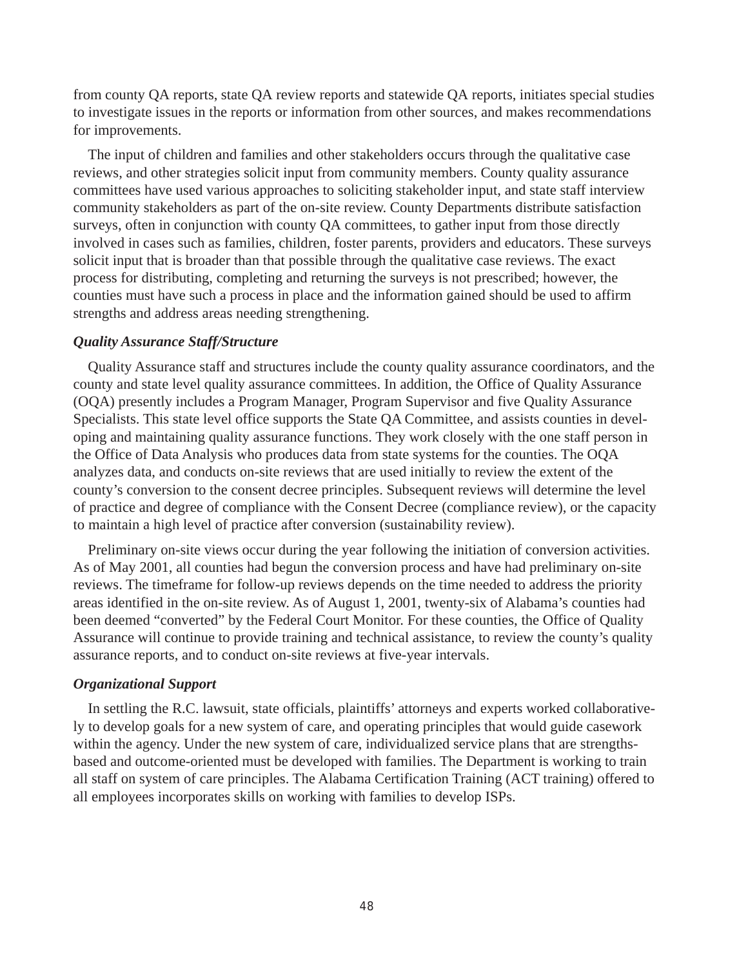from county QA reports, state QA review reports and statewide QA reports, initiates special studies to investigate issues in the reports or information from other sources, and makes recommendations for improvements.

The input of children and families and other stakeholders occurs through the qualitative case reviews, and other strategies solicit input from community members. County quality assurance committees have used various approaches to soliciting stakeholder input, and state staff interview community stakeholders as part of the on-site review. County Departments distribute satisfaction surveys, often in conjunction with county QA committees, to gather input from those directly involved in cases such as families, children, foster parents, providers and educators. These surveys solicit input that is broader than that possible through the qualitative case reviews. The exact process for distributing, completing and returning the surveys is not prescribed; however, the counties must have such a process in place and the information gained should be used to affirm strengths and address areas needing strengthening.

#### *Quality Assurance Staff/Structure*

Quality Assurance staff and structures include the county quality assurance coordinators, and the county and state level quality assurance committees. In addition, the Office of Quality Assurance (OQA) presently includes a Program Manager, Program Supervisor and five Quality Assurance Specialists. This state level office supports the State QA Committee, and assists counties in developing and maintaining quality assurance functions. They work closely with the one staff person in the Office of Data Analysis who produces data from state systems for the counties. The OQA analyzes data, and conducts on-site reviews that are used initially to review the extent of the county's conversion to the consent decree principles. Subsequent reviews will determine the level of practice and degree of compliance with the Consent Decree (compliance review), or the capacity to maintain a high level of practice after conversion (sustainability review).

Preliminary on-site views occur during the year following the initiation of conversion activities. As of May 2001, all counties had begun the conversion process and have had preliminary on-site reviews. The timeframe for follow-up reviews depends on the time needed to address the priority areas identified in the on-site review. As of August 1, 2001, twenty-six of Alabama's counties had been deemed "converted" by the Federal Court Monitor. For these counties, the Office of Quality Assurance will continue to provide training and technical assistance, to review the county's quality assurance reports, and to conduct on-site reviews at five-year intervals.

#### *Organizational Support*

In settling the R.C. lawsuit, state officials, plaintiffs' attorneys and experts worked collaboratively to develop goals for a new system of care, and operating principles that would guide casework within the agency. Under the new system of care, individualized service plans that are strengthsbased and outcome-oriented must be developed with families. The Department is working to train all staff on system of care principles. The Alabama Certification Training (ACT training) offered to all employees incorporates skills on working with families to develop ISPs.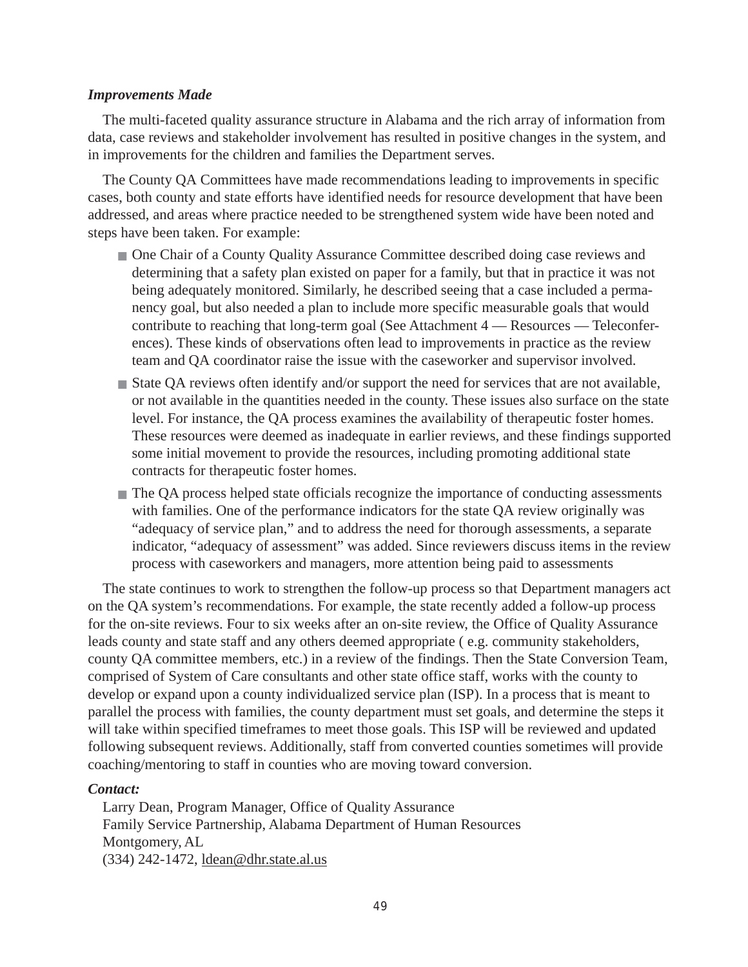#### *Improvements Made*

The multi-faceted quality assurance structure in Alabama and the rich array of information from data, case reviews and stakeholder involvement has resulted in positive changes in the system, and in improvements for the children and families the Department serves.

The County QA Committees have made recommendations leading to improvements in specific cases, both county and state efforts have identified needs for resource development that have been addressed, and areas where practice needed to be strengthened system wide have been noted and steps have been taken. For example:

- One Chair of a County Quality Assurance Committee described doing case reviews and determining that a safety plan existed on paper for a family, but that in practice it was not being adequately monitored. Similarly, he described seeing that a case included a permanency goal, but also needed a plan to include more specific measurable goals that would contribute to reaching that long-term goal (See Attachment 4 — Resources — Teleconferences). These kinds of observations often lead to improvements in practice as the review team and QA coordinator raise the issue with the caseworker and supervisor involved.
- State QA reviews often identify and/or support the need for services that are not available, or not available in the quantities needed in the county. These issues also surface on the state level. For instance, the QA process examines the availability of therapeutic foster homes. These resources were deemed as inadequate in earlier reviews, and these findings supported some initial movement to provide the resources, including promoting additional state contracts for therapeutic foster homes.
- The QA process helped state officials recognize the importance of conducting assessments with families. One of the performance indicators for the state QA review originally was "adequacy of service plan," and to address the need for thorough assessments, a separate indicator, "adequacy of assessment" was added. Since reviewers discuss items in the review process with caseworkers and managers, more attention being paid to assessments

The state continues to work to strengthen the follow-up process so that Department managers act on the QA system's recommendations. For example, the state recently added a follow-up process for the on-site reviews. Four to six weeks after an on-site review, the Office of Quality Assurance leads county and state staff and any others deemed appropriate ( e.g. community stakeholders, county QA committee members, etc.) in a review of the findings. Then the State Conversion Team, comprised of System of Care consultants and other state office staff, works with the county to develop or expand upon a county individualized service plan (ISP). In a process that is meant to parallel the process with families, the county department must set goals, and determine the steps it will take within specified timeframes to meet those goals. This ISP will be reviewed and updated following subsequent reviews. Additionally, staff from converted counties sometimes will provide coaching/mentoring to staff in counties who are moving toward conversion.

#### *Contact:*

Larry Dean, Program Manager, Office of Quality Assurance Family Service Partnership, Alabama Department of Human Resources Montgomery, AL (334) 242-1472, ldean@dhr.state.al.us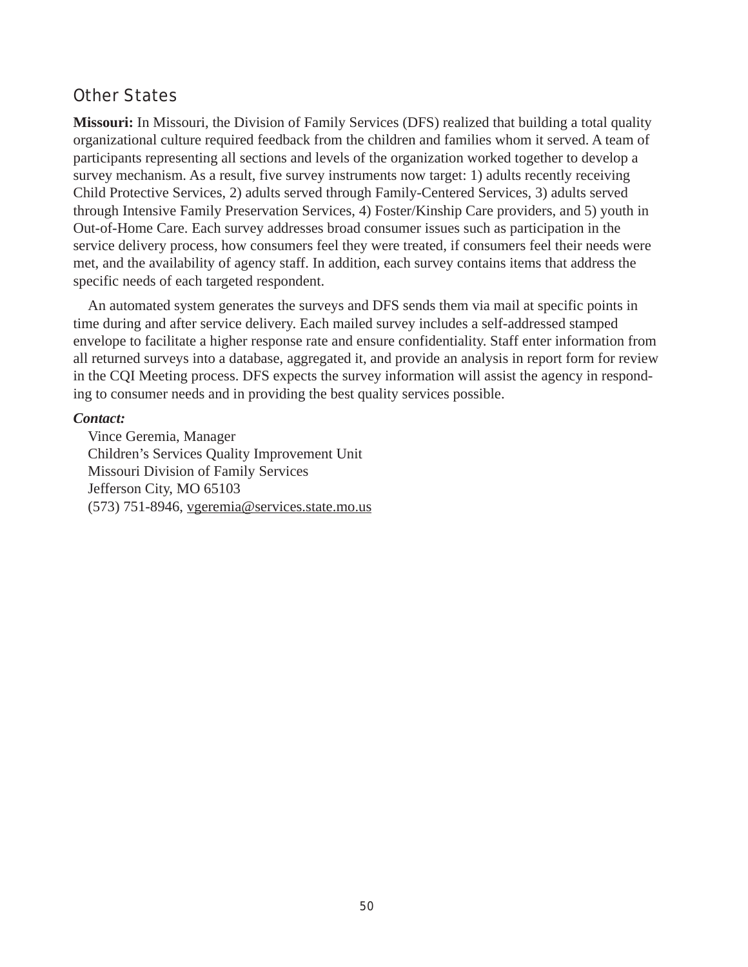## Other States

**Missouri:** In Missouri, the Division of Family Services (DFS) realized that building a total quality organizational culture required feedback from the children and families whom it served. A team of participants representing all sections and levels of the organization worked together to develop a survey mechanism. As a result, five survey instruments now target: 1) adults recently receiving Child Protective Services, 2) adults served through Family-Centered Services, 3) adults served through Intensive Family Preservation Services, 4) Foster/Kinship Care providers, and 5) youth in Out-of-Home Care. Each survey addresses broad consumer issues such as participation in the service delivery process, how consumers feel they were treated, if consumers feel their needs were met, and the availability of agency staff. In addition, each survey contains items that address the specific needs of each targeted respondent.

An automated system generates the surveys and DFS sends them via mail at specific points in time during and after service delivery. Each mailed survey includes a self-addressed stamped envelope to facilitate a higher response rate and ensure confidentiality. Staff enter information from all returned surveys into a database, aggregated it, and provide an analysis in report form for review in the CQI Meeting process. DFS expects the survey information will assist the agency in responding to consumer needs and in providing the best quality services possible.

#### *Contact:*

Vince Geremia, Manager Children's Services Quality Improvement Unit Missouri Division of Family Services Jefferson City, MO 65103 (573) 751-8946, vgeremia@services.state.mo.us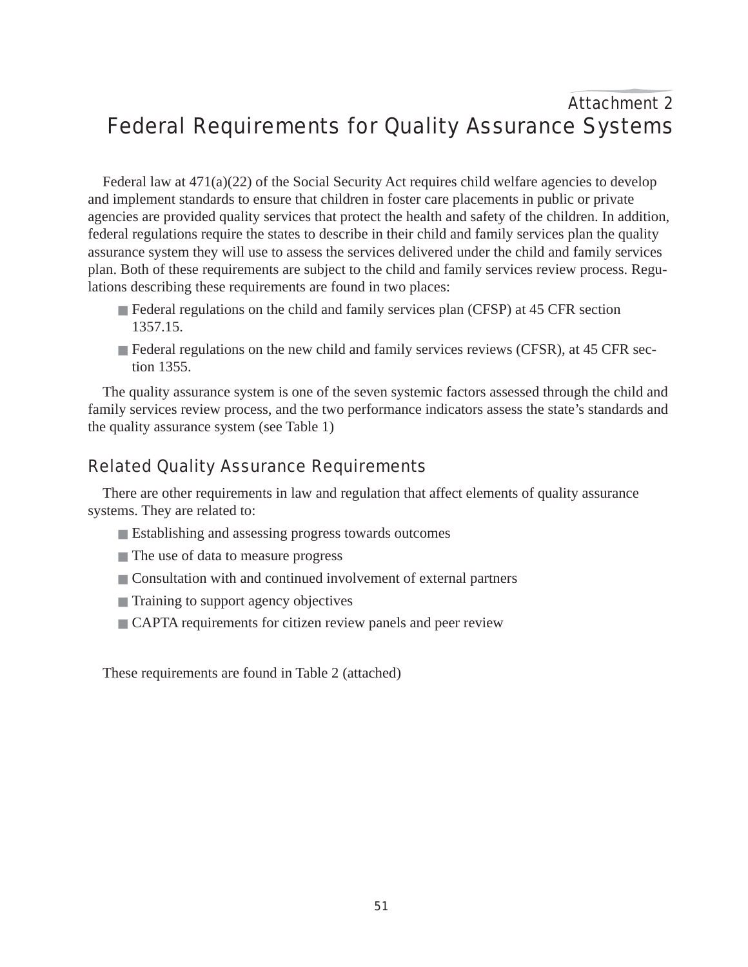# Attachment 2 Federal Requirements for Quality Assurance Systems

Federal law at 471(a)(22) of the Social Security Act requires child welfare agencies to develop and implement standards to ensure that children in foster care placements in public or private agencies are provided quality services that protect the health and safety of the children. In addition, federal regulations require the states to describe in their child and family services plan the quality assurance system they will use to assess the services delivered under the child and family services plan. Both of these requirements are subject to the child and family services review process. Regulations describing these requirements are found in two places:

- Federal regulations on the child and family services plan (CFSP) at 45 CFR section 1357.15.
- Federal regulations on the new child and family services reviews (CFSR), at 45 CFR section 1355.

The quality assurance system is one of the seven systemic factors assessed through the child and family services review process, and the two performance indicators assess the state's standards and the quality assurance system (see Table 1)

## Related Quality Assurance Requirements

There are other requirements in law and regulation that affect elements of quality assurance systems. They are related to:

- Establishing and assessing progress towards outcomes
- The use of data to measure progress
- Consultation with and continued involvement of external partners
- Training to support agency objectives
- CAPTA requirements for citizen review panels and peer review

These requirements are found in Table 2 (attached)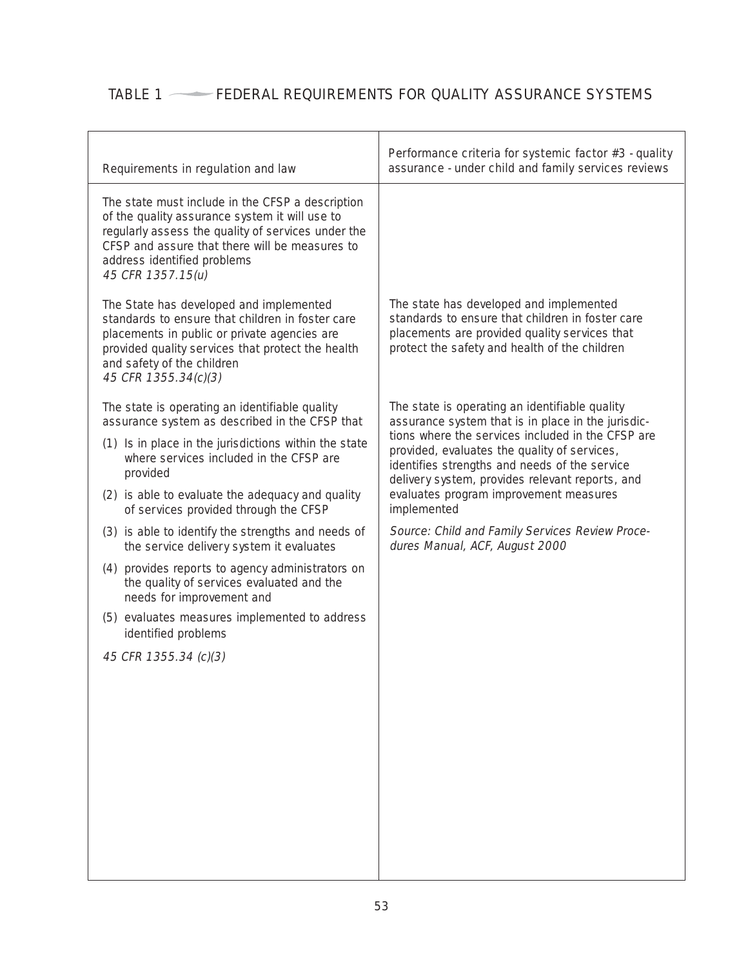# TABLE 1  $\longrightarrow$  FEDERAL REQUIREMENTS FOR QUALITY ASSURANCE SYSTEMS

| Requirements in regulation and law                                                                                                                                                                                                                             | Performance criteria for systemic factor #3 - quality<br>assurance - under child and family services reviews                                                                                          |  |  |
|----------------------------------------------------------------------------------------------------------------------------------------------------------------------------------------------------------------------------------------------------------------|-------------------------------------------------------------------------------------------------------------------------------------------------------------------------------------------------------|--|--|
| The state must include in the CFSP a description<br>of the quality assurance system it will use to<br>regularly assess the quality of services under the<br>CFSP and assure that there will be measures to<br>address identified problems<br>45 CFR 1357.15(u) |                                                                                                                                                                                                       |  |  |
| The State has developed and implemented<br>standards to ensure that children in foster care<br>placements in public or private agencies are<br>provided quality services that protect the health<br>and safety of the children<br>45 CFR 1355.34(c)(3)         | The state has developed and implemented<br>standards to ensure that children in foster care<br>placements are provided quality services that<br>protect the safety and health of the children         |  |  |
| The state is operating an identifiable quality<br>assurance system as described in the CFSP that                                                                                                                                                               | The state is operating an identifiable quality<br>assurance system that is in place in the jurisdic-                                                                                                  |  |  |
| (1) Is in place in the jurisdictions within the state<br>where services included in the CFSP are<br>provided                                                                                                                                                   | tions where the services included in the CFSP are<br>provided, evaluates the quality of services,<br>identifies strengths and needs of the service<br>delivery system, provides relevant reports, and |  |  |
| (2) is able to evaluate the adequacy and quality<br>of services provided through the CFSP                                                                                                                                                                      | evaluates program improvement measures<br>implemented                                                                                                                                                 |  |  |
| (3) is able to identify the strengths and needs of<br>the service delivery system it evaluates                                                                                                                                                                 | Source: Child and Family Services Review Proce-<br>dures Manual, ACF, August 2000                                                                                                                     |  |  |
| (4) provides reports to agency administrators on<br>the quality of services evaluated and the<br>needs for improvement and                                                                                                                                     |                                                                                                                                                                                                       |  |  |
| (5) evaluates measures implemented to address<br>identified problems                                                                                                                                                                                           |                                                                                                                                                                                                       |  |  |
| 45 CFR 1355.34 (c)(3)                                                                                                                                                                                                                                          |                                                                                                                                                                                                       |  |  |
|                                                                                                                                                                                                                                                                |                                                                                                                                                                                                       |  |  |
|                                                                                                                                                                                                                                                                |                                                                                                                                                                                                       |  |  |
|                                                                                                                                                                                                                                                                |                                                                                                                                                                                                       |  |  |
|                                                                                                                                                                                                                                                                |                                                                                                                                                                                                       |  |  |
|                                                                                                                                                                                                                                                                |                                                                                                                                                                                                       |  |  |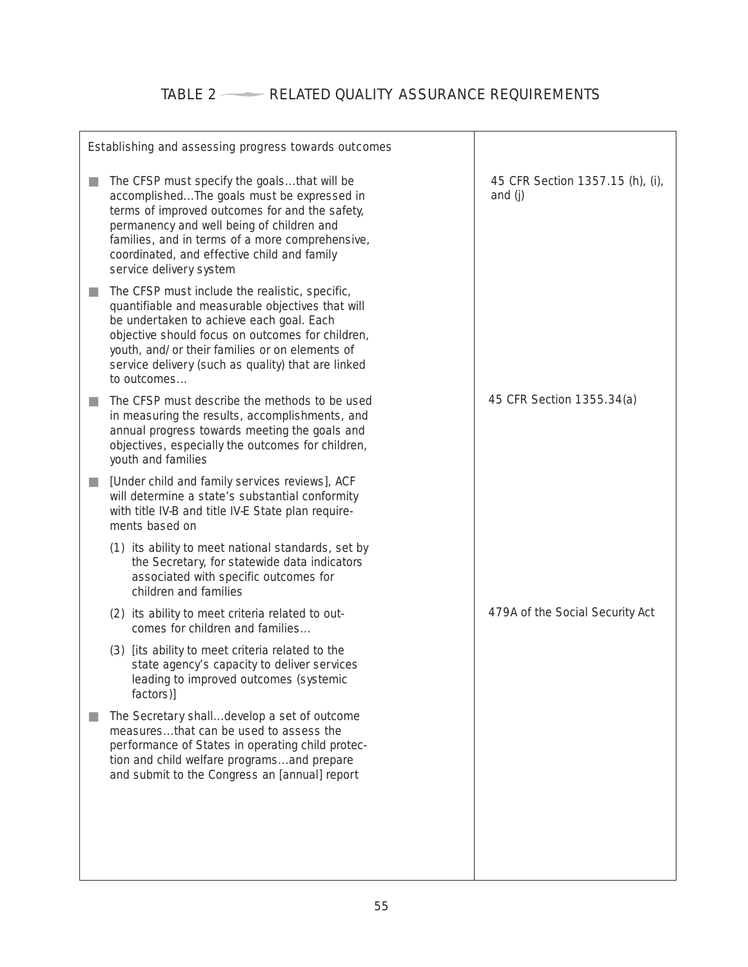# TABLE 2 RELATED QUALITY ASSURANCE REQUIREMENTS

| Establishing and assessing progress towards outcomes                                                                                                                                                                                                                                                                      |                                             |
|---------------------------------------------------------------------------------------------------------------------------------------------------------------------------------------------------------------------------------------------------------------------------------------------------------------------------|---------------------------------------------|
| The CFSP must specify the goalsthat will be<br>accomplishedThe goals must be expressed in<br>terms of improved outcomes for and the safety,<br>permanency and well being of children and<br>families, and in terms of a more comprehensive,<br>coordinated, and effective child and family<br>service delivery system     | 45 CFR Section 1357.15 (h), (i),<br>and (j) |
| The CFSP must include the realistic, specific,<br>quantifiable and measurable objectives that will<br>be undertaken to achieve each goal. Each<br>objective should focus on outcomes for children,<br>youth, and/or their families or on elements of<br>service delivery (such as quality) that are linked<br>to outcomes |                                             |
| The CFSP must describe the methods to be used<br>in measuring the results, accomplishments, and<br>annual progress towards meeting the goals and<br>objectives, especially the outcomes for children,<br>youth and families                                                                                               | 45 CFR Section 1355.34(a)                   |
| [Under child and family services reviews], ACF<br>a a<br>will determine a state's substantial conformity<br>with title IV-B and title IV-E State plan require-<br>ments based on                                                                                                                                          |                                             |
| (1) its ability to meet national standards, set by<br>the Secretary, for statewide data indicators<br>associated with specific outcomes for<br>children and families                                                                                                                                                      |                                             |
| (2) its ability to meet criteria related to out-<br>comes for children and families                                                                                                                                                                                                                                       | 479A of the Social Security Act             |
| (3) [its ability to meet criteria related to the<br>state agency's capacity to deliver services<br>leading to improved outcomes (systemic<br>factors)]                                                                                                                                                                    |                                             |
| The Secretary shalldevelop a set of outcome<br>measuresthat can be used to assess the<br>performance of States in operating child protec-<br>tion and child welfare programsand prepare<br>and submit to the Congress an [annual] report                                                                                  |                                             |
|                                                                                                                                                                                                                                                                                                                           |                                             |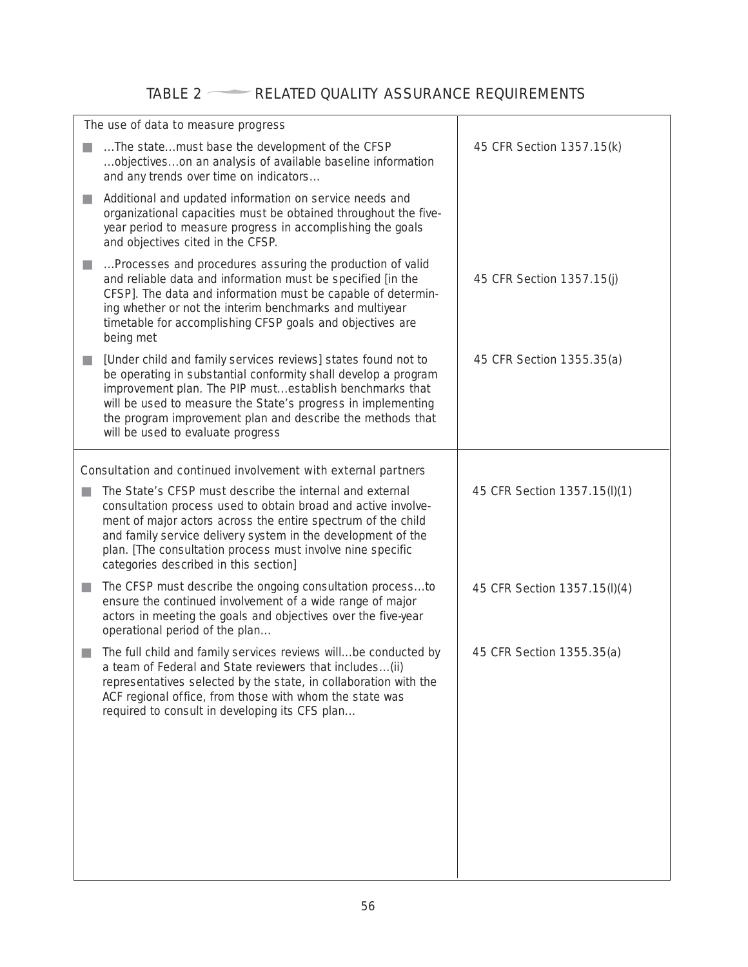# TABLE 2 RELATED QUALITY ASSURANCE REQUIREMENTS

| The use of data to measure progress                                                                                                                                                                                                                                                                                                                                                          |                              |
|----------------------------------------------------------------------------------------------------------------------------------------------------------------------------------------------------------------------------------------------------------------------------------------------------------------------------------------------------------------------------------------------|------------------------------|
| The statemust base the development of the CFSP<br>objectiveson an analysis of available baseline information<br>and any trends over time on indicators                                                                                                                                                                                                                                       | 45 CFR Section 1357.15(k)    |
| Additional and updated information on service needs and<br>$\mathcal{L}_{\mathcal{A}}$<br>organizational capacities must be obtained throughout the five-<br>year period to measure progress in accomplishing the goals<br>and objectives cited in the CFSP.                                                                                                                                 |                              |
| Processes and procedures assuring the production of valid<br>ш<br>and reliable data and information must be specified [in the<br>CFSP]. The data and information must be capable of determin-<br>ing whether or not the interim benchmarks and multiyear<br>timetable for accomplishing CFSP goals and objectives are<br>being met                                                           | 45 CFR Section 1357.15(j)    |
| [Under child and family services reviews] states found not to<br>$\mathcal{L}_{\mathcal{A}}$<br>be operating in substantial conformity shall develop a program<br>improvement plan. The PIP mustestablish benchmarks that<br>will be used to measure the State's progress in implementing<br>the program improvement plan and describe the methods that<br>will be used to evaluate progress | 45 CFR Section 1355.35(a)    |
| Consultation and continued involvement with external partners                                                                                                                                                                                                                                                                                                                                |                              |
| The State's CFSP must describe the internal and external<br>n.<br>consultation process used to obtain broad and active involve-<br>ment of major actors across the entire spectrum of the child<br>and family service delivery system in the development of the<br>plan. [The consultation process must involve nine specific<br>categories described in this section]                       | 45 CFR Section 1357.15(l)(1) |
| The CFSP must describe the ongoing consultation processto<br>ш<br>ensure the continued involvement of a wide range of major<br>actors in meeting the goals and objectives over the five-year<br>operational period of the plan                                                                                                                                                               | 45 CFR Section 1357.15(l)(4) |
| The full child and family services reviews willbe conducted by<br>a team of Federal and State reviewers that includes (ii)<br>representatives selected by the state, in collaboration with the<br>ACF regional office, from those with whom the state was<br>required to consult in developing its CFS plan                                                                                  | 45 CFR Section 1355.35(a)    |
|                                                                                                                                                                                                                                                                                                                                                                                              |                              |
|                                                                                                                                                                                                                                                                                                                                                                                              |                              |
|                                                                                                                                                                                                                                                                                                                                                                                              |                              |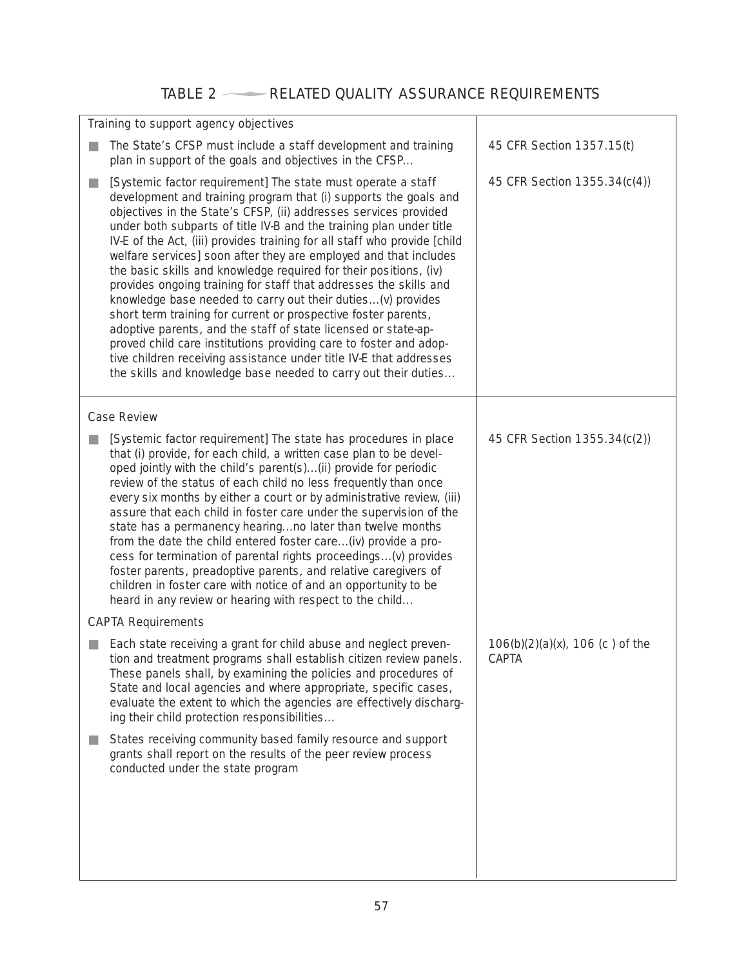# TABLE 2 RELATED QUALITY ASSURANCE REQUIREMENTS

|   | Training to support agency objectives                                                                                                                                                                                                                                                                                                                                                                                                                                                                                                                                                                                                                                                                                                                                                                                                                                                                                                                                                  |                                                    |  |  |  |  |
|---|----------------------------------------------------------------------------------------------------------------------------------------------------------------------------------------------------------------------------------------------------------------------------------------------------------------------------------------------------------------------------------------------------------------------------------------------------------------------------------------------------------------------------------------------------------------------------------------------------------------------------------------------------------------------------------------------------------------------------------------------------------------------------------------------------------------------------------------------------------------------------------------------------------------------------------------------------------------------------------------|----------------------------------------------------|--|--|--|--|
|   | The State's CFSP must include a staff development and training<br>plan in support of the goals and objectives in the CFSP                                                                                                                                                                                                                                                                                                                                                                                                                                                                                                                                                                                                                                                                                                                                                                                                                                                              | 45 CFR Section 1357.15(t)                          |  |  |  |  |
| ш | [Systemic factor requirement] The state must operate a staff<br>development and training program that (i) supports the goals and<br>objectives in the State's CFSP, (ii) addresses services provided<br>under both subparts of title IV-B and the training plan under title<br>IV-E of the Act, (iii) provides training for all staff who provide [child<br>welfare services] soon after they are employed and that includes<br>the basic skills and knowledge required for their positions, (iv)<br>provides ongoing training for staff that addresses the skills and<br>knowledge base needed to carry out their duties(v) provides<br>short term training for current or prospective foster parents,<br>adoptive parents, and the staff of state licensed or state-ap-<br>proved child care institutions providing care to foster and adop-<br>tive children receiving assistance under title IV-E that addresses<br>the skills and knowledge base needed to carry out their duties | 45 CFR Section 1355.34(c(4))                       |  |  |  |  |
|   | <b>Case Review</b>                                                                                                                                                                                                                                                                                                                                                                                                                                                                                                                                                                                                                                                                                                                                                                                                                                                                                                                                                                     |                                                    |  |  |  |  |
|   | [Systemic factor requirement] The state has procedures in place<br>that (i) provide, for each child, a written case plan to be devel-<br>oped jointly with the child's parent(s)(ii) provide for periodic<br>review of the status of each child no less frequently than once<br>every six months by either a court or by administrative review, (iii)<br>assure that each child in foster care under the supervision of the<br>state has a permanency hearingno later than twelve months<br>from the date the child entered foster care(iv) provide a pro-<br>cess for termination of parental rights proceedings(v) provides<br>foster parents, preadoptive parents, and relative caregivers of<br>children in foster care with notice of and an opportunity to be<br>heard in any review or hearing with respect to the child                                                                                                                                                        | 45 CFR Section $1355.34(c(2))$                     |  |  |  |  |
|   | <b>CAPTA Requirements</b>                                                                                                                                                                                                                                                                                                                                                                                                                                                                                                                                                                                                                                                                                                                                                                                                                                                                                                                                                              |                                                    |  |  |  |  |
|   | Each state receiving a grant for child abuse and neglect preven-<br>tion and treatment programs shall establish citizen review panels.<br>These panels shall, by examining the policies and procedures of<br>State and local agencies and where appropriate, specific cases,<br>evaluate the extent to which the agencies are effectively discharg-<br>ing their child protection responsibilities                                                                                                                                                                                                                                                                                                                                                                                                                                                                                                                                                                                     | $106(b)(2)(a)(x)$ , 106 (c) of the<br><b>CAPTA</b> |  |  |  |  |
|   | States receiving community based family resource and support<br>grants shall report on the results of the peer review process<br>conducted under the state program                                                                                                                                                                                                                                                                                                                                                                                                                                                                                                                                                                                                                                                                                                                                                                                                                     |                                                    |  |  |  |  |
|   |                                                                                                                                                                                                                                                                                                                                                                                                                                                                                                                                                                                                                                                                                                                                                                                                                                                                                                                                                                                        |                                                    |  |  |  |  |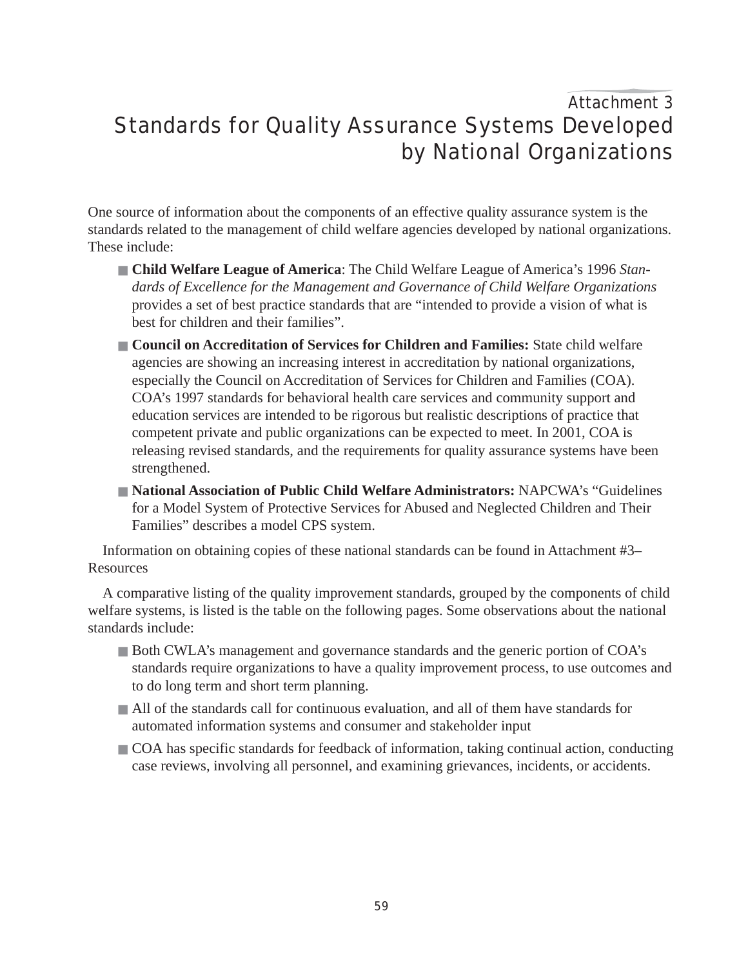# Attachment 3 Standards for Quality Assurance Systems Developed by National Organizations

One source of information about the components of an effective quality assurance system is the standards related to the management of child welfare agencies developed by national organizations. These include:

- **Child Welfare League of America**: The Child Welfare League of America's 1996 *Standards of Excellence for the Management and Governance of Child Welfare Organizations* provides a set of best practice standards that are "intended to provide a vision of what is best for children and their families".
- **Council on Accreditation of Services for Children and Families:** State child welfare agencies are showing an increasing interest in accreditation by national organizations, especially the Council on Accreditation of Services for Children and Families (COA). COA's 1997 standards for behavioral health care services and community support and education services are intended to be rigorous but realistic descriptions of practice that competent private and public organizations can be expected to meet. In 2001, COA is releasing revised standards, and the requirements for quality assurance systems have been strengthened.
- **National Association of Public Child Welfare Administrators: NAPCWA's "Guidelines** for a Model System of Protective Services for Abused and Neglected Children and Their Families" describes a model CPS system.

Information on obtaining copies of these national standards can be found in Attachment #3– Resources

A comparative listing of the quality improvement standards, grouped by the components of child welfare systems, is listed is the table on the following pages. Some observations about the national standards include:

- Both CWLA's management and governance standards and the generic portion of COA's standards require organizations to have a quality improvement process, to use outcomes and to do long term and short term planning.
- All of the standards call for continuous evaluation, and all of them have standards for automated information systems and consumer and stakeholder input
- COA has specific standards for feedback of information, taking continual action, conducting case reviews, involving all personnel, and examining grievances, incidents, or accidents.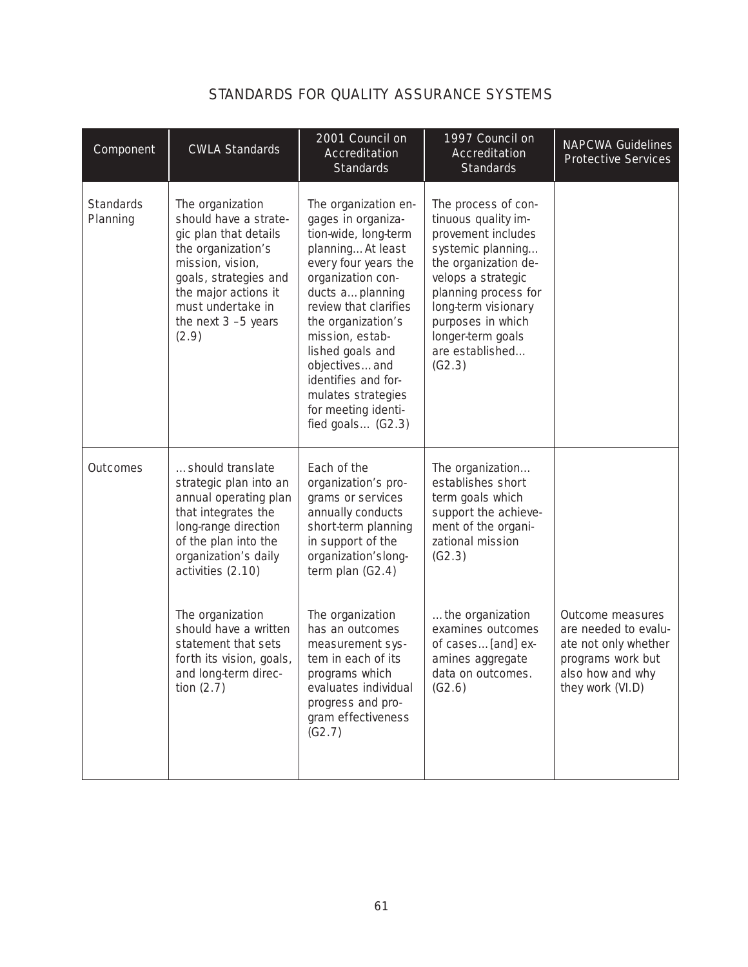| Component                    | <b>CWLA Standards</b>                                                                                                                                                                                                                                                                                                             | 2001 Council on<br>Accreditation<br><b>Standards</b>                                                                                                                                                                                                                                                                                                     | 1997 Council on<br>Accreditation<br><b>Standards</b>                                                                                                                                                                                                      | <b>NAPCWA Guidelines</b><br><b>Protective Services</b>                                                                        |
|------------------------------|-----------------------------------------------------------------------------------------------------------------------------------------------------------------------------------------------------------------------------------------------------------------------------------------------------------------------------------|----------------------------------------------------------------------------------------------------------------------------------------------------------------------------------------------------------------------------------------------------------------------------------------------------------------------------------------------------------|-----------------------------------------------------------------------------------------------------------------------------------------------------------------------------------------------------------------------------------------------------------|-------------------------------------------------------------------------------------------------------------------------------|
| <b>Standards</b><br>Planning | The organization<br>should have a strate-<br>gic plan that details<br>the organization's<br>mission, vision,<br>goals, strategies and<br>the major actions it<br>must undertake in<br>the next $3 - 5$ years<br>(2.9)                                                                                                             | The organization en-<br>gages in organiza-<br>tion-wide, long-term<br>planningAt least<br>every four years the<br>organization con-<br>ducts aplanning<br>review that clarifies<br>the organization's<br>mission, estab-<br>lished goals and<br>objectivesand<br>identifies and for-<br>mulates strategies<br>for meeting identi-<br>fied goals $(G2.3)$ | The process of con-<br>tinuous quality im-<br>provement includes<br>systemic planning<br>the organization de-<br>velops a strategic<br>planning process for<br>long-term visionary<br>purposes in which<br>longer-term goals<br>are established<br>(G2.3) |                                                                                                                               |
| <b>Outcomes</b>              | should translate<br>strategic plan into an<br>annual operating plan<br>that integrates the<br>long-range direction<br>of the plan into the<br>organization's daily<br>activities $(2.10)$<br>The organization<br>should have a written<br>statement that sets<br>forth its vision, goals,<br>and long-term direc-<br>tion $(2.7)$ | Each of the<br>organization's pro-<br>grams or services<br>annually conducts<br>short-term planning<br>in support of the<br>organization'slong-<br>term plan $(G2.4)$<br>The organization<br>has an outcomes<br>measurement sys-<br>tem in each of its<br>programs which<br>evaluates individual<br>progress and pro-<br>gram effectiveness<br>(G2.7)    | The organization<br>establishes short<br>term goals which<br>support the achieve-<br>ment of the organi-<br>zational mission<br>(G2.3)<br>the organization<br>examines outcomes<br>of cases[and] ex-<br>amines aggregate<br>data on outcomes.<br>(G2.6)   | Outcome measures<br>are needed to evalu-<br>ate not only whether<br>programs work but<br>also how and why<br>they work (VI.D) |

# STANDARDS FOR QUALITY ASSURANCE SYSTEMS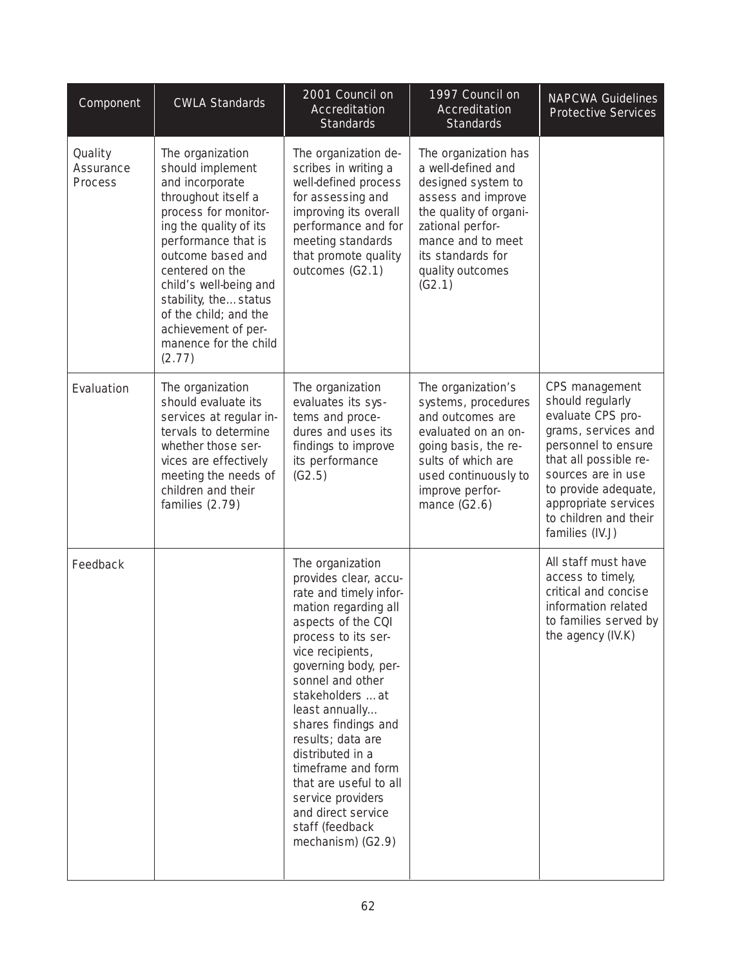| Component                       | <b>CWLA Standards</b>                                                                                                                                                                                                                                                                                                                | 2001 Council on<br>Accreditation<br><b>Standards</b>                                                                                                                                                                                                                                                                                                                                                                                               | 1997 Council on<br>Accreditation<br><b>Standards</b>                                                                                                                                                         | <b>NAPCWA Guidelines</b><br><b>Protective Services</b>                                                                                                                                                                                           |
|---------------------------------|--------------------------------------------------------------------------------------------------------------------------------------------------------------------------------------------------------------------------------------------------------------------------------------------------------------------------------------|----------------------------------------------------------------------------------------------------------------------------------------------------------------------------------------------------------------------------------------------------------------------------------------------------------------------------------------------------------------------------------------------------------------------------------------------------|--------------------------------------------------------------------------------------------------------------------------------------------------------------------------------------------------------------|--------------------------------------------------------------------------------------------------------------------------------------------------------------------------------------------------------------------------------------------------|
| Quality<br>Assurance<br>Process | The organization<br>should implement<br>and incorporate<br>throughout itself a<br>process for monitor-<br>ing the quality of its<br>performance that is<br>outcome based and<br>centered on the<br>child's well-being and<br>stability, thestatus<br>of the child; and the<br>achievement of per-<br>manence for the child<br>(2.77) | The organization de-<br>scribes in writing a<br>well-defined process<br>for assessing and<br>improving its overall<br>performance and for<br>meeting standards<br>that promote quality<br>outcomes $(G2.1)$                                                                                                                                                                                                                                        | The organization has<br>a well-defined and<br>designed system to<br>assess and improve<br>the quality of organi-<br>zational perfor-<br>mance and to meet<br>its standards for<br>quality outcomes<br>(G2.1) |                                                                                                                                                                                                                                                  |
| Evaluation                      | The organization<br>should evaluate its<br>services at regular in-<br>tervals to determine<br>whether those ser-<br>vices are effectively<br>meeting the needs of<br>children and their<br>families $(2.79)$                                                                                                                         | The organization<br>evaluates its sys-<br>tems and proce-<br>dures and uses its<br>findings to improve<br>its performance<br>(G2.5)                                                                                                                                                                                                                                                                                                                | The organization's<br>systems, procedures<br>and outcomes are<br>evaluated on an on-<br>going basis, the re-<br>sults of which are<br>used continuously to<br>improve perfor-<br>mance $(G2.6)$              | CPS management<br>should regularly<br>evaluate CPS pro-<br>grams, services and<br>personnel to ensure<br>that all possible re-<br>sources are in use<br>to provide adequate,<br>appropriate services<br>to children and their<br>families (IV.J) |
| Feedback                        |                                                                                                                                                                                                                                                                                                                                      | The organization<br>provides clear, accu-<br>rate and timely infor-<br>mation regarding all<br>aspects of the CQI<br>process to its ser-<br>vice recipients,<br>governing body, per-<br>sonnel and other<br>stakeholders at<br>least annually<br>shares findings and<br>results; data are<br>distributed in a<br>timeframe and form<br>that are useful to all<br>service providers<br>and direct service<br>staff (feedback<br>mechanism) $(G2.9)$ |                                                                                                                                                                                                              | All staff must have<br>access to timely,<br>critical and concise<br>information related<br>to families served by<br>the agency (IV.K)                                                                                                            |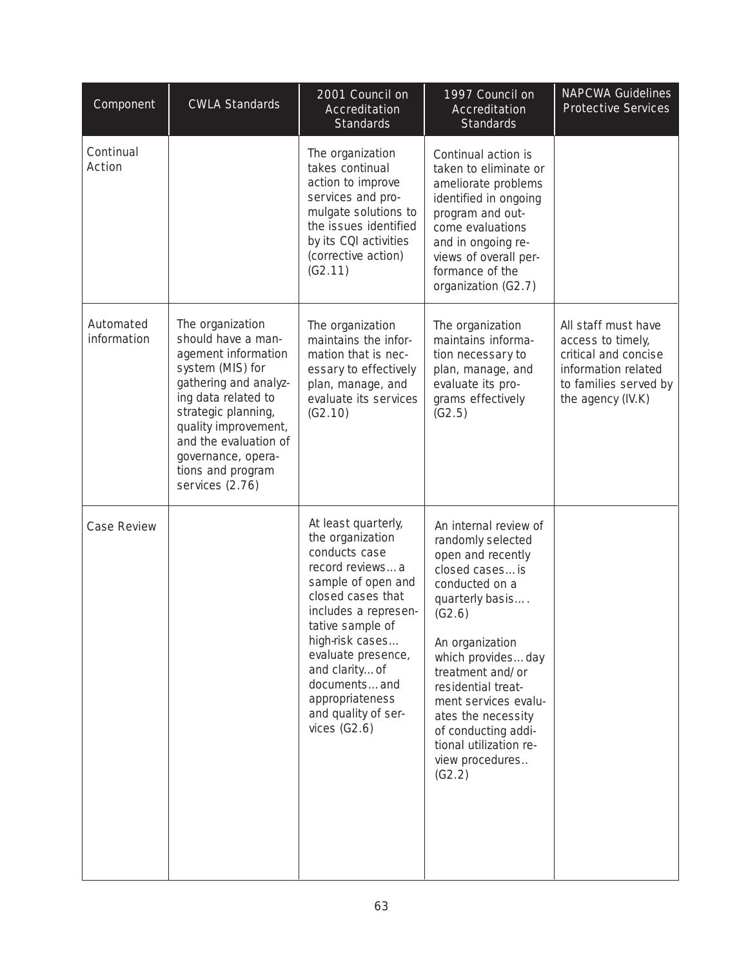| Component                | <b>CWLA Standards</b>                                                                                                                                                                                                                                                     | $2001$ Council on<br>Accreditation<br><b>Standards</b>                                                                                                                                                                                                                                                   | 1997 Council on<br>Accreditation<br><b>Standards</b>                                                                                                                                                                                                                                                                                           | <b>NAPCWA Guidelines</b><br><b>Protective Services</b>                                                                                |
|--------------------------|---------------------------------------------------------------------------------------------------------------------------------------------------------------------------------------------------------------------------------------------------------------------------|----------------------------------------------------------------------------------------------------------------------------------------------------------------------------------------------------------------------------------------------------------------------------------------------------------|------------------------------------------------------------------------------------------------------------------------------------------------------------------------------------------------------------------------------------------------------------------------------------------------------------------------------------------------|---------------------------------------------------------------------------------------------------------------------------------------|
| Continual<br>Action      |                                                                                                                                                                                                                                                                           | The organization<br>takes continual<br>action to improve<br>services and pro-<br>mulgate solutions to<br>the issues identified<br>by its CQI activities<br>(corrective action)<br>(G2.11)                                                                                                                | Continual action is<br>taken to eliminate or<br>ameliorate problems<br>identified in ongoing<br>program and out-<br>come evaluations<br>and in ongoing re-<br>views of overall per-<br>formance of the<br>organization (G2.7)                                                                                                                  |                                                                                                                                       |
| Automated<br>information | The organization<br>should have a man-<br>agement information<br>system (MIS) for<br>gathering and analyz-<br>ing data related to<br>strategic planning,<br>quality improvement,<br>and the evaluation of<br>governance, opera-<br>tions and program<br>services $(2.76)$ | The organization<br>maintains the infor-<br>mation that is nec-<br>essary to effectively<br>plan, manage, and<br>evaluate its services<br>(G2.10)                                                                                                                                                        | The organization<br>maintains informa-<br>tion necessary to<br>plan, manage, and<br>evaluate its pro-<br>grams effectively<br>(G2.5)                                                                                                                                                                                                           | All staff must have<br>access to timely,<br>critical and concise<br>information related<br>to families served by<br>the agency (IV.K) |
| <b>Case Review</b>       |                                                                                                                                                                                                                                                                           | At least quarterly,<br>the organization<br>conducts case<br>record reviewsa<br>sample of open and<br>closed cases that<br>includes a represen-<br>tative sample of<br>high-risk cases<br>evaluate presence,<br>and clarityof<br>documentsand<br>appropriateness<br>and quality of ser-<br>vices $(G2.6)$ | An internal review of<br>randomly selected<br>open and recently<br>closed casesis<br>conducted on a<br>quarterly basis<br>(G2.6)<br>An organization<br>which providesday<br>treatment and/or<br>residential treat-<br>ment services evalu-<br>ates the necessity<br>of conducting addi-<br>tional utilization re-<br>view procedures<br>(G2.2) |                                                                                                                                       |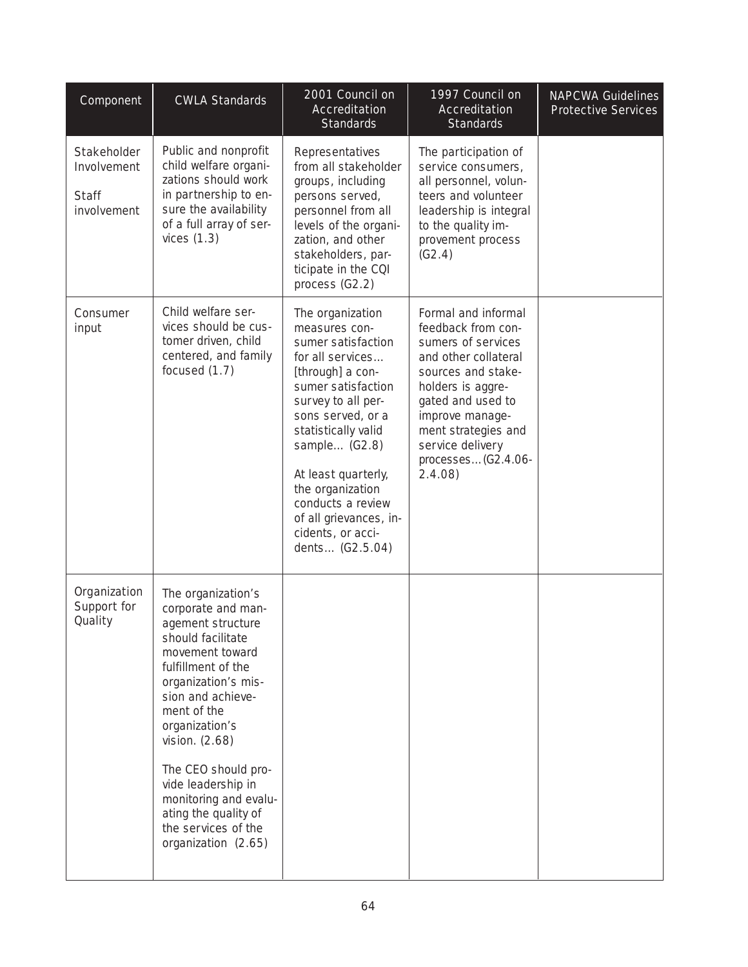| Component                                                 | <b>CWLA Standards</b>                                                                                                                                                                                                                                                                                                                                                    | 2001 Council on<br>Accreditation<br><b>Standards</b>                                                                                                                                                                                                                                                                                       | 1997 Council on<br>Accreditation<br><b>Standards</b>                                                                                                                                                                                                  | <b>NAPCWA Guidelines</b><br><b>Protective Services</b> |
|-----------------------------------------------------------|--------------------------------------------------------------------------------------------------------------------------------------------------------------------------------------------------------------------------------------------------------------------------------------------------------------------------------------------------------------------------|--------------------------------------------------------------------------------------------------------------------------------------------------------------------------------------------------------------------------------------------------------------------------------------------------------------------------------------------|-------------------------------------------------------------------------------------------------------------------------------------------------------------------------------------------------------------------------------------------------------|--------------------------------------------------------|
| Stakeholder<br>Involvement<br><b>Staff</b><br>involvement | Public and nonprofit<br>child welfare organi-<br>zations should work<br>in partnership to en-<br>sure the availability<br>of a full array of ser-<br>vices $(1.3)$                                                                                                                                                                                                       | Representatives<br>from all stakeholder<br>groups, including<br>persons served,<br>personnel from all<br>levels of the organi-<br>zation, and other<br>stakeholders, par-<br>ticipate in the CQI<br>process $(G2.2)$                                                                                                                       | The participation of<br>service consumers,<br>all personnel, volun-<br>teers and volunteer<br>leadership is integral<br>to the quality im-<br>provement process<br>(G2.4)                                                                             |                                                        |
| Consumer<br>input                                         | Child welfare ser-<br>vices should be cus-<br>tomer driven, child<br>centered, and family<br>focused $(1.7)$                                                                                                                                                                                                                                                             | The organization<br>measures con-<br>sumer satisfaction<br>for all services<br>[through] a con-<br>sumer satisfaction<br>survey to all per-<br>sons served, or a<br>statistically valid<br>sample (G2.8)<br>At least quarterly,<br>the organization<br>conducts a review<br>of all grievances, in-<br>cidents, or acci-<br>dents (G2.5.04) | Formal and informal<br>feedback from con-<br>sumers of services<br>and other collateral<br>sources and stake-<br>holders is aggre-<br>gated and used to<br>improve manage-<br>ment strategies and<br>service delivery<br>processes(G2.4.06-<br>2.4.08 |                                                        |
| Organization<br>Support for<br>Quality                    | The organization's<br>corporate and man-<br>agement structure<br>should facilitate<br>movement toward<br>fulfillment of the<br>organization's mis-<br>sion and achieve-<br>ment of the<br>organization's<br>vision. $(2.68)$<br>The CEO should pro-<br>vide leadership in<br>monitoring and evalu-<br>ating the quality of<br>the services of the<br>organization (2.65) |                                                                                                                                                                                                                                                                                                                                            |                                                                                                                                                                                                                                                       |                                                        |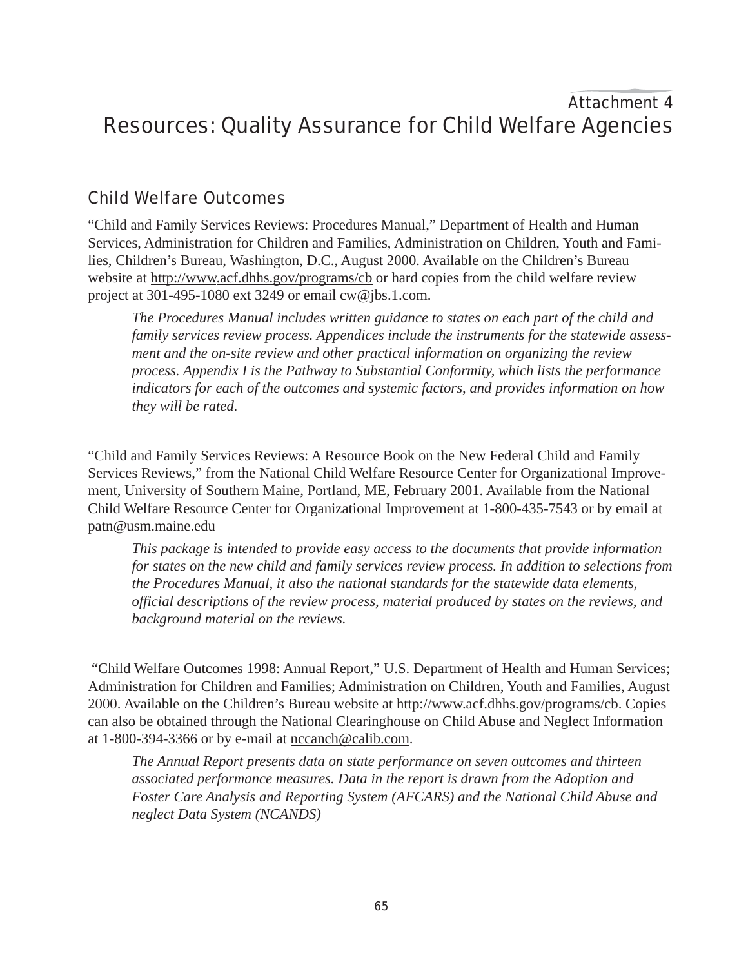# Attachment 4 Resources: Quality Assurance for Child Welfare Agencies

# Child Welfare Outcomes

"Child and Family Services Reviews: Procedures Manual," Department of Health and Human Services, Administration for Children and Families, Administration on Children, Youth and Families, Children's Bureau, Washington, D.C., August 2000. Available on the Children's Bureau website at http://www.acf.dhhs.gov/programs/cb or hard copies from the child welfare review project at 301-495-1080 ext 3249 or email  $cw@jbs.1.com$ .

*The Procedures Manual includes written guidance to states on each part of the child and family services review process. Appendices include the instruments for the statewide assessment and the on-site review and other practical information on organizing the review process. Appendix I is the Pathway to Substantial Conformity, which lists the performance indicators for each of the outcomes and systemic factors, and provides information on how they will be rated.*

"Child and Family Services Reviews: A Resource Book on the New Federal Child and Family Services Reviews," from the National Child Welfare Resource Center for Organizational Improvement, University of Southern Maine, Portland, ME, February 2001. Available from the National Child Welfare Resource Center for Organizational Improvement at 1-800-435-7543 or by email at patn@usm.maine.edu

*This package is intended to provide easy access to the documents that provide information for states on the new child and family services review process. In addition to selections from the Procedures Manual, it also the national standards for the statewide data elements, official descriptions of the review process, material produced by states on the reviews, and background material on the reviews.*

 "Child Welfare Outcomes 1998: Annual Report," U.S. Department of Health and Human Services; Administration for Children and Families; Administration on Children, Youth and Families, August 2000. Available on the Children's Bureau website at http://www.acf.dhhs.gov/programs/cb. Copies can also be obtained through the National Clearinghouse on Child Abuse and Neglect Information at 1-800-394-3366 or by e-mail at nccanch@calib.com.

*The Annual Report presents data on state performance on seven outcomes and thirteen associated performance measures. Data in the report is drawn from the Adoption and Foster Care Analysis and Reporting System (AFCARS) and the National Child Abuse and neglect Data System (NCANDS)*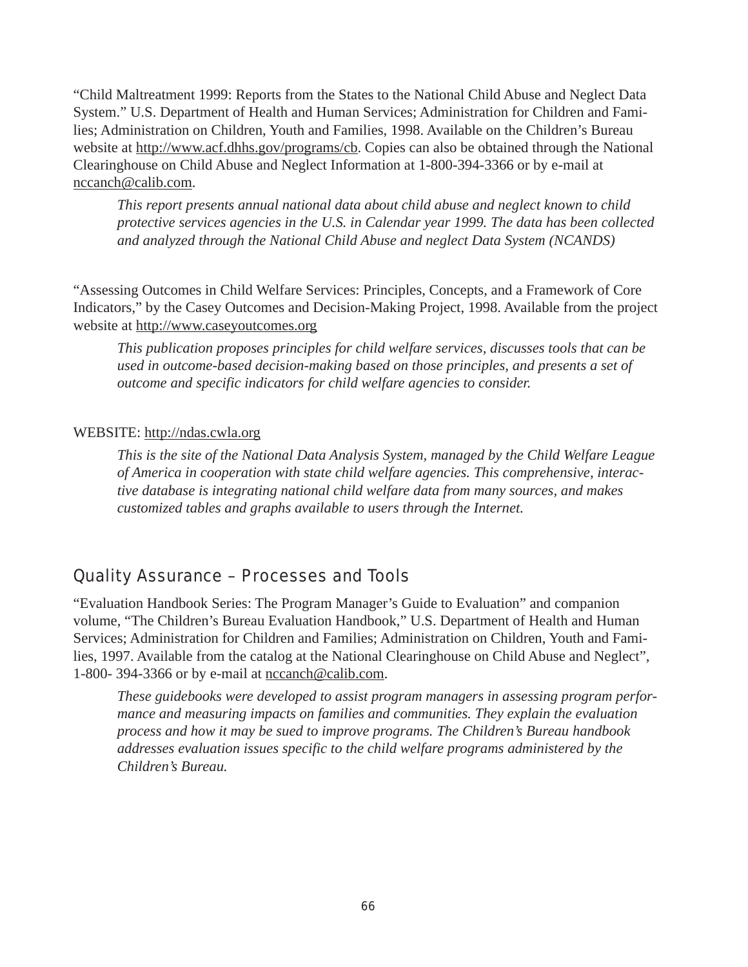"Child Maltreatment 1999: Reports from the States to the National Child Abuse and Neglect Data System." U.S. Department of Health and Human Services; Administration for Children and Families; Administration on Children, Youth and Families, 1998. Available on the Children's Bureau website at http://www.acf.dhhs.gov/programs/cb. Copies can also be obtained through the National Clearinghouse on Child Abuse and Neglect Information at 1-800-394-3366 or by e-mail at nccanch@calib.com.

*This report presents annual national data about child abuse and neglect known to child protective services agencies in the U.S. in Calendar year 1999. The data has been collected and analyzed through the National Child Abuse and neglect Data System (NCANDS)*

"Assessing Outcomes in Child Welfare Services: Principles, Concepts, and a Framework of Core Indicators," by the Casey Outcomes and Decision-Making Project, 1998. Available from the project website at http://www.caseyoutcomes.org

*This publication proposes principles for child welfare services, discusses tools that can be used in outcome-based decision-making based on those principles, and presents a set of outcome and specific indicators for child welfare agencies to consider.*

## WEBSITE: http://ndas.cwla.org

*This is the site of the National Data Analysis System, managed by the Child Welfare League of America in cooperation with state child welfare agencies. This comprehensive, interactive database is integrating national child welfare data from many sources, and makes customized tables and graphs available to users through the Internet.*

## Quality Assurance – Processes and Tools

"Evaluation Handbook Series: The Program Manager's Guide to Evaluation" and companion volume, "The Children's Bureau Evaluation Handbook," U.S. Department of Health and Human Services; Administration for Children and Families; Administration on Children, Youth and Families, 1997. Available from the catalog at the National Clearinghouse on Child Abuse and Neglect", 1-800- 394-3366 or by e-mail at nccanch@calib.com.

*These guidebooks were developed to assist program managers in assessing program performance and measuring impacts on families and communities. They explain the evaluation process and how it may be sued to improve programs. The Children's Bureau handbook addresses evaluation issues specific to the child welfare programs administered by the Children's Bureau.*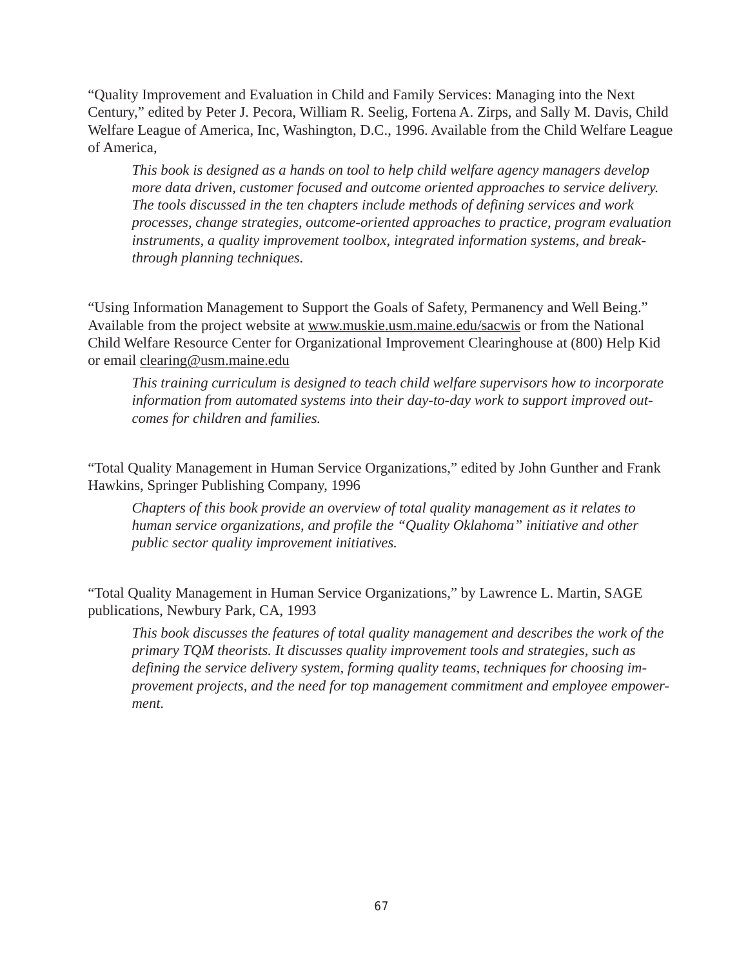"Quality Improvement and Evaluation in Child and Family Services: Managing into the Next Century," edited by Peter J. Pecora, William R. Seelig, Fortena A. Zirps, and Sally M. Davis, Child Welfare League of America, Inc, Washington, D.C., 1996. Available from the Child Welfare League of America,

*This book is designed as a hands on tool to help child welfare agency managers develop more data driven, customer focused and outcome oriented approaches to service delivery. The tools discussed in the ten chapters include methods of defining services and work processes, change strategies, outcome-oriented approaches to practice, program evaluation instruments, a quality improvement toolbox, integrated information systems, and breakthrough planning techniques.*

"Using Information Management to Support the Goals of Safety, Permanency and Well Being." Available from the project website at www.muskie.usm.maine.edu/sacwis or from the National Child Welfare Resource Center for Organizational Improvement Clearinghouse at (800) Help Kid or email clearing@usm.maine.edu

*This training curriculum is designed to teach child welfare supervisors how to incorporate information from automated systems into their day-to-day work to support improved outcomes for children and families.*

"Total Quality Management in Human Service Organizations," edited by John Gunther and Frank Hawkins, Springer Publishing Company, 1996

*Chapters of this book provide an overview of total quality management as it relates to human service organizations, and profile the "Quality Oklahoma" initiative and other public sector quality improvement initiatives.*

"Total Quality Management in Human Service Organizations," by Lawrence L. Martin, SAGE publications, Newbury Park, CA, 1993

*This book discusses the features of total quality management and describes the work of the primary TQM theorists. It discusses quality improvement tools and strategies, such as defining the service delivery system, forming quality teams, techniques for choosing improvement projects, and the need for top management commitment and employee empowerment.*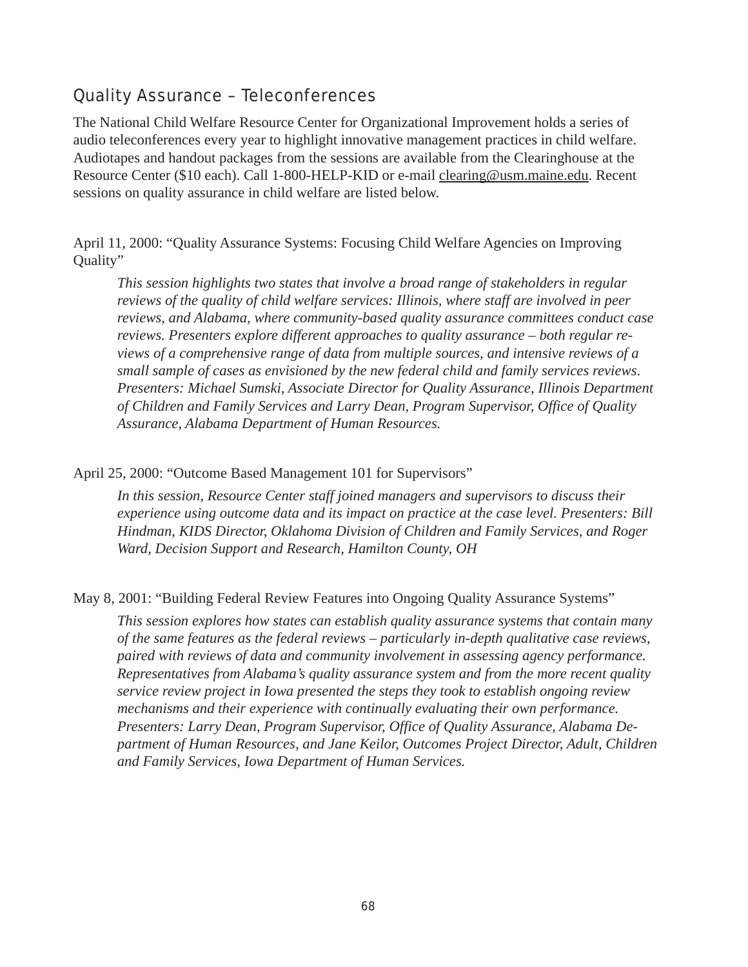# Quality Assurance – Teleconferences

The National Child Welfare Resource Center for Organizational Improvement holds a series of audio teleconferences every year to highlight innovative management practices in child welfare. Audiotapes and handout packages from the sessions are available from the Clearinghouse at the Resource Center (\$10 each). Call 1-800-HELP-KID or e-mail clearing@usm.maine.edu. Recent sessions on quality assurance in child welfare are listed below.

April 11, 2000: "Quality Assurance Systems: Focusing Child Welfare Agencies on Improving Quality"

*This session highlights two states that involve a broad range of stakeholders in regular reviews of the quality of child welfare services: Illinois, where staff are involved in peer reviews, and Alabama, where community-based quality assurance committees conduct case reviews. Presenters explore different approaches to quality assurance – both regular reviews of a comprehensive range of data from multiple sources, and intensive reviews of a small sample of cases as envisioned by the new federal child and family services reviews*. *Presenters: Michael Sumski, Associate Director for Quality Assurance*, *Illinois Department of Children and Family Services and Larry Dean, Program Supervisor, Office of Quality Assurance, Alabama Department of Human Resources.*

April 25, 2000: "Outcome Based Management 101 for Supervisors"

*In this session, Resource Center staff joined managers and supervisors to discuss their experience using outcome data and its impact on practice at the case level. Presenters: Bill Hindman, KIDS Director, Oklahoma Division of Children and Family Services, and Roger Ward, Decision Support and Research, Hamilton County, OH*

May 8, 2001: "Building Federal Review Features into Ongoing Quality Assurance Systems"

*This session explores how states can establish quality assurance systems that contain many of the same features as the federal reviews – particularly in-depth qualitative case reviews, paired with reviews of data and community involvement in assessing agency performance. Representatives from Alabama's quality assurance system and from the more recent quality service review project in Iowa presented the steps they took to establish ongoing review mechanisms and their experience with continually evaluating their own performance. Presenters: Larry Dean, Program Supervisor, Office of Quality Assurance, Alabama Department of Human Resources, and Jane Keilor, Outcomes Project Director, Adult, Children and Family Services, Iowa Department of Human Services.*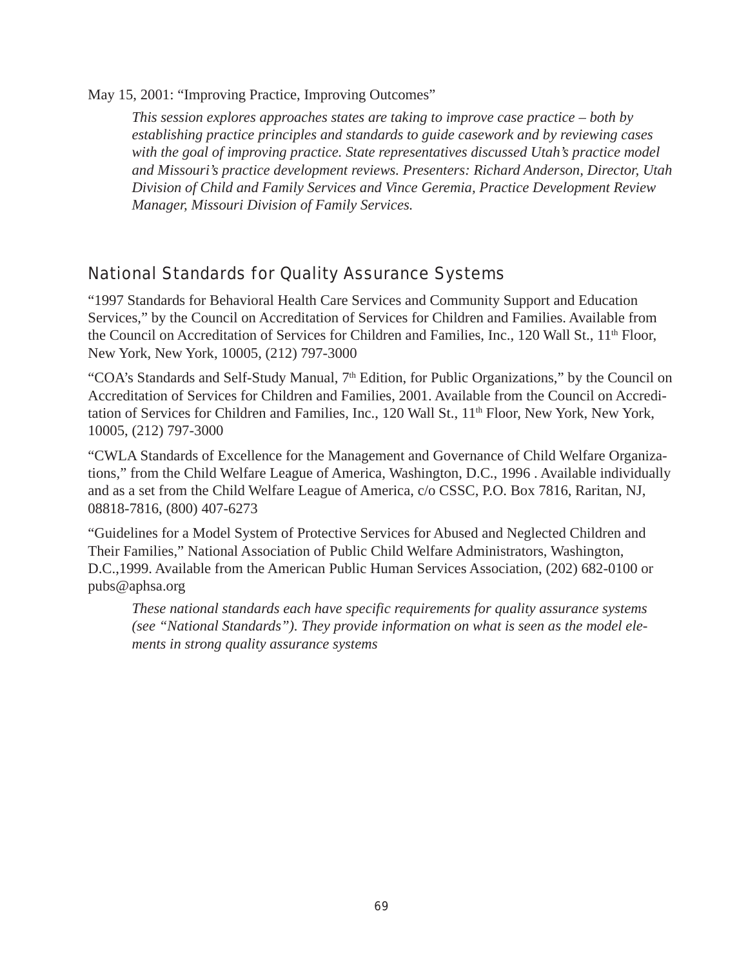May 15, 2001: "Improving Practice, Improving Outcomes"

*This session explores approaches states are taking to improve case practice – both by establishing practice principles and standards to guide casework and by reviewing cases with the goal of improving practice. State representatives discussed Utah's practice model and Missouri's practice development reviews. Presenters: Richard Anderson, Director, Utah Division of Child and Family Services and Vince Geremia, Practice Development Review Manager, Missouri Division of Family Services.*

## National Standards for Quality Assurance Systems

"1997 Standards for Behavioral Health Care Services and Community Support and Education Services," by the Council on Accreditation of Services for Children and Families. Available from the Council on Accreditation of Services for Children and Families, Inc., 120 Wall St., 11<sup>th</sup> Floor, New York, New York, 10005, (212) 797-3000

"COA's Standards and Self-Study Manual,  $7<sup>th</sup>$  Edition, for Public Organizations," by the Council on Accreditation of Services for Children and Families, 2001. Available from the Council on Accreditation of Services for Children and Families, Inc., 120 Wall St., 11<sup>th</sup> Floor, New York, New York, 10005, (212) 797-3000

"CWLA Standards of Excellence for the Management and Governance of Child Welfare Organizations," from the Child Welfare League of America, Washington, D.C., 1996 . Available individually and as a set from the Child Welfare League of America, c/o CSSC, P.O. Box 7816, Raritan, NJ, 08818-7816, (800) 407-6273

"Guidelines for a Model System of Protective Services for Abused and Neglected Children and Their Families," National Association of Public Child Welfare Administrators, Washington, D.C.,1999. Available from the American Public Human Services Association, (202) 682-0100 or pubs@aphsa.org

*These national standards each have specific requirements for quality assurance systems (see "National Standards"). They provide information on what is seen as the model elements in strong quality assurance systems*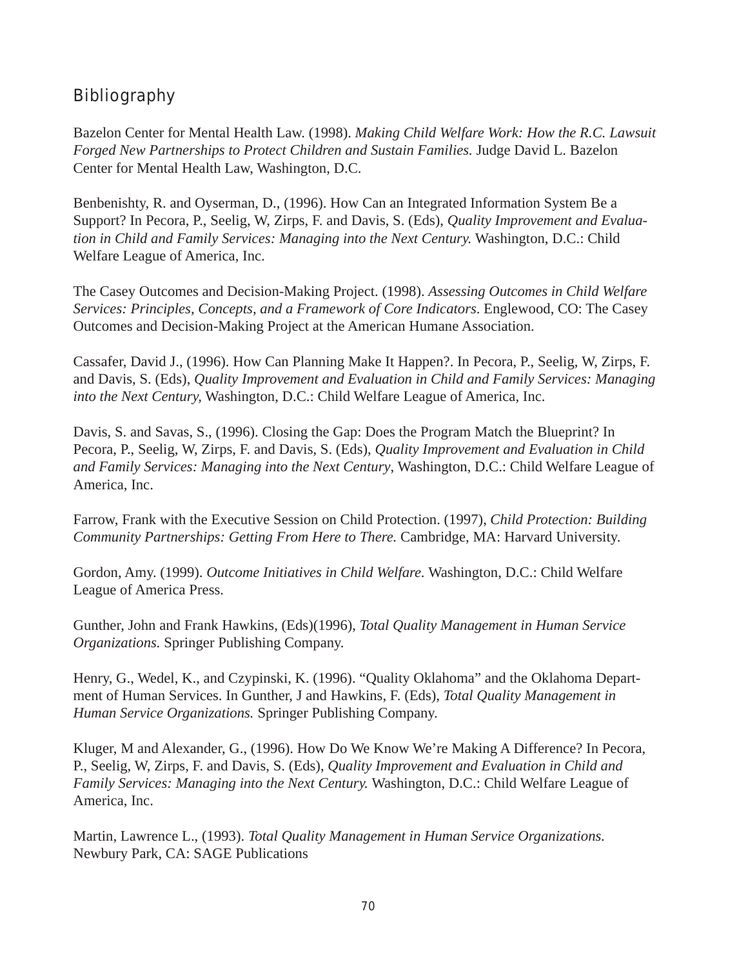# Bibliography

Bazelon Center for Mental Health Law. (1998). *Making Child Welfare Work: How the R.C. Lawsuit Forged New Partnerships to Protect Children and Sustain Families.* Judge David L. Bazelon Center for Mental Health Law, Washington, D.C.

Benbenishty, R. and Oyserman, D., (1996). How Can an Integrated Information System Be a Support? In Pecora, P., Seelig, W, Zirps, F. and Davis, S. (Eds), *Quality Improvement and Evaluation in Child and Family Services: Managing into the Next Century.* Washington, D.C.: Child Welfare League of America, Inc.

The Casey Outcomes and Decision-Making Project. (1998). *Assessing Outcomes in Child Welfare Services: Principles, Concepts, and a Framework of Core Indicators*. Englewood, CO: The Casey Outcomes and Decision-Making Project at the American Humane Association.

Cassafer, David J., (1996). How Can Planning Make It Happen?. In Pecora, P., Seelig, W, Zirps, F. and Davis, S. (Eds), *Quality Improvement and Evaluation in Child and Family Services: Managing into the Next Century,* Washington, D.C.: Child Welfare League of America, Inc.

Davis, S. and Savas, S., (1996). Closing the Gap: Does the Program Match the Blueprint? In Pecora, P., Seelig, W, Zirps, F. and Davis, S. (Eds), *Quality Improvement and Evaluation in Child and Family Services: Managing into the Next Century*, Washington, D.C.: Child Welfare League of America, Inc.

Farrow, Frank with the Executive Session on Child Protection. (1997), *Child Protection: Building Community Partnerships: Getting From Here to There.* Cambridge, MA: Harvard University.

Gordon, Amy. (1999). *Outcome Initiatives in Child Welfare.* Washington, D.C.: Child Welfare League of America Press.

Gunther, John and Frank Hawkins, (Eds)(1996), *Total Quality Management in Human Service Organizations.* Springer Publishing Company.

Henry, G., Wedel, K., and Czypinski, K. (1996). "Quality Oklahoma" and the Oklahoma Department of Human Services. In Gunther, J and Hawkins, F. (Eds), *Total Quality Management in Human Service Organizations.* Springer Publishing Company.

Kluger, M and Alexander, G., (1996). How Do We Know We're Making A Difference? In Pecora, P., Seelig, W, Zirps, F. and Davis, S. (Eds), *Quality Improvement and Evaluation in Child and Family Services: Managing into the Next Century.* Washington, D.C.: Child Welfare League of America, Inc.

Martin, Lawrence L., (1993). *Total Quality Management in Human Service Organizations.* Newbury Park, CA: SAGE Publications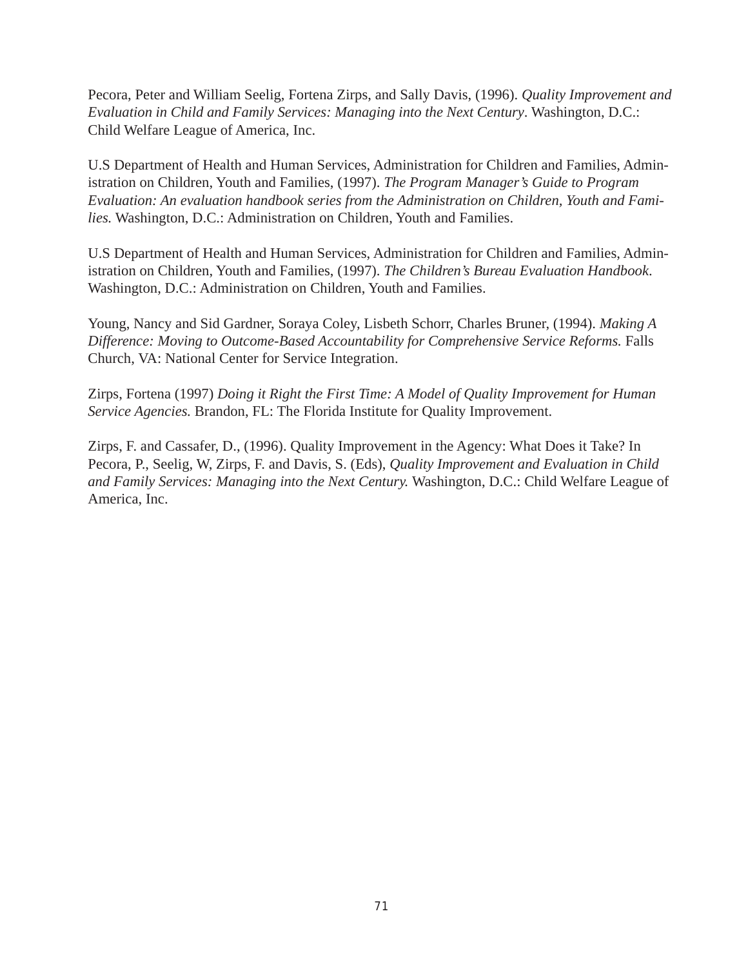Pecora, Peter and William Seelig, Fortena Zirps, and Sally Davis, (1996). *Quality Improvement and Evaluation in Child and Family Services: Managing into the Next Century*. Washington, D.C.: Child Welfare League of America, Inc.

U.S Department of Health and Human Services, Administration for Children and Families, Administration on Children, Youth and Families, (1997). *The Program Manager's Guide to Program Evaluation: An evaluation handbook series from the Administration on Children, Youth and Families.* Washington, D.C.: Administration on Children, Youth and Families.

U.S Department of Health and Human Services, Administration for Children and Families, Administration on Children, Youth and Families, (1997). *The Children's Bureau Evaluation Handbook*. Washington, D.C.: Administration on Children, Youth and Families.

Young, Nancy and Sid Gardner, Soraya Coley, Lisbeth Schorr, Charles Bruner, (1994). *Making A Difference: Moving to Outcome-Based Accountability for Comprehensive Service Reforms. Falls* Church, VA: National Center for Service Integration.

Zirps, Fortena (1997) *Doing it Right the First Time: A Model of Quality Improvement for Human Service Agencies.* Brandon, FL: The Florida Institute for Quality Improvement.

Zirps, F. and Cassafer, D., (1996). Quality Improvement in the Agency: What Does it Take? In Pecora, P., Seelig, W, Zirps, F. and Davis, S. (Eds), *Quality Improvement and Evaluation in Child and Family Services: Managing into the Next Century.* Washington, D.C.: Child Welfare League of America, Inc.